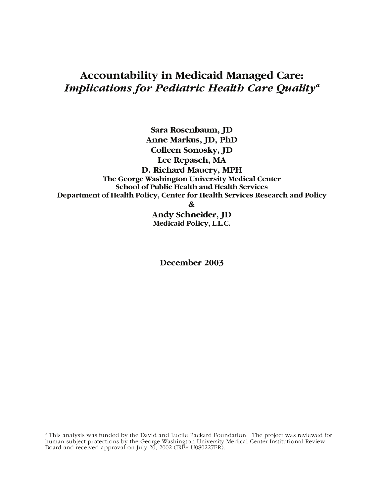# **Accountability in Medicaid Managed Care:**  *Implications for Pediatric Health Care Qualitya*

**Sara Rosenbaum, JD Anne Markus, JD, PhD Colleen Sonosky, JD Lee Repasch, MA D. Richard Mauery, MPH The George Washington University Medical Center School of Public Health and Health Services Department of Health Policy, Center for Health Services Research and Policy** 

**&** 

**Andy Schneider, JD Medicaid Policy, L.L.C.** 

**December 2003** 

a<br>A This analysis was funded by the David and Lucile Packard Foundation. The project was reviewed for human subject protections by the George Washington University Medical Center Institutional Review Board and received approval on July 20, 2002 (IRB# U080227ER).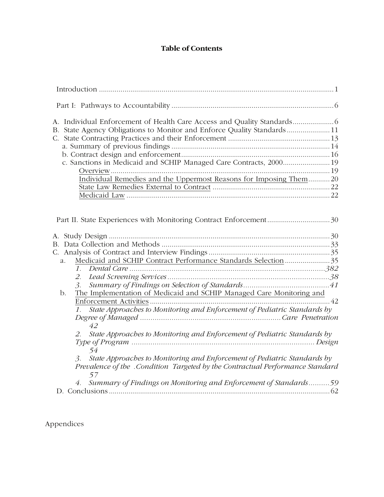# **Table of Contents**

| State Agency Obligations to Monitor and Enforce Quality Standards11<br>B.<br>c. Sanctions in Medicaid and SCHIP Managed Care Contracts, 2000 19<br>Individual Remedies and the Uppermost Reasons for Imposing Them 20                                                                                                                                                                                                                                                                                                                                                                                       |
|-------------------------------------------------------------------------------------------------------------------------------------------------------------------------------------------------------------------------------------------------------------------------------------------------------------------------------------------------------------------------------------------------------------------------------------------------------------------------------------------------------------------------------------------------------------------------------------------------------------|
|                                                                                                                                                                                                                                                                                                                                                                                                                                                                                                                                                                                                             |
| Medicaid and SCHIP Contract Performance Standards Selection 35<br>a.<br>2.<br>3.<br>The Implementation of Medicaid and SCHIP Managed Care Monitoring and<br>b.<br>State Approaches to Monitoring and Enforcement of Pediatric Standards by<br>$\mathcal{I}$ .<br>42<br>State Approaches to Monitoring and Enforcement of Pediatric Standards by<br>2.<br>54<br>State Approaches to Monitoring and Enforcement of Pediatric Standards by<br>3.<br>Prevalence of the .Condition Targeted by the Contractual Performance Standard<br>57<br>4. Summary of Findings on Monitoring and Enforcement of Standards59 |

Appendices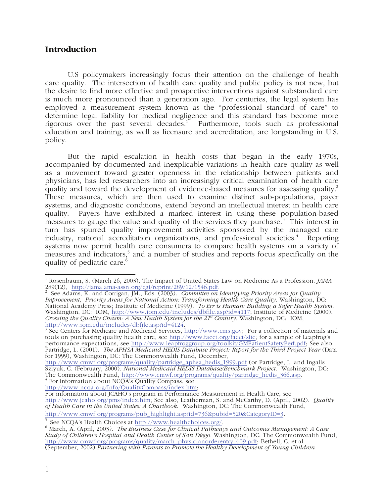# **Introduction**

U.S policymakers increasingly focus their attention on the challenge of health care quality. The intersection of health care quality and public policy is not new, but the desire to find more effective and prospective interventions against substandard care is much more pronounced than a generation ago. For centuries, the legal system has employed a measurement system known as the "professional standard of care" to determine legal liability for medical negligence and this standard has become more rigorous over the past several decades.<sup>1</sup> Furthermore, tools such as professional education and training, as well as licensure and accreditation, are longstanding in U.S. policy.

But the rapid escalation in health costs that began in the early 1970s, accompanied by documented and inexplicable variations in health care quality as well as a movement toward greater openness in the relationship between patients and physicians, has led researchers into an increasingly critical examination of health care quality and toward the development of evidence-based measures for assessing quality.<sup>2</sup> These measures, which are then used to examine distinct sub-populations, payer systems, and diagnostic conditions, extend beyond an intellectual interest in health care quality. Payers have exhibited a marked interest in using these population-based measures to gauge the value and quality of the services they purchase.<sup>3</sup> This interest in turn has spurred quality improvement activities sponsored by the managed care industry, national accreditation organizations, and professional societies.<sup>4</sup> Reporting systems now permit health care consumers to compare health systems on a variety of measures and indicators,<sup>5</sup> and a number of studies and reports focus specifically on the quality of pediatric care.<sup>6</sup>

http://www.iom.edu/includes/dbfile.asp?id=4124.<br><sup>3</sup> See Centers for Medicare and Medicaid Services, <u>http://www.cms.gov;</u> For a collection of materials and tools on purchasing quality health care, see http://www.facct.org/facct/site; for a sample of Leapfrog's performance expectations, see http://www.leapfroggroup.org/toolkit/GMPatientSafetyPerf.pdf; See also Partridge, L. (2001). *The APHSA Medicaid HEDIS Database Project: Report for the Third Project Year* (Data for 1999), Washington, DC: The Commonwealth Fund, December,

http://www.cmwf.org/programs/quality/partridge\_aphsa\_hedis\_1999.pdf (or Partridge, L. and Ingalls Szlyuk, C. (February, 2000). *National Medicaid HEDIS Database/Benchmark Project.* Washington, DC: The Commonwealth Fund, http://www.cmwf.org/programs/quality/partridge\_hedis\_366.asp. 4 For information about NCQA's Quality Compass, see

http://www.ncqa.org/Info/QualityCompass/index.htm;

http://www.cmwf.org/programs/pub\_highlight.asp?id=736&pubid=520&CategoryID=3.<br>
5 See NCQA's Health Choices at http://www.healthchoices.org/.

 1 Rosenbaum, S. (March 26, 2003). The Impact of United States Law on Medicine As a Profession. *JAMA*

<sup>289(12), &</sup>lt;u>http://jama.ama-assn.org/cgi/reprint/289/12/1546.pdf</u>.<br><sup>2</sup> See Adams, K. and Corrigan, JM., Eds. (2003). *Committee on Identifying Priority Areas for Quality Improvement, Priority Areas for National Action: Transforming Health Care Quality*. Washington, DC: National Academy Press; Institute of Medicine (1999). *To Err is Human: Building a Safer Health System*. Washington, DC: IOM, http://www.iom.edu/includes/dbfile.asp?id=4117; Institute of Medicine (2000). *Crossing the Quality Chasm: A New Health System for the 21st Century.* Washington, DC: IOM,

For information about JCAHO's program in Performance Measurement in Health Care, see http://www.jcaho.org/pms/index.htm; See also, Leatherman, S. and McCarthy, D. (April, 2002). *Quality of Health Care in the United States: A Chartbook*. Washington, DC: The Commonwealth Fund,

March, A. (April, 2003*). The Business Case for Clinical Pathways and Outcomes Management: A Case Study of Children's Hospital and Health Center of San Diego.* Washington, DC: The Commonwealth Fund, http://www.cmwf.org/programs/quality/march\_physicianorderentry\_609.pdf; Bethell, C. et al. (September, 2002) *Partnering with Parents to Promote the Healthy Development of Young Children*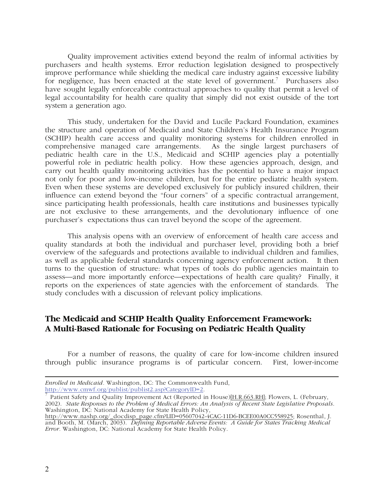Quality improvement activities extend beyond the realm of informal activities by purchasers and health systems. Error reduction legislation designed to prospectively improve performance while shielding the medical care industry against excessive liability for negligence, has been enacted at the state level of government.<sup>7</sup> Purchasers also have sought legally enforceable contractual approaches to quality that permit a level of legal accountability for health care quality that simply did not exist outside of the tort system a generation ago.

This study, undertaken for the David and Lucile Packard Foundation, examines the structure and operation of Medicaid and State Children's Health Insurance Program (SCHIP) health care access and quality monitoring systems for children enrolled in comprehensive managed care arrangements. As the single largest purchasers of pediatric health care in the U.S., Medicaid and SCHIP agencies play a potentially powerful role in pediatric health policy. How these agencies approach, design, and carry out health quality monitoring activities has the potential to have a major impact not only for poor and low-income children, but for the entire pediatric health system. Even when these systems are developed exclusively for publicly insured children, their influence can extend beyond the "four corners" of a specific contractual arrangement, since participating health professionals, health care institutions and businesses typically are not exclusive to these arrangements, and the devolutionary influence of one purchaser's expectations thus can travel beyond the scope of the agreement.

This analysis opens with an overview of enforcement of health care access and quality standards at both the individual and purchaser level, providing both a brief overview of the safeguards and protections available to individual children and families, as well as applicable federal standards concerning agency enforcement action. It then turns to the question of structure: what types of tools do public agencies maintain to assess—and more importantly enforce—expectations of health care quality? Finally, it reports on the experiences of state agencies with the enforcement of standards. The study concludes with a discussion of relevant policy implications.

# **The Medicaid and SCHIP Health Quality Enforcement Framework: A Multi-Based Rationale for Focusing on Pediatric Health Quality**

For a number of reasons, the quality of care for low-income children insured through public insurance programs is of particular concern. First, lower-income

 $\overline{a}$ *Enrolled in Medicaid.* Washington, DC: The Commonwealth Fund,

http://www.cmwf.org/publist/publist2.asp?CategoryID=2.<br><sup>7</sup> Patient Safety and Quality Improvement Act (Reported in House)[H.R.663.RH]; Flowers, L. (February, 2002). *State Responses to the Problem of Medical Errors: An Analysis of Recent State Legislative Proposals*. Washington, DC: National Academy for State Health Policy,

http://www.nashp.org/\_docdisp\_page.cfm?LID=05607042-4CAC-11D6-BCEE00A0CC558925; Rosenthal, J. and Booth, M. (March, 2003). *Defining Reportable Adverse Events: A Guide for States Tracking Medical Error.* Washington, DC: National Academy for State Health Policy.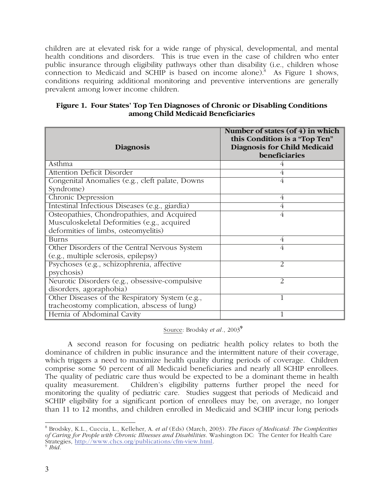children are at elevated risk for a wide range of physical, developmental, and mental health conditions and disorders. This is true even in the case of children who enter public insurance through eligibility pathways other than disability (i.e., children whose connection to Medicaid and SCHIP is based on income alone).<sup>8</sup> As Figure 1 shows, conditions requiring additional monitoring and preventive interventions are generally prevalent among lower income children.

| Figure 1. Four States' Top Ten Diagnoses of Chronic or Disabling Conditions |
|-----------------------------------------------------------------------------|
| among Child Medicaid Beneficiaries                                          |

| <b>Diagnosis</b>                                | Number of states (of $4$ ) in which<br>this Condition is a "Top Ten"<br>Diagnosis for Child Medicaid<br>beneficiaries |
|-------------------------------------------------|-----------------------------------------------------------------------------------------------------------------------|
| Asthma                                          |                                                                                                                       |
| <b>Attention Deficit Disorder</b>               |                                                                                                                       |
| Congenital Anomalies (e.g., cleft palate, Downs |                                                                                                                       |
| Syndrome)                                       |                                                                                                                       |
| Chronic Depression                              | 4                                                                                                                     |
| Intestinal Infectious Diseases (e.g., giardia)  | 4                                                                                                                     |
| Osteopathies, Chondropathies, and Acquired      | 4                                                                                                                     |
| Musculoskeletal Deformities (e.g., acquired     |                                                                                                                       |
| deformities of limbs, osteomyelitis)            |                                                                                                                       |
| <b>Burns</b>                                    | 4                                                                                                                     |
| Other Disorders of the Central Nervous System   | 4                                                                                                                     |
| (e.g., multiple sclerosis, epilepsy)            |                                                                                                                       |
| Psychoses (e.g., schizophrenia, affective       | 2                                                                                                                     |
| psychosis)                                      |                                                                                                                       |
| Neurotic Disorders (e.g., obsessive-compulsive  | 2                                                                                                                     |
| disorders, agoraphobia)                         |                                                                                                                       |
| Other Diseases of the Respiratory System (e.g., | 1                                                                                                                     |
| tracheostomy complication, abscess of lung)     |                                                                                                                       |
| Hernia of Abdominal Cavity                      | 1                                                                                                                     |

Source: Brodsky *et al.*, 2003**<sup>9</sup>**

A second reason for focusing on pediatric health policy relates to both the dominance of children in public insurance and the intermittent nature of their coverage, which triggers a need to maximize health quality during periods of coverage. Children comprise some 50 percent of all Medicaid beneficiaries and nearly all SCHIP enrollees. The quality of pediatric care thus would be expected to be a dominant theme in health quality measurement. Children's eligibility patterns further propel the need for Children's eligibility patterns further propel the need for monitoring the quality of pediatric care. Studies suggest that periods of Medicaid and SCHIP eligibility for a significant portion of enrollees may be, on average, no longer than 11 to 12 months, and children enrolled in Medicaid and SCHIP incur long periods

 8 Brodsky, K.L., Cuccia, L., Kelleher, A. *et al* (Eds) (March, 2003). *The Faces of Medicaid: The Complexities of Caring for People with Chronic Illnesses and Disabilities*. Washington DC: The Center for Health Care Strategies, http://www.chcs.org/publications/cfm-view.html. 9 *Ibid.*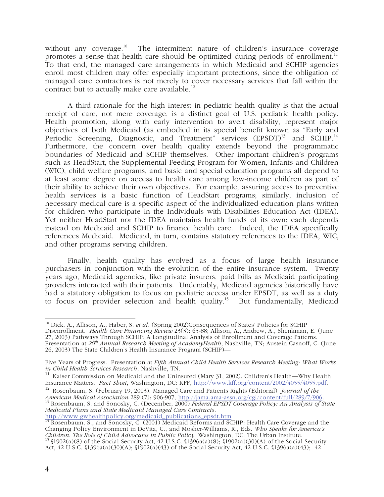without any coverage.<sup>10</sup> The intermittent nature of children's insurance coverage promotes a sense that health care should be optimized during periods of enrollment.<sup>11</sup> To that end, the managed care arrangements in which Medicaid and SCHIP agencies enroll most children may offer especially important protections, since the obligation of managed care contractors is not merely to cover necessary services that fall within the contract but to actually make care available.<sup>12</sup>

A third rationale for the high interest in pediatric health quality is that the actual receipt of care, not mere coverage, is a distinct goal of U.S. pediatric health policy. Health promotion, along with early intervention to avert disability, represent major objectives of both Medicaid (as embodied in its special benefit known as "Early and Periodic Screening, Diagnostic, and Treatment" services (EPSDT)<sup>13</sup> and SCHIP.<sup>14</sup> Furthermore, the concern over health quality extends beyond the programmatic boundaries of Medicaid and SCHIP themselves. Other important children's programs such as HeadStart, the Supplemental Feeding Program for Women, Infants and Children (WIC), child welfare programs, and basic and special education programs all depend to at least some degree on access to health care among low-income children as part of their ability to achieve their own objectives. For example, assuring access to preventive health services is a basic function of HeadStart programs; similarly, inclusion of necessary medical care is a specific aspect of the individualized education plans written for children who participate in the Individuals with Disabilities Education Act (IDEA). Yet neither HeadStart nor the IDEA maintains health funds of its own; each depends instead on Medicaid and SCHIP to finance health care. Indeed, the IDEA specifically references Medicaid. Medicaid, in turn, contains statutory references to the IDEA, WIC, and other programs serving children.

Finally, health quality has evolved as a focus of large health insurance purchasers in conjunction with the evolution of the entire insurance system. Twenty years ago, Medicaid agencies, like private insurers, paid bills as Medicaid participating providers interacted with their patients. Undeniably, Medicaid agencies historically have had a statutory obligation to focus on pediatric access under EPSDT, as well as a duty to focus on provider selection and health quality.<sup>15</sup> But fundamentally, Medicaid

<sup>12</sup> Rosenbaum, S. (February 19, 2003). Managed Care and Patients Rights (Editorial) *Journal of the American Medical Association* 289 (7): 906-907, http://jama.ama-assn.org/cgi/content/full/289/7/906. 13 Rosenbaum, S. and Sonosky, C. (December, 2000) *Federal EPSDT Coverage Policy: An Analysis of State* 

*Medicaid Plans and State Medicaid Managed Care Contracts*.

 $\overline{a}$ 10 Dick, A., Allison, A., Haber, S. *et al.* (Spring 2002)Consequences of States' Policies for SCHIP Disenrollment. *Health Care Financing Review* 23(3): 65-88; Allison, A., Andrew, A., Shenkman, E. (June 27, 2003) Pathways Through SCHIP: A Longitudinal Analysis of Enrollment and Coverage Patterns. Presentation at 20<sup>th</sup> Annual Research Meeting of AcademyHealth, Nashville, TN; Austein Casnoff, C. (June 26, 2003) The State Children's Health Insurance Program (SCHIP)—

Five Years of Progress. Presentation at *Fifth Annual Child Health Services Research Meeting: What Works* 

<sup>&</sup>lt;sup>11</sup> Kaiser Commission on Medicaid and the Uninsured (Mary 31, 2002). Children's Health—Why Health<br>Insurance Matters. *Fact Sheet*, Washington, DC: KFF, http://www.kff.org/content/2002/4055/4055.pdf.

http://www.gwhealthpolicy.org/medicaid\_publications\_epsdt.htm <sup>14</sup> Rosenbaum, S., and Sonosky, C. (2001) Medicaid Reforms and SCHIP: Health Care Coverage and the Changing Policy Environment in DeVita, C., and Mosher-Williams, R., Eds. *Who Speaks for America's Children: The Role of Child Advocates in Public Policy*. Washington, DC: The Urban Institute.<br><sup>15</sup> §1902(a)(8) of the Social Security Act, 42 U.S.C. §1396a(a)(8); §1902(a)(30)(A) of the Social Security Act, 42 U.S.C. §1396a(a)(30)(A); §1902(a)(43) of the Social Security Act, 42 U.S.C. §1396a(a)(43); 42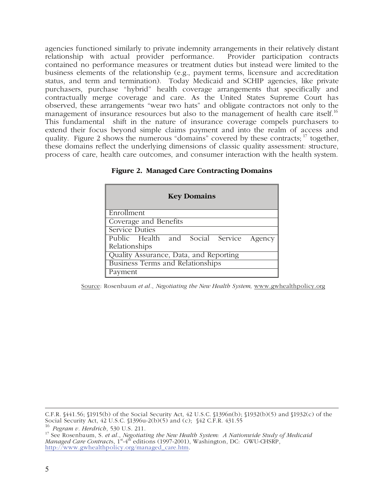agencies functioned similarly to private indemnity arrangements in their relatively distant relationship with actual provider performance. Provider participation contracts contained no performance measures or treatment duties but instead were limited to the business elements of the relationship (e.g., payment terms, licensure and accreditation status, and term and termination). Today Medicaid and SCHIP agencies, like private purchasers, purchase "hybrid" health coverage arrangements that specifically and contractually merge coverage and care. As the United States Supreme Court has observed, these arrangements "wear two hats" and obligate contractors not only to the management of insurance resources but also to the management of health care itself.<sup>16</sup> This fundamental shift in the nature of insurance coverage compels purchasers to extend their focus beyond simple claims payment and into the realm of access and quality. Figure 2 shows the numerous "domains" covered by these contracts;  $\frac{17}{17}$  together, these domains reflect the underlying dimensions of classic quality assessment: structure, process of care, health care outcomes, and consumer interaction with the health system.

| <b>Figure 2. Managed Care Contracting Domains</b> |
|---------------------------------------------------|
|---------------------------------------------------|

| <b>Key Domains</b>                      |  |  |  |
|-----------------------------------------|--|--|--|
| Enrollment                              |  |  |  |
| Coverage and Benefits                   |  |  |  |
| <b>Service Duties</b>                   |  |  |  |
| Public Health and Social Service Agency |  |  |  |
| Relationships                           |  |  |  |
| Quality Assurance, Data, and Reporting  |  |  |  |
| <b>Business Terms and Relationships</b> |  |  |  |
| Payment                                 |  |  |  |

Source: Rosenbaum *et al.*, *Negotiating the New Health System,* www.gwhealthpolicy.org

 $\overline{a}$ C.F.R. §441.56; §1915(b) of the Social Security Act, 42 U.S.C. §1396n(b); §1932(b)(5) and §1932(c) of the Social Security Act, 42 U.S.C. §1396u-2(b)(5) and (c); §42 C.F.R. 431.55

<sup>16</sup> *Pegram v. Herdrich,* 530 U.S. 211.<br><sup>17</sup> See Rosenbaum, S. *et al., Negotiating the New Health System: A Nationwide Study of Medicaid Managed Care Contracts*, 1<sup>st</sup>-4<sup>th</sup> editions (1997-2001), Washington, DC: GWU-CHSRP, http://www.gwhealthpolicy.org/managed\_care.htm.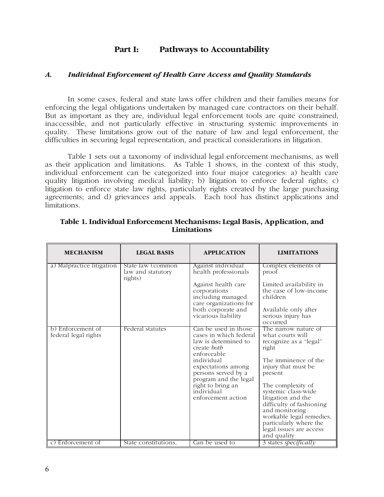# **Part I: Pathways to Accountability**

#### *A. Individual Enforcement of Health Care Access and Quality Standards*

In some cases, federal and state laws offer children and their families means for enforcing the legal obligations undertaken by managed care contractors on their behalf. But as important as they are, individual legal enforcement tools are quite constrained, inaccessible, and not particularly effective in structuring systemic improvements in quality. These limitations grow out of the nature of law and legal enforcement, the difficulties in securing legal representation, and practical considerations in litigation.

Table 1 sets out a taxonomy of individual legal enforcement mechanisms, as well as their application and limitations. As Table 1 shows, in the context of this study, individual enforcement can be categorized into four major categories: a) health care quality litigation involving medical liability; b) litigation to enforce federal rights; c) litigation to enforce state law rights, particularly rights created by the large purchasing agreements; and d) grievances and appeals. Each tool has distinct applications and limitations.

| <b>MECHANISM</b>                          | <b>LEGAL BASIS</b>                                | <b>APPLICATION</b>                                                                                                                                                                                                                                | <b>LIMITATIONS</b>                                                                                                                                                                                                                                                                                                                                    |
|-------------------------------------------|---------------------------------------------------|---------------------------------------------------------------------------------------------------------------------------------------------------------------------------------------------------------------------------------------------------|-------------------------------------------------------------------------------------------------------------------------------------------------------------------------------------------------------------------------------------------------------------------------------------------------------------------------------------------------------|
| a) Malpractice litigation                 | State law (common<br>law and statutory<br>rights) | Against individual<br>health professionals<br>Against health care<br>corporations<br>including managed<br>care organizations for<br>both corporate and<br>vicarious liability                                                                     | Complex elements of<br>proof<br>Limited availability in<br>the case of low-income<br>children<br>Available only after<br>serious injury has<br>occurred                                                                                                                                                                                               |
| b) Enforcement of<br>federal legal rights | Federal statutes                                  | Can be used in those<br>cases in which federal<br>law is determined to<br>create both<br>enforceable<br>individual<br>expectations among<br>persons served by a<br>program and the legal<br>right to bring an<br>individual<br>enforcement action | The narrow nature of<br>what courts will<br>recognize as a "legal"<br>right<br>The imminence of the<br>injury that must be<br>present<br>The complexity of<br>systemic class-wide<br>litigation and the<br>difficulty of fashioning<br>and monitoring<br>workable legal remedies,<br>particularly where the<br>legal issues are access<br>and quality |
| c) Enforcement of                         | State constitutions,                              | Can be used to                                                                                                                                                                                                                                    | 3 states specifically                                                                                                                                                                                                                                                                                                                                 |

**Table 1. Individual Enforcement Mechanisms: Legal Basis, Application, and Limitations**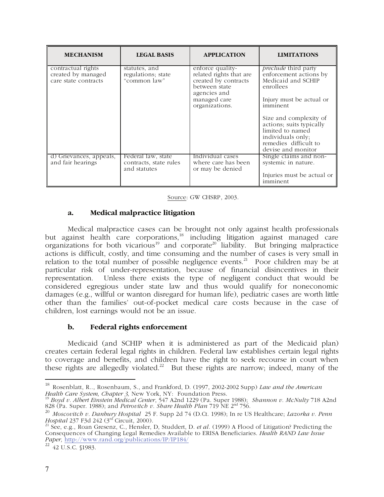| <b>MECHANISM</b>                                                 | <b>LEGAL BASIS</b>                                           | <b>APPLICATION</b>                                                                                                                     | <b>LIMITATIONS</b>                                                                                                                         |
|------------------------------------------------------------------|--------------------------------------------------------------|----------------------------------------------------------------------------------------------------------------------------------------|--------------------------------------------------------------------------------------------------------------------------------------------|
| contractual rights<br>created by managed<br>care state contracts | statutes, and<br>regulations; state<br>"common law"          | enforce quality-<br>related rights that are<br>created by contracts<br>between state<br>agencies and<br>managed care<br>organizations. | <i>preclude</i> third party<br>enforcement actions by<br>Medicaid and SCHIP<br>enrollees<br>Injury must be actual or<br>imminent           |
|                                                                  |                                                              |                                                                                                                                        | Size and complexity of<br>actions; suits typically<br>limited to named<br>individuals only;<br>remedies difficult to<br>devise and monitor |
| d) Grievances, appeals,<br>and fair hearings                     | Federal law, state<br>contracts, state rules<br>and statutes | Individual cases<br>where care has been<br>or may be denied                                                                            | Single claims and non-<br>systemic in nature.<br>Injuries must be actual or<br>imminent                                                    |

Source: GW CHSRP, 2003.

#### **a. Medical malpractice litigation**

Medical malpractice cases can be brought not only against health professionals but against health care corporations,<sup>18</sup> including litigation against managed care organizations for both vicarious<sup>19</sup> and corporate<sup>20</sup> liability. But bringing malpractice actions is difficult, costly, and time consuming and the number of cases is very small in relation to the total number of possible negligence events.<sup>21</sup> Poor children may be at particular risk of under-representation, because of financial disincentives in their representation. Unless there exists the type of negligent conduct that would be considered egregious under state law and thus would qualify for noneconomic damages (e.g., willful or wanton disregard for human life), pediatric cases are worth little other than the families' out-of-pocket medical care costs because in the case of children, lost earnings would not be an issue.

#### **b. Federal rights enforcement**

Medicaid (and SCHIP when it is administered as part of the Medicaid plan) creates certain federal legal rights in children. Federal law establishes certain legal rights to coverage and benefits, and children have the right to seek recourse in court when these rights are allegedly violated.<sup>22</sup> But these rights are narrow; indeed, many of the

 $\overline{a}$ 

<sup>18</sup> Rosenblatt, R.., Rosenbaum, S., and Frankford, D. (1997, 2002-2002 Supp) *Law and the American Health Care System, Chapter 3,* New York, NY: Foundation Press. 19 *Boyd v. Albert Einstein Medical Center*, 547 A2nd 1229 (Pa. Super 1988); *Shannon v. McNulty* 718 A2nd

<sup>828 (</sup>Pa. Super. 1988); and *Petrovitch v. Share Health Plan* 719 NE 2nd 756.

<sup>20</sup> *Moscovitch v. Danbury Hospital* 25 F. Supp 2d 74 (D.Ct. 1998); In re US Healthcare; *Lazorka v. Penn Hospital* 237 F3d 242 (3<sup>rd</sup> Circuit, 2000).<br>
<sup>21</sup> See, e.g., Roan Gresenz, C., Hensler, D, Studdert, D. *et al.* (1999) A Flood of Litigation? Predicting the

Consequences of Changing Legal Remedies Available to ERISA Beneficiaries. *Health RAND Law Issue Paper,* http://www.rand.org/publications/IP/IP184/<br><sup>22</sup> 42 U.S.C. §1983.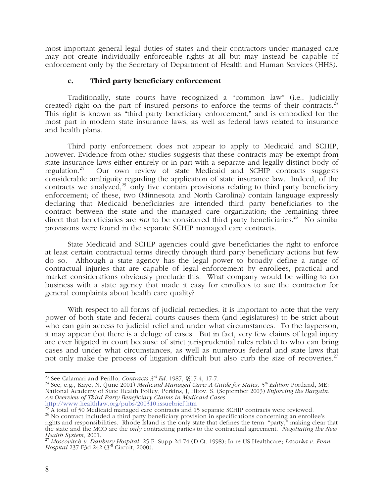most important general legal duties of states and their contractors under managed care may not create individually enforceable rights at all but may instead be capable of enforcement only by the Secretary of Department of Health and Human Services (HHS).

### **c. Third party beneficiary enforcement**

Traditionally, state courts have recognized a "common law" (i.e., judicially created) right on the part of insured persons to enforce the terms of their contracts.<sup>23</sup> This right is known as "third party beneficiary enforcement," and is embodied for the most part in modern state insurance laws, as well as federal laws related to insurance and health plans.

Third party enforcement does not appear to apply to Medicaid and SCHIP, however. Evidence from other studies suggests that these contracts may be exempt from state insurance laws either entirely or in part with a separate and legally distinct body of regulation.<sup>24</sup> Our own review of state Medicaid and SCHIP contracts suggests Our own review of state Medicaid and SCHIP contracts suggests considerable ambiguity regarding the application of state insurance law. Indeed, of the contracts we analyzed,<sup>25</sup> only five contain provisions relating to third party beneficiary enforcement; of these, two (Minnesota and North Carolina) contain language expressly declaring that Medicaid beneficiaries are intended third party beneficiaries to the contract between the state and the managed care organization; the remaining three direct that beneficiaries are *not* to be considered third party beneficiaries.<sup>26</sup> No similar provisions were found in the separate SCHIP managed care contracts.

State Medicaid and SCHIP agencies could give beneficiaries the right to enforce at least certain contractual terms directly through third party beneficiary actions but few do so. Although a state agency has the legal power to broadly define a range of contractual injuries that are capable of legal enforcement by enrollees, practical and market considerations obviously preclude this. What company would be willing to do business with a state agency that made it easy for enrollees to sue the contractor for general complaints about health care quality?

With respect to all forms of judicial remedies, it is important to note that the very power of both state and federal courts causes them (and legislatures) to be strict about who can gain access to judicial relief and under what circumstances. To the layperson, it may appear that there is a deluge of cases. But in fact, very few claims of legal injury are ever litigated in court because of strict jurisprudential rules related to who can bring cases and under what circumstances, as well as numerous federal and state laws that not only make the process of litigation difficult but also curb the size of recoveries.<sup>27</sup>

 $\overline{a}$ 

<sup>&</sup>lt;sup>23</sup> See Calamari and Perillo, *Contracts 3<sup>rd</sup> Ed.* 1987, §§17-4, 17-7.<br><sup>24</sup> See, e.g., Kaye, N. (June 2001) *Medicaid Managed Care: A Guide for States, 5<sup>th</sup> Edition* Portland, ME: National Academy of State Health Policy; Perkins, J, Hitov, S. (September 2003) *Enforcing the Bargain: An Overview of Third Party Beneficiary Claims in Medicaid Cases.*

 $\frac{25}{26}$  A total of 50 Medicaid managed care contracts and 15 separate SCHIP contracts were reviewed.<br><sup>26</sup> No contract included a third party beneficiary provision in specifications concerning an enrollee's rights and responsibilities. Rhode Island is the only state that defines the term "party," making clear that the state and the MCO are the *only* contracting parties to the contractual agreement. *Negotiating the New* 

*Health System*, 2001. 27 *Moscovitch v. Danbury Hospital* 25 F. Supp 2d 74 (D.Ct. 1998); In re US Healthcare; *Lazorka v. Penn Hospital* 237 F3d 242 (3rd Circuit, 2000).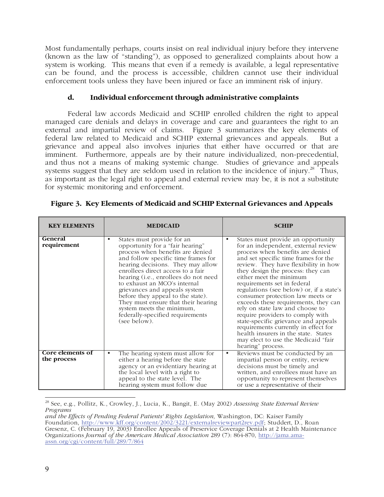Most fundamentally perhaps, courts insist on real individual injury before they intervene (known as the law of "standing"), as opposed to generalized complaints about how a system is working. This means that even if a remedy is available, a legal representative can be found, and the process is accessible, children cannot use their individual enforcement tools unless they have been injured or face an imminent risk of injury.

## **d. Individual enforcement through administrative complaints**

Federal law accords Medicaid and SCHIP enrolled children the right to appeal managed care denials and delays in coverage and care and guarantees the right to an external and impartial review of claims. Figure 3 summarizes the key elements of federal law related to Medicaid and SCHIP external grievances and appeals. But a grievance and appeal also involves injuries that either have occurred or that are imminent. Furthermore, appeals are by their nature individualized, non-precedential, and thus not a means of making systemic change. Studies of grievance and appeals systems suggest that they are seldom used in relation to the incidence of injury.<sup>28</sup> Thus, as important as the legal right to appeal and external review may be, it is not a substitute for systemic monitoring and enforcement.

| <b>KEY ELEMENTS</b>             | <b>MEDICAID</b>                                                                                                                                                                                                                                                                                                                                                                                                                                                                                        | <b>SCHIP</b>                                                                                                                                                                                                                                                                                                                                                                                                                                                                                                                                                                                                                                                                    |
|---------------------------------|--------------------------------------------------------------------------------------------------------------------------------------------------------------------------------------------------------------------------------------------------------------------------------------------------------------------------------------------------------------------------------------------------------------------------------------------------------------------------------------------------------|---------------------------------------------------------------------------------------------------------------------------------------------------------------------------------------------------------------------------------------------------------------------------------------------------------------------------------------------------------------------------------------------------------------------------------------------------------------------------------------------------------------------------------------------------------------------------------------------------------------------------------------------------------------------------------|
| General<br>requirement          | States must provide for an<br>$\bullet$<br>opportunity for a "fair hearing"<br>process when benefits are denied<br>and follow specific time frames for<br>hearing decisions. They may allow<br>enrollees direct access to a fair<br>hearing (i.e., enrollees do not need<br>to exhaust an MCO's internal<br>grievances and appeals system<br>before they appeal to the state).<br>They must ensure that their hearing<br>system meets the minimum,<br>federally-specified requirements<br>(see below). | States must provide an opportunity<br>for an independent, external review<br>process when benefits are denied<br>and set specific time frames for the<br>review. They have flexibility in how<br>they design the process: they can<br>either meet the minimum<br>requirements set in federal<br>regulations (see below) or, if a state's<br>consumer protection law meets or<br>exceeds these requirements, they can<br>rely on state law and choose to<br>require providers to comply with<br>state-specific grievance and appeals<br>requirements currently in effect for<br>health insurers in the state. States<br>may elect to use the Medicaid "fair<br>hearing" process. |
| Core elements of<br>the process | The hearing system must allow for<br>$\bullet$<br>either a hearing before the state<br>agency or an evidentiary hearing at<br>the local level with a right to<br>appeal to the state level. The<br>hearing system must follow due                                                                                                                                                                                                                                                                      | Reviews must be conducted by an<br>$\bullet$<br>impartial person or entity, review<br>decisions must be timely and<br>written, and enrollees must have an<br>opportunity to represent themselves<br>or use a representative of their                                                                                                                                                                                                                                                                                                                                                                                                                                            |

**Figure 3. Key Elements of Medicaid and SCHIP External Grievances and Appeals** 

 $\overline{a}$ 28 See, e.g., Pollitz, K., Crowley, J., Lucia, K., Bangit, E. (May 2002) *Assessing State External Review Programs* 

*and the Effects of Pending Federal Patients' Rights Legislation,* Washington, DC: Kaiser Family Foundation, http://www.kff.org/content/2002/3221/externalreviewpart2rev.pdf; Studdert, D., Roan Gresenz, C. (February 19, 2003) Enrollee Appeals of Preservice Coverage Denials at 2 Health Maintenance Organizations *Journal of the American Medical Association* 289 (7): 864-870, http://jama.amaassn.org/cgi/content/full/289/7/864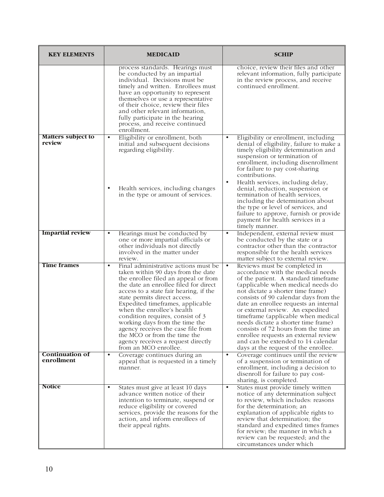| <b>KEY ELEMENTS</b>                  | <b>MEDICAID</b>                                                                                                                                                                                                                                                                                                                                                                                                                                                                                                                 | <b>SCHIP</b>                                                                                                                                                                                                                                                                                                                                                                                                                                                                                                                                                          |
|--------------------------------------|---------------------------------------------------------------------------------------------------------------------------------------------------------------------------------------------------------------------------------------------------------------------------------------------------------------------------------------------------------------------------------------------------------------------------------------------------------------------------------------------------------------------------------|-----------------------------------------------------------------------------------------------------------------------------------------------------------------------------------------------------------------------------------------------------------------------------------------------------------------------------------------------------------------------------------------------------------------------------------------------------------------------------------------------------------------------------------------------------------------------|
|                                      | process standards. Hearings must<br>be conducted by an impartial<br>individual. Decisions must be<br>timely and written. Enrollees must<br>have an opportunity to represent<br>themselves or use a representative<br>of their choice, review their files<br>and other relevant information,<br>fully participate in the hearing<br>process, and receive continued<br>enrollment.                                                                                                                                                | choice, review their files and other<br>relevant information, fully participate<br>in the review process, and receive<br>continued enrollment.                                                                                                                                                                                                                                                                                                                                                                                                                        |
| <b>Matters subject to</b><br>review  | Eligibility or enrollment, both<br>$\bullet$<br>initial and subsequent decisions<br>regarding eligibility.<br>Health services, including changes<br>in the type or amount of services.                                                                                                                                                                                                                                                                                                                                          | $\bullet$<br>Eligibility or enrollment, including<br>denial of eligibility, failure to make a<br>timely eligibility determination and<br>suspension or termination of<br>enrollment, including disenrollment<br>for failure to pay cost-sharing<br>contributions.<br>Health services, including delay,<br>$\bullet$<br>denial, reduction, suspension or<br>termination of health services,<br>including the determination about<br>the type or level of services, and<br>failure to approve, furnish or provide<br>payment for health services in a<br>timely manner. |
| <b>Impartial review</b>              | Hearings must be conducted by<br>$\bullet$<br>one or more impartial officials or<br>other individuals not directly<br>involved in the matter under<br>review.                                                                                                                                                                                                                                                                                                                                                                   | Independent, external review must<br>$\bullet$<br>be conducted by the state or a<br>contractor other than the contractor<br>responsible for the health services<br>matter subject to external review.                                                                                                                                                                                                                                                                                                                                                                 |
| <b>Time frames</b>                   | $\bullet$<br>Final administrative actions must be<br>taken within 90 days from the date<br>the enrollee filed an appeal or from<br>the date an enrollee filed for direct<br>access to a state fair hearing, if the<br>state permits direct access.<br>Expedited timeframes, applicable<br>when the enrollee's health<br>condition requires, consist of 3<br>working days from the time the<br>agency receives the case file from<br>the MCO or from the time the<br>agency receives a request directly<br>from an MCO enrollee. | $\bullet$<br>Reviews must be completed in<br>accordance with the medical needs<br>of the patient. A standard timeframe<br>(applicable when medical needs do<br>not dictate a shorter time frame)<br>consists of 90 calendar days from the<br>date an enrollee requests an internal<br>or external review. An expedited<br>timeframe (applicable when medical<br>needs dictate a shorter time frame)<br>consists of 72 hours from the time an<br>enrollee requests an external review<br>and can be extended to 14 calendar<br>days at the request of the enrollee.    |
| <b>Continuation of</b><br>enrollment | $\bullet$<br>Coverage continues during an<br>appeal that is requested in a timely<br>manner.                                                                                                                                                                                                                                                                                                                                                                                                                                    | $\bullet$<br>Coverage continues until the review<br>of a suspension or termination of<br>enrollment, including a decision to<br>disenroll for failure to pay cost-<br>sharing, is completed.                                                                                                                                                                                                                                                                                                                                                                          |
| <b>Notice</b>                        | States must give at least 10 days<br>$\bullet$<br>advance written notice of their<br>intention to terminate, suspend or<br>reduce eligibility or covered<br>services, provide the reasons for the<br>action, and inform enrollees of<br>their appeal rights.                                                                                                                                                                                                                                                                    | States must provide timely written<br>$\bullet$<br>notice of any determination subject<br>to review, which includes: reasons<br>for the determination; an<br>explanation of applicable rights to<br>review that determination; the<br>standard and expedited times frames<br>for review; the manner in which a<br>review can be requested; and the<br>circumstances under which                                                                                                                                                                                       |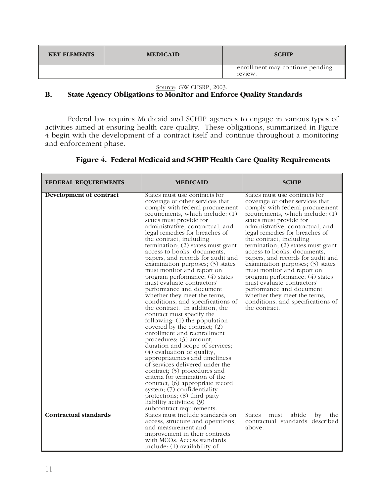| <b>KEY ELEMENTS</b> | <b>MEDICAID</b> | <b>SCHIP</b>                               |
|---------------------|-----------------|--------------------------------------------|
|                     |                 | enrollment may continue pending<br>review. |

Source: GW CHSRP, 2003.

# **B. State Agency Obligations to Monitor and Enforce Quality Standards**

Federal law requires Medicaid and SCHIP agencies to engage in various types of activities aimed at ensuring health care quality. These obligations, summarized in Figure 4 begin with the development of a contract itself and continue throughout a monitoring and enforcement phase.

| <b>FEDERAL REQUIREMENTS</b>  | <b>MEDICAID</b>                                                                                                                                                                                                                                                                                                                                                                                                                                                                                                                                                                                                                                                                                                                                                                                                                                                                                                                                                                                                                                                                                                                                                                           | <b>SCHIP</b>                                                                                                                                                                                                                                                                                                                                                                                                                                                                                                                                                                                                                         |
|------------------------------|-------------------------------------------------------------------------------------------------------------------------------------------------------------------------------------------------------------------------------------------------------------------------------------------------------------------------------------------------------------------------------------------------------------------------------------------------------------------------------------------------------------------------------------------------------------------------------------------------------------------------------------------------------------------------------------------------------------------------------------------------------------------------------------------------------------------------------------------------------------------------------------------------------------------------------------------------------------------------------------------------------------------------------------------------------------------------------------------------------------------------------------------------------------------------------------------|--------------------------------------------------------------------------------------------------------------------------------------------------------------------------------------------------------------------------------------------------------------------------------------------------------------------------------------------------------------------------------------------------------------------------------------------------------------------------------------------------------------------------------------------------------------------------------------------------------------------------------------|
| Development of contract      | States must use contracts for<br>coverage or other services that<br>comply with federal procurement<br>requirements, which include: (1)<br>states must provide for<br>administrative, contractual, and<br>legal remedies for breaches of<br>the contract, including<br>termination; $(2)$ states must grant<br>access to books, documents,<br>papers, and records for audit and<br>examination purposes; (3) states<br>must monitor and report on<br>program performance; (4) states<br>must evaluate contractors'<br>performance and document<br>whether they meet the terms,<br>conditions, and specifications of<br>the contract. In addition, the<br>contract must specify the<br>following: $(1)$ the population<br>covered by the contract; $(2)$<br>enrollment and reenrollment<br>procedures; (3) amount,<br>duration and scope of services;<br>$(4)$ evaluation of quality,<br>appropriateness and timeliness<br>of services delivered under the<br>contract; (5) procedures and<br>criteria for termination of the<br>contract; (6) appropriate record<br>system; (7) confidentiality<br>protections; (8) third party<br>liability activities; (9)<br>subcontract requirements. | States must use contracts for<br>coverage or other services that<br>comply with federal procurement<br>requirements, which include: (1)<br>states must provide for<br>administrative, contractual, and<br>legal remedies for breaches of<br>the contract, including<br>termination; $(2)$ states must grant<br>access to books, documents,<br>papers, and records for audit and<br>examination purposes; (3) states<br>must monitor and report on<br>program performance; (4) states<br>must evaluate contractors'<br>performance and document<br>whether they meet the terms,<br>conditions, and specifications of<br>the contract. |
| <b>Contractual standards</b> | States must include standards on<br>access, structure and operations,                                                                                                                                                                                                                                                                                                                                                                                                                                                                                                                                                                                                                                                                                                                                                                                                                                                                                                                                                                                                                                                                                                                     | abide<br>States<br>must<br>by<br>the<br>contractual standards described                                                                                                                                                                                                                                                                                                                                                                                                                                                                                                                                                              |
|                              | and measurement and<br>improvement in their contracts                                                                                                                                                                                                                                                                                                                                                                                                                                                                                                                                                                                                                                                                                                                                                                                                                                                                                                                                                                                                                                                                                                                                     | above.                                                                                                                                                                                                                                                                                                                                                                                                                                                                                                                                                                                                                               |
|                              | with MCOs. Access standards<br>include: (1) availability of                                                                                                                                                                                                                                                                                                                                                                                                                                                                                                                                                                                                                                                                                                                                                                                                                                                                                                                                                                                                                                                                                                                               |                                                                                                                                                                                                                                                                                                                                                                                                                                                                                                                                                                                                                                      |

# **Figure 4. Federal Medicaid and SCHIP Health Care Quality Requirements**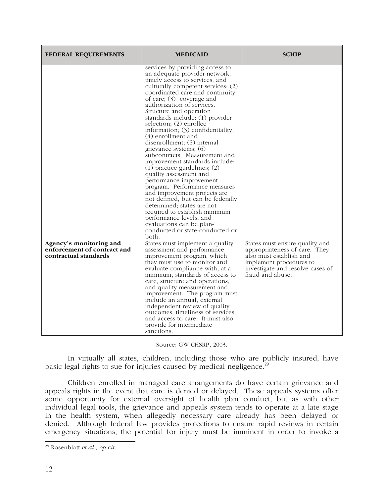| <b>FEDERAL REQUIREMENTS</b>                                                     | <b>MEDICAID</b>                                                                                                                                                                                                                                                                                                                                                                                                                                                                                                                                                                                                                                                                                                                                                                                                                                                                             | <b>SCHIP</b>                                                                                                                                                                  |
|---------------------------------------------------------------------------------|---------------------------------------------------------------------------------------------------------------------------------------------------------------------------------------------------------------------------------------------------------------------------------------------------------------------------------------------------------------------------------------------------------------------------------------------------------------------------------------------------------------------------------------------------------------------------------------------------------------------------------------------------------------------------------------------------------------------------------------------------------------------------------------------------------------------------------------------------------------------------------------------|-------------------------------------------------------------------------------------------------------------------------------------------------------------------------------|
|                                                                                 | services by providing access to<br>an adequate provider network,<br>timely access to services, and<br>culturally competent services; (2)<br>coordinated care and continuity<br>of care; $(3)$ coverage and<br>authorization of services.<br>Structure and operation<br>standards include: (1) provider<br>selection; $(2)$ enrollee<br>information; (3) confidentiality;<br>(4) enrollment and<br>disenrollment; (5) internal<br>grievance systems; (6)<br>subcontracts. Measurement and<br>improvement standards include:<br>$(1)$ practice guidelines; $(2)$<br>quality assessment and<br>performance improvement<br>program. Performance measures<br>and improvement projects are<br>not defined, but can be federally<br>determined; states are not<br>required to establish minimum<br>performance levels; and<br>evaluations can be plan-<br>conducted or state-conducted or<br>both. |                                                                                                                                                                               |
| Agency's monitoring and<br>enforcement of contract and<br>contractual standards | States must implement a quality<br>assessment and performance<br>improvement program, which<br>they must use to monitor and<br>evaluate compliance with, at a<br>minimum, standards of access to<br>care, structure and operations,<br>and quality measurement and<br>improvement. The program must<br>include an annual, external<br>independent review of quality<br>outcomes, timeliness of services,<br>and access to care. It must also<br>provide for intermediate<br>sanctions.                                                                                                                                                                                                                                                                                                                                                                                                      | States must ensure quality and<br>appropriateness of care. They<br>also must establish and<br>implement procedures to<br>investigate and resolve cases of<br>fraud and abuse. |

Source: GW CHSRP, 2003.

In virtually all states, children, including those who are publicly insured, have basic legal rights to sue for injuries caused by medical negligence.<sup>29</sup>

Children enrolled in managed care arrangements do have certain grievance and appeals rights in the event that care is denied or delayed. These appeals systems offer some opportunity for external oversight of health plan conduct, but as with other individual legal tools, the grievance and appeals system tends to operate at a late stage in the health system, when allegedly necessary care already has been delayed or denied. Although federal law provides protections to ensure rapid reviews in certain emergency situations, the potential for injury must be imminent in order to invoke a

 $\overline{a}$ 29 Rosenblatt *et al., op.cit.*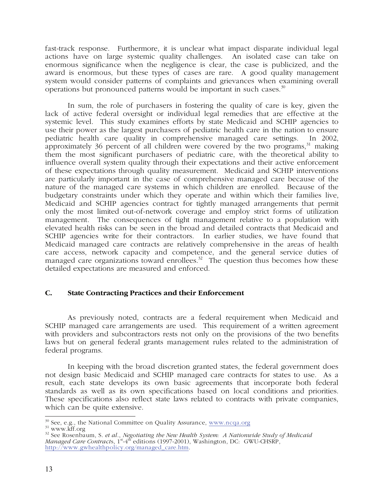fast-track response. Furthermore, it is unclear what impact disparate individual legal actions have on large systemic quality challenges. An isolated case can take on enormous significance when the negligence is clear, the case is publicized, and the award is enormous, but these types of cases are rare. A good quality management system would consider patterns of complaints and grievances when examining overall operations but pronounced patterns would be important in such cases.30

In sum, the role of purchasers in fostering the quality of care is key, given the lack of active federal oversight or individual legal remedies that are effective at the systemic level. This study examines efforts by state Medicaid and SCHIP agencies to use their power as the largest purchasers of pediatric health care in the nation to ensure pediatric health care quality in comprehensive managed care settings. In 2002, approximately 36 percent of all children were covered by the two programs, $31$  making them the most significant purchasers of pediatric care, with the theoretical ability to influence overall system quality through their expectations and their active enforcement of these expectations through quality measurement. Medicaid and SCHIP interventions are particularly important in the case of comprehensive managed care because of the nature of the managed care systems in which children are enrolled. Because of the budgetary constraints under which they operate and within which their families live, Medicaid and SCHIP agencies contract for tightly managed arrangements that permit only the most limited out-of-network coverage and employ strict forms of utilization management. The consequences of tight management relative to a population with elevated health risks can be seen in the broad and detailed contracts that Medicaid and SCHIP agencies write for their contractors. In earlier studies, we have found that Medicaid managed care contracts are relatively comprehensive in the areas of health care access, network capacity and competence, and the general service duties of managed care organizations toward enrollees.<sup>32</sup> The question thus becomes how these detailed expectations are measured and enforced.

# **C. State Contracting Practices and their Enforcement**

As previously noted, contracts are a federal requirement when Medicaid and SCHIP managed care arrangements are used. This requirement of a written agreement with providers and subcontractors rests not only on the provisions of the two benefits laws but on general federal grants management rules related to the administration of federal programs.

In keeping with the broad discretion granted states, the federal government does not design basic Medicaid and SCHIP managed care contracts for states to use. As a result, each state develops its own basic agreements that incorporate both federal standards as well as its own specifications based on local conditions and priorities. These specifications also reflect state laws related to contracts with private companies, which can be quite extensive.

 $\frac{30}{10}$  See, e.g., the National Committee on Quality Assurance, www.ncqa.org

<sup>&</sup>lt;sup>30</sup> See, e.g., the National Committee on Quality Assurance, <u>www.ncqa.org</u><br><sup>31</sup> www.kff.org<br><sup>32</sup> See Rosenbaum, S. *et al., Negotiating the New Health System: A Nationwide Study of Medicaid Managed Care Contracts*, 1<sup>st</sup>-4<sup>th</sup> editions (1997-2001), Washington, DC: GWU-CHSRP, http://www.gwhealthpolicy.org/managed\_care.htm.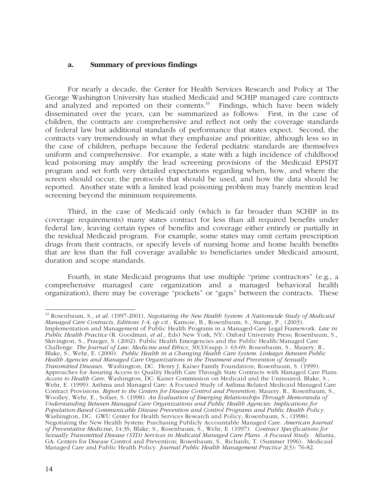#### **a. Summary of previous findings**

For nearly a decade, the Center for Health Services Research and Policy at The George Washington University has studied Medicaid and SCHIP managed care contracts and analyzed and reported on their contents.<sup>33</sup> Findings, which have been widely disseminated over the years, can be summarized as follows: First, in the case of children, the contracts are comprehensive and reflect not only the coverage standards of federal law but additional standards of performance that states expect. Second, the contracts vary tremendously in what they emphasize and prioritize, although less so in the case of children, perhaps because the federal pediatric standards are themselves uniform and comprehensive. For example, a state with a high incidence of childhood lead poisoning may amplify the lead screening provisions of the Medicaid EPSDT program and set forth very detailed expectations regarding when, how, and where the screen should occur, the protocols that should be used, and how the data should be reported. Another state with a limited lead poisoning problem may barely mention lead screening beyond the minimum requirements.

Third, in the case of Medicaid only (which is far broader than SCHIP in its coverage requirements) many states contract for less than all required benefits under federal law, leaving certain types of benefits and coverage either entirely or partially in the residual Medicaid program. For example, some states may omit certain prescription drugs from their contracts, or specify levels of nursing home and home health benefits that are less than the full coverage available to beneficiaries under Medicaid amount, duration and scope standards.

Fourth, in state Medicaid programs that use multiple "prime contractors" (e.g., a comprehensive managed care organization and a managed behavioral health organization), there may be coverage "pockets" or "gaps" between the contracts. These

Implementation and Management of Public Health Programs in a Managed-Care Legal Framework. *Law in Public Health Practice* (R. Goodman, *et al*., Eds) New York, NY: Oxford University Press; Rosenbaum, S., Skivington, S., Praeger, S. (2002). Public Health Emergencies and the Public Health/Managed Care Challenge. *The Journal of Law, Medicine and Ethics*, 30(3)(supp.): 63-69; Rosenbaum, S., Mauery, R., Blake, S., Wehr, E. (2000). *Public Health in a Changing Health Care System: Linkages Between Public Health Agencies and Managed Care Organizations in the Treatment and Prevention of Sexually Transmitted Diseases.* Washington, DC: Henry J. Kaiser Family Foundation; Rosenbaum, S. (1999). Approaches for Assuring Access to Quality Health Care Through State Contracts with Managed Care Plans. *Access to Health Care*, Washington, DC: Kaiser Commission on Medicaid and the Uninsured; Blake, S., Wehr, E. (1999). Asthma and Managed Care: A Focused Study of Asthma-Related Medicaid Managed Care Contract Provisions. *Report to the Centers for Disease Control and Prevention*; Mauery, R., Rosenbaum, S., Woolley, Wehr, E., Sofaer, S. (1998). *An Evaluation of Emerging Relationships Through Memoranda of Understanding Between Managed Care Organizations and Public Health Agencies: Implications for Population-Based Communicable Disease Prevention and Control Programs and Public Health Policy*. Washington, DC: GWU Center for Health Services Research and Policy; Rosenbaum, S., (1998). Negotiating the New Health System: Purchasing Publicly Accountable Managed Care. *American Journal of Preventative Medicine*, 14:3S; Blake, S., Rosenbaum, S., Wehr, E. (1997). *Contract Specifications for Sexually Transmitted Disease (STD) Services in Medicaid Managed Care Plans. A Focused Study*. Atlanta, GA: Centers for Disease Control and Prevention; Rosenbaum, S., Richards, T. (Summer 1996). Medicaid Managed Care and Public Health Policy. *Journal Public Health Management Practice* 2(3): 76-82.

 $\overline{a}$ 33 Rosenbaum, S., *et al*. (1997-2001), *Negotiating the New Health System: A Nationwide Study of Medicaid Managed Care Contracts, Editions 1-4, op cit.;* Kamoie, B., Rosenbaum, S., Stange, P., (2003).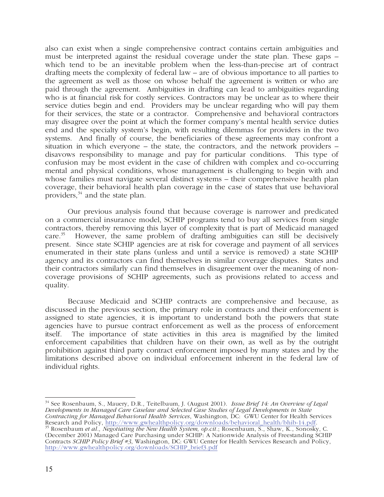also can exist when a single comprehensive contract contains certain ambiguities and must be interpreted against the residual coverage under the state plan. These gaps – which tend to be an inevitable problem when the less-than-precise art of contract drafting meets the complexity of federal law – are of obvious importance to all parties to the agreement as well as those on whose behalf the agreement is written or who are paid through the agreement. Ambiguities in drafting can lead to ambiguities regarding who is at financial risk for costly services. Contractors may be unclear as to where their service duties begin and end. Providers may be unclear regarding who will pay them for their services, the state or a contractor. Comprehensive and behavioral contractors may disagree over the point at which the former company's mental health service duties end and the specialty system's begin, with resulting dilemmas for providers in the two systems. And finally of course, the beneficiaries of these agreements may confront a situation in which everyone – the state, the contractors, and the network providers – disavows responsibility to manage and pay for particular conditions. This type of confusion may be most evident in the case of children with complex and co-occurring mental and physical conditions, whose management is challenging to begin with and whose families must navigate several distinct systems – their comprehensive health plan coverage, their behavioral health plan coverage in the case of states that use behavioral providers, $34$  and the state plan.

Our previous analysis found that because coverage is narrower and predicated on a commercial insurance model, SCHIP programs tend to buy all services from single contractors, thereby removing this layer of complexity that is part of Medicaid managed care.<sup>35</sup> However, the same problem of drafting ambiguities can still be decisively However, the same problem of drafting ambiguities can still be decisively present. Since state SCHIP agencies are at risk for coverage and payment of all services enumerated in their state plans (unless and until a service is removed) a state SCHIP agency and its contractors can find themselves in similar coverage disputes. States and their contractors similarly can find themselves in disagreement over the meaning of noncoverage provisions of SCHIP agreements, such as provisions related to access and quality.

Because Medicaid and SCHIP contracts are comprehensive and because, as discussed in the previous section, the primary role in contracts and their enforcement is assigned to state agencies, it is important to understand both the powers that state agencies have to pursue contract enforcement as well as the process of enforcement itself. The importance of state activities in this area is magnified by the limited enforcement capabilities that children have on their own, as well as by the outright prohibition against third party contract enforcement imposed by many states and by the limitations described above on individual enforcement inherent in the federal law of individual rights.

 $\overline{a}$ 34 See Rosenbaum, S., Mauery, D.R., Teitelbaum, J. (August 2001). *Issue Brief 14: An Overview of Legal Developments in Managed Care Caselaw and Selected Case Studies of Legal Developments in State Contracting for Managed Behavioral Health Services*, Washington, DC: GWU Center for Health Services Research and Policy, http://www.gwhealthpolicy.org/downloads/behavioral\_health/bhib-14.pdf.<br><sup>35</sup> Rosenbaum *et al., Negotiating the New Health System, op.cit.*; Rosenbaum, S., Shaw, K., Sonosky, C.

(December 2001) Managed Care Purchasing under SCHIP: A Nationwide Analysis of Freestanding SCHIP Contracts *SCHIP Policy Brief #3*, Washington, DC: GWU Center for Health Services Research and Policy, http://www.gwhealthpolicy.org/downloads/SCHIP\_brief3.pdf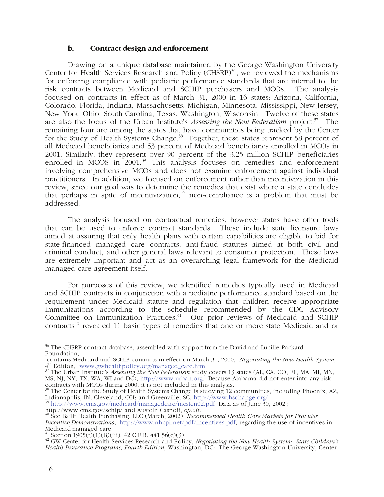#### **b. Contract design and enforcement**

Drawing on a unique database maintained by the George Washington University Center for Health Services Research and Policy (CHSRP)<sup>36</sup>, we reviewed the mechanisms for enforcing compliance with pediatric performance standards that are internal to the risk contracts between Medicaid and SCHIP purchasers and MCOs. The analysis focused on contracts in effect as of March 31, 2000 in 16 states: Arizona, California, Colorado, Florida, Indiana, Massachusetts, Michigan, Minnesota, Mississippi, New Jersey, New York, Ohio, South Carolina, Texas, Washington, Wisconsin. Twelve of these states are also the focus of the Urban Institute's *Assessing the New Federalism* project.<sup>37</sup> The remaining four are among the states that have communities being tracked by the Center for the Study of Health Systems Change.<sup>38</sup> Together, these states represent 58 percent of all Medicaid beneficiaries and 53 percent of Medicaid beneficiaries enrolled in MCOs in 2001. Similarly, they represent over 90 percent of the 3.25 million SCHIP beneficiaries enrolled in MCOS in 2001.<sup>39</sup> This analysis focuses on remedies and enforcement involving comprehensive MCOs and does not examine enforcement against individual practitioners. In addition, we focused on enforcement rather than incentivization in this review, since our goal was to determine the remedies that exist where a state concludes that perhaps in spite of incentivization,  $40$  non-compliance is a problem that must be addressed.

The analysis focused on contractual remedies, however states have other tools that can be used to enforce contract standards. These include state licensure laws aimed at assuring that only health plans with certain capabilities are eligible to bid for state-financed managed care contracts, anti-fraud statutes aimed at both civil and criminal conduct, and other general laws relevant to consumer protection. These laws are extremely important and act as an overarching legal framework for the Medicaid managed care agreement itself.

For purposes of this review, we identified remedies typically used in Medicaid and SCHIP contracts in conjunction with a pediatric performance standard based on the requirement under Medicaid statute and regulation that children receive appropriate immunizations according to the schedule recommended by the CDC Advisory Committee on Immunization Practices.<sup>41</sup> Our prior reviews of Medicaid and SCHIP contracts<sup>42</sup> revealed 11 basic types of remedies that one or more state Medicaid and or

 $\overline{a}$  $36$  The CHSRP contract database, assembled with support from the David and Lucille Packard Foundation,

contains Medicaid and SCHIP contracts in effect on March 31, 2000, *Negotiating the New Health System*,

<sup>&</sup>lt;sup>37</sup> The Urban Institute's *Assessing the New Federalism* study covers 13 states (AL, CA, CO, FL, MA, MI, MN, MS, NJ, NY, TX, WA, WI and DC), http://www.urban.org. Because Alabama did not enter into any risk contracts with MCOs during 2000, it is not included in this analysis.

<sup>&</sup>lt;sup>38</sup> The Center for the Study of Health Systems Change is studying 12 communities, including Phoenix, AZ;

Indianapolis, IN; Cleveland, OH; and Greenville, SC. http://www.hschange.org/.<br><sup>39</sup> http://www.cms.gov/medicaid/managedcare/mcsten02.pdf Data as of June 30, 2002.;<br>http://www.cms.gov/schip/ and Austein Casnoff, *op.cit*.

<sup>&</sup>lt;sup>40</sup> See Bailit Health Purchasing, LLC (March, 2002) *Recommended Health Care Markets for Provider Incentive Demonstrations***,** http://www.nhcpi.net/pdf/incentives.pdf, regarding the use of incentives in Medicaid managed care.<br> $^{41}$  Section 1905(r)(1)(B)(iii); 42 C.F.R. 441.56(c)(3).

<sup>&</sup>lt;sup>42</sup> GW Center for Health Services Research and Policy, *Negotiating the New Health System: State Children's Health Insurance Programs, Fourth Edition,* Washington, DC: The George Washington University, Center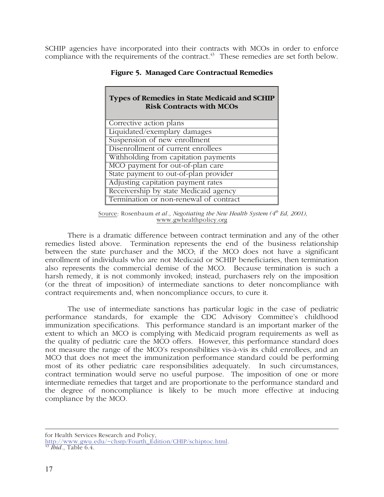SCHIP agencies have incorporated into their contracts with MCOs in order to enforce compliance with the requirements of the contract. $43$  These remedies are set forth below.

| Types of Remedies in State Medicaid and SCHIP<br><b>Risk Contracts with MCOs</b> |
|----------------------------------------------------------------------------------|
| Corrective action plans                                                          |
| Liquidated/exemplary damages                                                     |
| Suspension of new enrollment                                                     |
| Disenrollment of current enrollees                                               |
| Withholding from capitation payments                                             |
| MCO payment for out-of-plan care                                                 |
| State payment to out-of-plan provider                                            |
| Adjusting capitation payment rates                                               |
| Receivership by state Medicaid agency                                            |
| Termination or non-renewal of contract                                           |

**Figure 5. Managed Care Contractual Remedies** 

There is a dramatic difference between contract termination and any of the other remedies listed above. Termination represents the end of the business relationship between the state purchaser and the MCO; if the MCO does not have a significant enrollment of individuals who are not Medicaid or SCHIP beneficiaries, then termination also represents the commercial demise of the MCO. Because termination is such a harsh remedy, it is not commonly invoked; instead, purchasers rely on the imposition (or the threat of imposition) of intermediate sanctions to deter noncompliance with contract requirements and, when noncompliance occurs, to cure it.

The use of intermediate sanctions has particular logic in the case of pediatric performance standards, for example the CDC Advisory Committee's childhood immunization specifications. This performance standard is an important marker of the extent to which an MCO is complying with Medicaid program requirements as well as the quality of pediatric care the MCO offers. However, this performance standard does not measure the range of the MCO's responsibilities vis-à-vis its child enrollees, and an MCO that does not meet the immunization performance standard could be performing most of its other pediatric care responsibilities adequately. In such circumstances, contract termination would serve no useful purpose. The imposition of one or more intermediate remedies that target and are proportionate to the performance standard and the degree of noncompliance is likely to be much more effective at inducing compliance by the MCO.

 $\overline{a}$ for Health Services Research and Policy,

http://www.gwu.edu/~chsrp/Fourth\_Edition/CHIP/schiptoc.html. 43 *Ibid*., Table 6.4.

Source: Rosenbaum *et al., Negotiating the New Health System* (4<sup>th</sup> Ed, 2001), www.gwhealthpolicy.org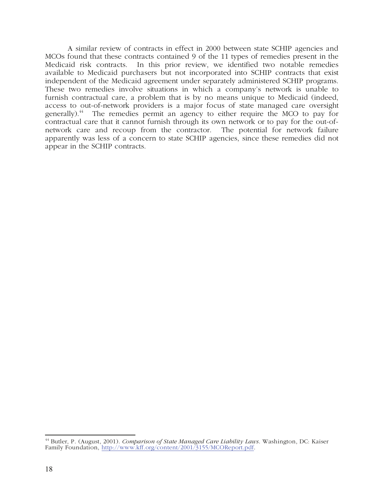A similar review of contracts in effect in 2000 between state SCHIP agencies and MCOs found that these contracts contained 9 of the 11 types of remedies present in the Medicaid risk contracts. In this prior review, we identified two notable remedies available to Medicaid purchasers but not incorporated into SCHIP contracts that exist independent of the Medicaid agreement under separately administered SCHIP programs. These two remedies involve situations in which a company's network is unable to furnish contractual care, a problem that is by no means unique to Medicaid (indeed, access to out-of-network providers is a major focus of state managed care oversight generally). $44$  The remedies permit an agency to either require the MCO to pay for contractual care that it cannot furnish through its own network or to pay for the out-ofnetwork care and recoup from the contractor. The potential for network failure apparently was less of a concern to state SCHIP agencies, since these remedies did not appear in the SCHIP contracts.

 $\overline{a}$ 

<sup>44</sup> Butler, P. (August, 2001). *Comparison of State Managed Care Liability Laws*. Washington, DC: Kaiser Family Foundation, http://www.kff.org/content/2001/3155/MCOReport.pdf.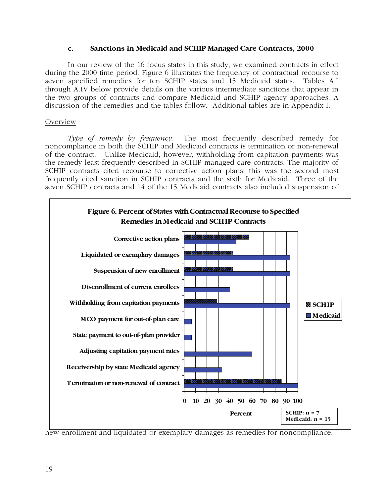#### **c. Sanctions in Medicaid and SCHIP Managed Care Contracts, 2000**

In our review of the 16 focus states in this study, we examined contracts in effect during the 2000 time period. Figure 6 illustrates the frequency of contractual recourse to seven specified remedies for ten SCHIP states and 15 Medicaid states. Tables A.I through A.IV below provide details on the various intermediate sanctions that appear in the two groups of contracts and compare Medicaid and SCHIP agency approaches. A discussion of the remedies and the tables follow. Additional tables are in Appendix I.

#### Overview

*Type of remedy by frequency.* The most frequently described remedy for noncompliance in both the SCHIP and Medicaid contracts is termination or non-renewal of the contract. Unlike Medicaid, however, withholding from capitation payments was the remedy least frequently described in SCHIP managed care contracts. The majority of SCHIP contracts cited recourse to corrective action plans; this was the second most frequently cited sanction in SCHIP contracts and the sixth for Medicaid. Three of the seven SCHIP contracts and 14 of the 15 Medicaid contracts also included suspension of



new enrollment and liquidated or exemplary damages as remedies for noncompliance.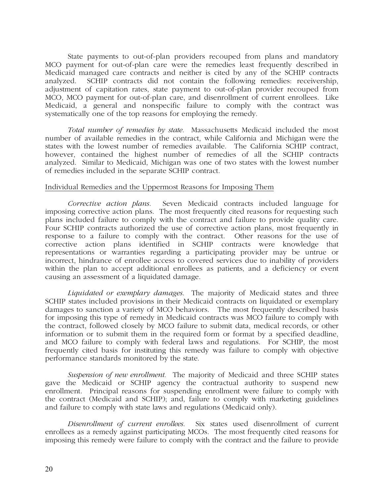State payments to out-of-plan providers recouped from plans and mandatory MCO payment for out-of-plan care were the remedies least frequently described in Medicaid managed care contracts and neither is cited by any of the SCHIP contracts analyzed. SCHIP contracts did not contain the following remedies: receivership, adjustment of capitation rates, state payment to out-of-plan provider recouped from MCO, MCO payment for out-of-plan care, and disenrollment of current enrollees. Like Medicaid, a general and nonspecific failure to comply with the contract was systematically one of the top reasons for employing the remedy.

*Total number of remedies by state.* Massachusetts Medicaid included the most number of available remedies in the contract, while California and Michigan were the states with the lowest number of remedies available. The California SCHIP contract, however, contained the highest number of remedies of all the SCHIP contracts analyzed. Similar to Medicaid, Michigan was one of two states with the lowest number of remedies included in the separate SCHIP contract.

#### Individual Remedies and the Uppermost Reasons for Imposing Them

 *Corrective action plans.* Seven Medicaid contracts included language for imposing corrective action plans. The most frequently cited reasons for requesting such plans included failure to comply with the contract and failure to provide quality care. Four SCHIP contracts authorized the use of corrective action plans, most frequently in response to a failure to comply with the contract. Other reasons for the use of corrective action plans identified in SCHIP contracts were knowledge that representations or warranties regarding a participating provider may be untrue or incorrect, hindrance of enrollee access to covered services due to inability of providers within the plan to accept additional enrollees as patients, and a deficiency or event causing an assessment of a liquidated damage.

 *Liquidated or exemplary damages.*The majority of Medicaid states and three SCHIP states included provisions in their Medicaid contracts on liquidated or exemplary damages to sanction a variety of MCO behaviors. The most frequently described basis for imposing this type of remedy in Medicaid contracts was MCO failure to comply with the contract, followed closely by MCO failure to submit data, medical records, or other information or to submit them in the required form or format by a specified deadline, and MCO failure to comply with federal laws and regulations. For SCHIP, the most frequently cited basis for instituting this remedy was failure to comply with objective performance standards monitored by the state.

 *Suspension of new enrollment.* The majority of Medicaid and three SCHIP states gave the Medicaid or SCHIP agency the contractual authority to suspend new enrollment. Principal reasons for suspending enrollment were failure to comply with the contract (Medicaid and SCHIP); and, failure to comply with marketing guidelines and failure to comply with state laws and regulations (Medicaid only).

 *Disenrollment of current enrollees.* Six states used disenrollment of current enrollees as a remedy against participating MCOs. The most frequently cited reasons for imposing this remedy were failure to comply with the contract and the failure to provide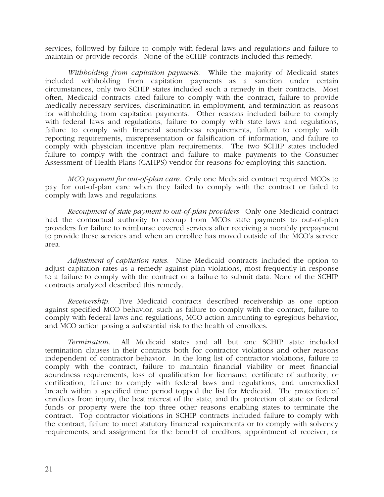services, followed by failure to comply with federal laws and regulations and failure to maintain or provide records. None of the SCHIP contracts included this remedy.

*Withholding from capitation payments.* While the majority of Medicaid states included withholding from capitation payments as a sanction under certain circumstances, only two SCHIP states included such a remedy in their contracts. Most often, Medicaid contracts cited failure to comply with the contract, failure to provide medically necessary services, discrimination in employment, and termination as reasons for withholding from capitation payments. Other reasons included failure to comply with federal laws and regulations, failure to comply with state laws and regulations, failure to comply with financial soundness requirements, failure to comply with reporting requirements, misrepresentation or falsification of information, and failure to comply with physician incentive plan requirements. The two SCHIP states included failure to comply with the contract and failure to make payments to the Consumer Assessment of Health Plans (CAHPS) vendor for reasons for employing this sanction.

 *MCO payment for out-of-plan care.* Only one Medicaid contract required MCOs to pay for out-of-plan care when they failed to comply with the contract or failed to comply with laws and regulations.

 *Recoupment of state payment to out-of-plan providers.*Only one Medicaid contract had the contractual authority to recoup from MCOs state payments to out-of-plan providers for failure to reimburse covered services after receiving a monthly prepayment to provide these services and when an enrollee has moved outside of the MCO's service area.

 *Adjustment of capitation rates.* Nine Medicaid contracts included the option to adjust capitation rates as a remedy against plan violations, most frequently in response to a failure to comply with the contract or a failure to submit data. None of the SCHIP contracts analyzed described this remedy.

 *Receivership.* Five Medicaid contracts described receivership as one option against specified MCO behavior, such as failure to comply with the contract, failure to comply with federal laws and regulations, MCO action amounting to egregious behavior, and MCO action posing a substantial risk to the health of enrollees.

 *Termination.* All Medicaid states and all but one SCHIP state included termination clauses in their contracts both for contractor violations and other reasons independent of contractor behavior. In the long list of contractor violations, failure to comply with the contract, failure to maintain financial viability or meet financial soundness requirements, loss of qualification for licensure, certificate of authority, or certification, failure to comply with federal laws and regulations, and unremedied breach within a specified time period topped the list for Medicaid. The protection of enrollees from injury, the best interest of the state, and the protection of state or federal funds or property were the top three other reasons enabling states to terminate the contract. Top contractor violations in SCHIP contracts included failure to comply with the contract, failure to meet statutory financial requirements or to comply with solvency requirements, and assignment for the benefit of creditors, appointment of receiver, or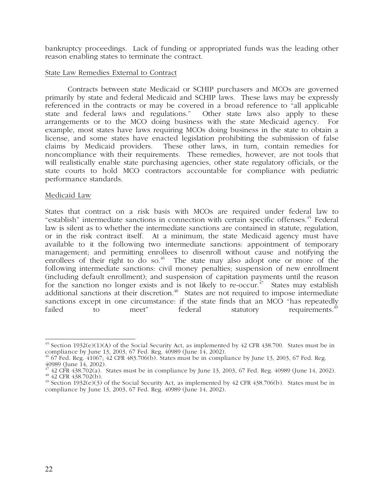bankruptcy proceedings. Lack of funding or appropriated funds was the leading other reason enabling states to terminate the contract.

#### State Law Remedies External to Contract

Contracts between state Medicaid or SCHIP purchasers and MCOs are governed primarily by state and federal Medicaid and SCHIP laws. These laws may be expressly referenced in the contracts or may be covered in a broad reference to "all applicable state and federal laws and regulations." Other state laws also apply to these arrangements or to the MCO doing business with the state Medicaid agency. For example, most states have laws requiring MCOs doing business in the state to obtain a license, and some states have enacted legislation prohibiting the submission of false claims by Medicaid providers. These other laws, in turn, contain remedies for noncompliance with their requirements. These remedies, however, are not tools that will realistically enable state purchasing agencies, other state regulatory officials, or the state courts to hold MCO contractors accountable for compliance with pediatric performance standards.

#### Medicaid Law

States that contract on a risk basis with MCOs are required under federal law to "establish" intermediate sanctions in connection with certain specific offenses.<sup>45</sup> Federal law is silent as to whether the intermediate sanctions are contained in statute, regulation, or in the risk contract itself. At a minimum, the state Medicaid agency must have available to it the following two intermediate sanctions: appointment of temporary management; and permitting enrollees to disenroll without cause and notifying the enrollees of their right to do so.<sup>46</sup> The state may also adopt one or more of the following intermediate sanctions: civil money penalties; suspension of new enrollment (including default enrollment); and suspension of capitation payments until the reason for the sanction no longer exists and is not likely to re-occur.<sup> $47$ </sup> States may establish additional sanctions at their discretion.<sup>48</sup> States are not required to impose intermediate sanctions except in one circumstance: if the state finds that an MCO "has repeatedly failed to the meet" federal statutory requirements.<sup>49</sup> to meet" federal statutory requirements.<sup>49</sup>

 $\overline{a}$  $^{45}$  Section 1932(e)(1)(A) of the Social Security Act, as implemented by 42 CFR 438.700. States must be in compliance by June 13, 2003, 67 Fed. Reg. 40989 (June 14, 2002).

 $^{46}$  67 Fed. Reg.  $41067$ ;  $42$  CFR  $483.706(b)$ . States must be in compliance by June 13, 2003, 67 Fed. Reg. 40989 (June 14, 2002).

 $^{47}_{42}$  err 438.702(a). States must be in compliance by June 13, 2003, 67 Fed. Reg. 40989 (June 14, 2002).  $^{48}_{42}$  err 438.702(b).

 $^{49}$  Section 1932(e)(3) of the Social Security Act, as implemented by 42 CFR 438.706(b). States must be in compliance by June 13, 2003, 67 Fed. Reg. 40989 (June 14, 2002).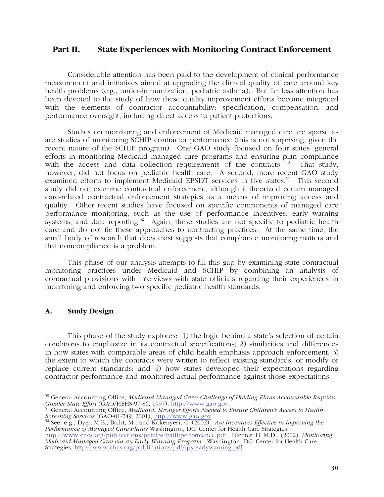# **Part II. State Experiences with Monitoring Contract Enforcement**

Considerable attention has been paid to the development of clinical performance measurement and initiatives aimed at upgrading the clinical quality of care around key health problems (e.g., under-immunization, pediatric asthma). But far less attention has been devoted to the study of how these quality improvement efforts become integrated with the elements of contractor accountability: specification, compensation, and performance oversight, including direct access to patient protections.

Studies on monitoring and enforcement of Medicaid managed care are sparse as are studies of monitoring SCHIP contractor performance (this is not surprising, given the recent nature of the SCHIP program). One GAO study focused on four states' general efforts in monitoring Medicaid managed care programs and ensuring plan compliance with the access and data collection requirements of the contracts.  $50$  That study, however, did not focus on pediatric health care. A second, more recent GAO study examined efforts to implement Medicaid EPSDT services in five states.<sup>51</sup> This second study did not examine contractual enforcement, although it theorized certain managed care-related contractual enforcement strategies as a means of improving access and quality. Other recent studies have focused on specific components of managed care performance monitoring, such as the use of performance incentives, early warning systems, and data reporting.<sup>52</sup> Again, these studies are not specific to pediatric health care and do not tie these approaches to contracting practices. At the same time, the small body of research that does exist suggests that compliance monitoring matters and that noncompliance is a problem.

This phase of our analysis attempts to fill this gap by examining state contractual monitoring practices under Medicaid and SCHIP by combining an analysis of contractual provisions with interviews with state officials regarding their experiences in monitoring and enforcing two specific pediatric health standards.

#### **A. Study Design**

This phase of the study explores: 1) the logic behind a state's selection of certain conditions to emphasize in its contractual specifications; 2) similarities and differences in how states with comparable areas of child health emphasis approach enforcement; 3) the extent to which the contracts were written to reflect existing standards, or modify or replace current standards; and 4) how states developed their expectations regarding contractor performance and monitored actual performance against those expectations.

*Performance of Managed Care Plans?* Washington, DC: Center for Health Care Strategies, http://www.chcs.org/publications/pdf/ips/bailitperformance.pdf; Dichter, H, M.D., (2002). *Monitoring Medicaid Managed Care via an Early Warning Program*. Washington, DC: Center for Health Care Strategies, http://www.chcs.org/publications/pdf/ips/earlywarning.pdf.

j 50 General Accounting Office, *Medicaid Managed Care: Challenge of Holding Plans Accountable Requires Greater State Effort* (GAO/HEHS-97-86, 1997), <u>http://www.gao.gov</u>.<br><sup>51</sup> General Accounting Office, *Medicaid: Stronger Efforts Needed to Ensure Children's Access to Health* 

*Screening Services* (GAO-01-749, 2001), http://www.gao.gov.<br><sup>52</sup> See, e.g., Dyer, M.B., Bailit, M., and Kokenyesi, C. (2002). *Are Incentives Effective in Improving the*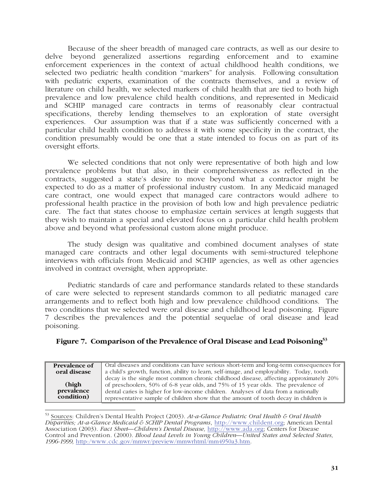Because of the sheer breadth of managed care contracts, as well as our desire to delve beyond generalized assertions regarding enforcement and to examine enforcement experiences in the context of actual childhood health conditions, we selected two pediatric health condition "markers" for analysis. Following consultation with pediatric experts, examination of the contracts themselves, and a review of literature on child health, we selected markers of child health that are tied to both high prevalence and low prevalence child health conditions, and represented in Medicaid and SCHIP managed care contracts in terms of reasonably clear contractual specifications, thereby lending themselves to an exploration of state oversight experiences. Our assumption was that if a state was sufficiently concerned with a particular child health condition to address it with some specificity in the contract, the condition presumably would be one that a state intended to focus on as part of its oversight efforts.

We selected conditions that not only were representative of both high and low prevalence problems but that also, in their comprehensiveness as reflected in the contracts, suggested a state's desire to move beyond what a contractor might be expected to do as a matter of professional industry custom. In any Medicaid managed care contract, one would expect that managed care contractors would adhere to professional health practice in the provision of both low and high prevalence pediatric care. The fact that states choose to emphasize certain services at length suggests that they wish to maintain a special and elevated focus on a particular child health problem above and beyond what professional custom alone might produce.

The study design was qualitative and combined document analyses of state managed care contracts and other legal documents with semi-structured telephone interviews with officials from Medicaid and SCHIP agencies, as well as other agencies involved in contract oversight, when appropriate.

Pediatric standards of care and performance standards related to these standards of care were selected to represent standards common to all pediatric managed care arrangements and to reflect both high and low prevalence childhood conditions. The two conditions that we selected were oral disease and childhood lead poisoning. Figure 7 describes the prevalences and the potential sequelae of oral disease and lead poisoning.

#### **Figure 7. Comparison of the Prevalence of Oral Disease and Lead Poisoning53**

| <b>Prevalence of</b> | Oral diseases and conditions can have serious short-term and long-term consequences for   |
|----------------------|-------------------------------------------------------------------------------------------|
| oral disease         | a child's growth, function, ability to learn, self-image, and employability. Today, tooth |
|                      | decay is the single most common chronic childhood disease, affecting approximately 20%    |
| (high                | of preschoolers, 50% of 6-8 year olds, and 75% of 15 year olds. The prevalence of         |
| prevalence           | dental caries is higher for low-income children. Analyses of data from a nationally       |
| condition)           | representative sample of children show that the amount of tooth decay in children is      |

j 53 Sources: Children's Dental Health Project (2003). *At-a-Glance Pediatric Oral Health & Oral Health Disparities; At-a-Glance Medicaid & SCHIP Dental Programs*, http://www.childent.org; American Dental Association (2003). *Fact Sheet—Children's Dental Disease,* http://www.ada.org; Centers for Disease Control and Prevention. (2000). *Blood Lead Levels in Young Children—United States and Selected States, 1996-1999,* http:/www.cdc.gov/mmwr/preview/mmwrhtml/mm4950a3.htm.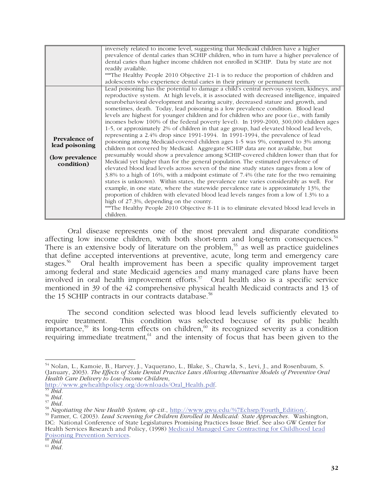|                      | inversely related to income level, suggesting that Medicaid children have a higher          |
|----------------------|---------------------------------------------------------------------------------------------|
|                      | prevalence of dental caries than SCHIP children, who in turn have a higher prevalence of    |
|                      | dental caries than higher income children not enrolled in SCHIP. Data by state are not      |
|                      | readily available.                                                                          |
|                      | ***The Healthy People 2010 Objective 21-1 is to reduce the proportion of children and       |
|                      | adolescents who experience dental caries in their primary or permanent teeth.               |
|                      | Lead poisoning has the potential to damage a child's central nervous system, kidneys, and   |
|                      | reproductive system. At high levels, it is associated with decreased intelligence, impaired |
|                      | neurobehavioral development and hearing acuity, decreased stature and growth, and           |
|                      | sometimes, death. Today, lead poisoning is a low prevalence condition. Blood lead           |
|                      | levels are highest for younger children and for children who are poor (i.e., with family    |
|                      | incomes below 100% of the federal poverty level). In 1999-2000, 300,000 children ages       |
|                      | 1-5, or approximately 2% of children in that age group, had elevated blood lead levels,     |
|                      | representing a 2.4% drop since 1991-1994. In 1991-1994, the prevalence of lead              |
| <b>Prevalence of</b> | poisoning among Medicaid-covered children ages 1-5 was 9%, compared to 3% among             |
| lead poisoning       | children not covered by Medicaid. Aggregate SCHIP data are not available, but               |
| (low prevalence      | presumably would show a prevalence among SCHIP-covered children lower than that for         |
| condition)           | Medicaid yet higher than for the general population. The estimated prevalence of            |
|                      | elevated blood lead levels across seven of the nine study states ranges from a low of       |
|                      | 3.8% to a high of 16%, with a midpoint estimate of 7.4% (the rate for the two remaining     |
|                      | states is unknown). Within states, the prevalence rate varies considerably as well. For     |
|                      | example, in one state, where the statewide prevalence rate is approximately 13%, the        |
|                      | proportion of children with elevated blood lead levels ranges from a low of 1.3% to a       |
|                      | high of 27.3%, depending on the county.                                                     |
|                      | ***The Healthy People 2010 Objective 8-11 is to eliminate elevated blood lead levels in     |
|                      | children.                                                                                   |

Oral disease represents one of the most prevalent and disparate conditions affecting low income children, with both short-term and long-term consequences.<sup>54</sup> There is an extensive body of literature on the problem,<sup>55</sup> as well as practice guidelines that define accepted interventions at preventive, acute, long term and emergency care stages.<sup>56</sup> Oral health improvement has been a specific quality improvement target among federal and state Medicaid agencies and many managed care plans have been involved in oral health improvement efforts.<sup>57</sup> Oral health also is a specific service mentioned in 39 of the 42 comprehensive physical health Medicaid contracts and 13 of the 15 SCHIP contracts in our contracts database.<sup>58</sup>

The second condition selected was blood lead levels sufficiently elevated to require treatment. This condition was selected because of its public health importance,<sup>59</sup> its long-term effects on children,<sup>60</sup> its recognized severity as a condition requiring immediate treatment, $61$  and the intensity of focus that has been given to the

http://www.gwhealthpolicy.org/downloads/Oral\_Health.pdf. 55 *Ibid.*

j <sup>54</sup> Nolan, L., Kamoie, B., Harvey, J., Vaquerano, L., Blake, S., Chawla, S., Levi, J., and Rosenbaum, S. (January, 2003). *The Effects of State Dental Practice Laws Allowing Alternative Models of Preventive Oral Health Care Delivery to Low-Income Children*,

<sup>&</sup>lt;sup>57</sup> Ibid.<br><sup>58</sup> Negotiating the New Health System, op cit., http://www.gwu.edu/%7Echsrp/Fourth\_Edition/.<br><sup>59</sup> Farmer, C. (2003). *Lead Screening for Children Enrolled in Medicaid: State Approaches.* Washington,

DC: National Conference of State Legislatures Promising Practices Issue Brief. See also GW Center for Health Services Research and Policy, (1998) Medicaid Managed Care Contracting for Childhood Lead Poisoning Prevention Services. 60 *Ibid.*

<sup>61</sup> *Ibid.*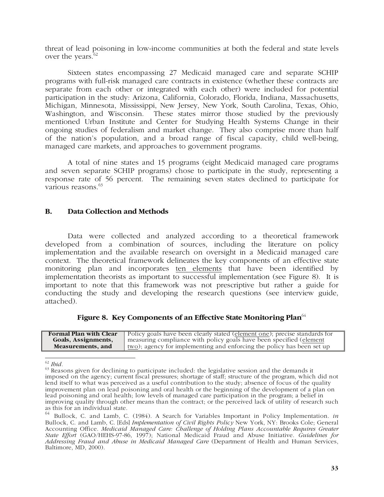threat of lead poisoning in low-income communities at both the federal and state levels over the years. $62$ 

Sixteen states encompassing 27 Medicaid managed care and separate SCHIP programs with full-risk managed care contracts in existence (whether these contracts are separate from each other or integrated with each other) were included for potential participation in the study: Arizona, California, Colorado, Florida, Indiana, Massachusetts, Michigan, Minnesota, Mississippi, New Jersey, New York, South Carolina, Texas, Ohio, Washington, and Wisconsin. These states mirror those studied by the previously mentioned Urban Institute and Center for Studying Health Systems Change in their ongoing studies of federalism and market change. They also comprise more than half of the nation's population, and a broad range of fiscal capacity, child well-being, managed care markets, and approaches to government programs.

A total of nine states and 15 programs (eight Medicaid managed care programs and seven separate SCHIP programs) chose to participate in the study, representing a response rate of 56 percent. The remaining seven states declined to participate for various reasons.<sup>63</sup>

#### **B. Data Collection and Methods**

Data were collected and analyzed according to a theoretical framework developed from a combination of sources, including the literature on policy implementation and the available research on oversight in a Medicaid managed care context. The theoretical framework delineates the key components of an effective state monitoring plan and incorporates ten elements that have been identified by implementation theorists as important to successful implementation (see Figure 8). It is important to note that this framework was not prescriptive but rather a guide for conducting the study and developing the research questions (see interview guide, attached).

#### Figure 8. Key Components of an Effective State Monitoring Plan<sup>64</sup>

| <b>Formal Plan with Clear</b> | Policy goals have been clearly stated (element one); precise standards for |
|-------------------------------|----------------------------------------------------------------------------|
| Goals, Assignments,           | measuring compliance with policy goals have been specified (element        |
| Measurements, and             | two); agency for implementing and enforcing the policy has been set up     |

 $\overline{\phantom{a}}$ <sup>62</sup> *Ibid.*

 $63$  Reasons given for declining to participate included: the legislative session and the demands it imposed on the agency; current fiscal pressures; shortage of staff; structure of the program, which did not lend itself to what was perceived as a useful contribution to the study; absence of focus of the quality improvement plan on lead poisoning and oral health or the beginning of the development of a plan on lead poisoning and oral health; low levels of managed care participation in the program; a belief in improving quality through other means than the contract; or the perceived lack of utility of research such as this for an individual state.<br> $^{64}$  Bullock, C, and Jamb, C

<sup>64</sup> Bullock, C. and Lamb, C. (1984). A Search for Variables Important in Policy Implementation. *in* Bullock, C. and Lamb, C. [Eds] *Implementation of Civil Rights Policy* New York, NY: Brooks Cole; General Accounting Office. *Medicaid Managed Care: Challenge of Holding Plans Accountable Requires Greater State Effort* (GAO/HEHS-97-86, 1997); National Medicaid Fraud and Abuse Initiative. *Guidelines for Addressing Fraud and Abuse in Medicaid Managed Care* (Department of Health and Human Services, Baltimore, MD, 2000).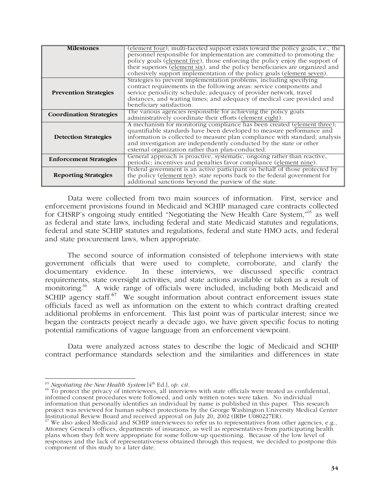| <b>Milestones</b>              | (element four); multi-faceted support exists toward the policy goals, i.e., the |
|--------------------------------|---------------------------------------------------------------------------------|
|                                | personnel responsible for implementation are committed to promoting the         |
|                                | policy goals (element five), those enforcing the policy enjoy the support of    |
|                                | their superiors (element six), and the policy beneficiaries are organized and   |
|                                | cohesively support implementation of the policy goals (element seven).          |
|                                | Strategies to prevent implementation problems, including specifying             |
|                                | contract requirements in the following areas: service components and            |
| <b>Prevention Strategies</b>   | service periodicity schedule; adequacy of provider network, travel              |
|                                | distances, and waiting times; and adequacy of medical care provided and         |
|                                | beneficiary satisfaction.                                                       |
| <b>Coordination Strategies</b> | The various agencies responsible for achieving the policy goals                 |
|                                | administratively coordinate their efforts (element eight).                      |
|                                | A mechanism for monitoring compliance has been created (element three);         |
|                                | quantifiable standards have been developed to measure performance and           |
| <b>Detection Strategies</b>    | information is collected to measure plan compliance with standard; analysis     |
|                                | and investigation are independently conducted by the state or other             |
|                                | external organization rather than plan-conducted.                               |
| <b>Enforcement Strategies</b>  | General approach is proactive, systematic, ongoing rather than reactive,        |
|                                | periodic; incentives and penalties favor compliance (element nine).             |
|                                | Federal government is an active participant on behalf of those protected by     |
| <b>Reporting Strategies</b>    | the policy (element ten); state reports back to the federal government for      |
|                                | additional sanctions beyond the purview of the state.                           |

Data were collected from two main sources of information. First, service and enforcement provisions found in Medicaid and SCHIP managed care contracts collected for CHSRP's ongoing study entitled "Negotiating the New Health Care System,"<sup>65</sup> as well as federal and state laws, including federal and state Medicaid statutes and regulations, federal and state SCHIP statutes and regulations, federal and state HMO acts, and federal and state procurement laws, when appropriate.

The second source of information consisted of telephone interviews with state government officials that were used to complete, corroborate, and clarify the In these interviews, we discussed specific contract requirements, state oversight activities, and state actions available or taken as a result of monitoring.<sup>66</sup> A wide range of officials were included, including both Medicaid and SCHIP agency staff.<sup>67</sup> We sought information about contract enforcement issues state officials faced as well as information on the extent to which contract drafting created additional problems in enforcement. This last point was of particular interest; since we began the contracts project nearly a decade ago, we have given specific focus to noting potential ramifications of vague language from an enforcement viewpoint.

Data were analyzed across states to describe the logic of Medicaid and SCHIP contract performance standards selection and the similarities and differences in state

<sup>65</sup> *Negotiating the New Health System* [4<sup>th</sup> Ed.], *op. cit.*<br><sup>66</sup> To protect the privacy of interviewees, all interviews with state officials were treated as confidential, informed consent procedures were followed, and only written notes were taken. No individual information that personally identifies an individual by name is published in this paper. This research project was reviewed for human subject protections by the George Washington University Medical Center Institutional Review Board and received approval on July 20, 2002 (IRB# U080227ER).

 $\overline{\phantom{a}}$ 

 $^{67}$  We also asked Medicaid and SCHIP interviewees to refer us to representatives from other agencies, e.g., Attorney General's offices, departments of insurance, as well as representatives from participating health plans whom they felt were appropriate for some follow-up questioning. Because of the low level of responses and the lack of representativeness obtained through this request, we decided to postpone this component of this study to a later date.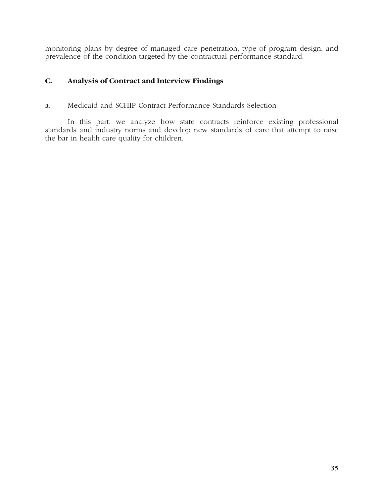monitoring plans by degree of managed care penetration, type of program design, and prevalence of the condition targeted by the contractual performance standard.

# **C. Analysis of Contract and Interview Findings**

## a. Medicaid and SCHIP Contract Performance Standards Selection

In this part, we analyze how state contracts reinforce existing professional standards and industry norms and develop new standards of care that attempt to raise the bar in health care quality for children.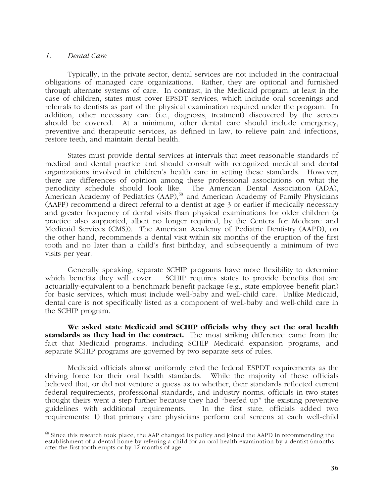#### *1. Dental Care*

Typically, in the private sector, dental services are not included in the contractual obligations of managed care organizations. Rather, they are optional and furnished through alternate systems of care. In contrast, in the Medicaid program, at least in the case of children, states must cover EPSDT services, which include oral screenings and referrals to dentists as part of the physical examination required under the program. In addition, other necessary care (i.e., diagnosis, treatment) discovered by the screen should be covered. At a minimum, other dental care should include emergency, preventive and therapeutic services, as defined in law, to relieve pain and infections, restore teeth, and maintain dental health.

States must provide dental services at intervals that meet reasonable standards of medical and dental practice and should consult with recognized medical and dental organizations involved in children's health care in setting these standards. However, there are differences of opinion among these professional associations on what the periodicity schedule should look like. The American Dental Association (ADA), American Academy of Pediatrics (AAP),<sup>68</sup> and American Academy of Family Physicians (AAFP) recommend a direct referral to a dentist at age 3 or earlier if medically necessary and greater frequency of dental visits than physical examinations for older children (a practice also supported, albeit no longer required, by the Centers for Medicare and Medicaid Services (CMS)). The American Academy of Pediatric Dentistry (AAPD), on the other hand, recommends a dental visit within six months of the eruption of the first tooth and no later than a child's first birthday, and subsequently a minimum of two visits per year.

Generally speaking, separate SCHIP programs have more flexibility to determine which benefits they will cover. SCHIP requires states to provide benefits that are actuarially-equivalent to a benchmark benefit package (e.g., state employee benefit plan) for basic services, which must include well-baby and well-child care. Unlike Medicaid, dental care is not specifically listed as a component of well-baby and well-child care in the SCHIP program.

**We asked state Medicaid and SCHIP officials why they set the oral health standards as they had in the contract.** The most striking difference came from the fact that Medicaid programs, including SCHIP Medicaid expansion programs, and separate SCHIP programs are governed by two separate sets of rules.

Medicaid officials almost uniformly cited the federal ESPDT requirements as the driving force for their oral health standards. While the majority of these officials believed that, or did not venture a guess as to whether, their standards reflected current federal requirements, professional standards, and industry norms, officials in two states thought theirs went a step further because they had "beefed up" the existing preventive guidelines with additional requirements. In the first state, officials added two requirements: 1) that primary care physicians perform oral screens at each well-child

 $\overline{\phantom{a}}$ <sup>68</sup> Since this research took place, the AAP changed its policy and joined the AAPD in recommending the establishment of a dental home by referring a child for an oral health examination by a dentist 6months after the first tooth erupts or by 12 months of age.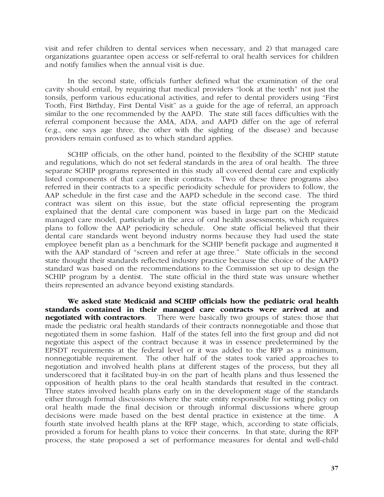visit and refer children to dental services when necessary, and 2) that managed care organizations guarantee open access or self-referral to oral health services for children and notify families when the annual visit is due.

In the second state, officials further defined what the examination of the oral cavity should entail, by requiring that medical providers "look at the teeth" not just the tonsils, perform various educational activities, and refer to dental providers using "First Tooth, First Birthday, First Dental Visit" as a guide for the age of referral, an approach similar to the one recommended by the AAPD. The state still faces difficulties with the referral component because the AMA, ADA, and AAPD differ on the age of referral (e.g., one says age three, the other with the sighting of the disease) and because providers remain confused as to which standard applies.

SCHIP officials, on the other hand, pointed to the flexibility of the SCHIP statute and regulations, which do not set federal standards in the area of oral health. The three separate SCHIP programs represented in this study all covered dental care and explicitly listed components of that care in their contracts. Two of these three programs also referred in their contracts to a specific periodicity schedule for providers to follow, the AAP schedule in the first case and the AAPD schedule in the second case. The third contract was silent on this issue, but the state official representing the program explained that the dental care component was based in large part on the Medicaid managed care model, particularly in the area of oral health assessments, which requires plans to follow the AAP periodicity schedule. One state official believed that their dental care standards went beyond industry norms because they had used the state employee benefit plan as a benchmark for the SCHIP benefit package and augmented it with the AAP standard of "screen and refer at age three." State officials in the second state thought their standards reflected industry practice because the choice of the AAPD standard was based on the recommendations to the Commission set up to design the SCHIP program by a dentist. The state official in the third state was unsure whether theirs represented an advance beyond existing standards.

**We asked state Medicaid and SCHIP officials how the pediatric oral health standards contained in their managed care contracts were arrived at and negotiated with contractors**. There were basically two groups of states: those that made the pediatric oral health standards of their contracts nonnegotiable and those that negotiated them in some fashion. Half of the states fell into the first group and did not negotiate this aspect of the contract because it was in essence predetermined by the EPSDT requirements at the federal level or it was added to the RFP as a minimum, nonnegotiable requirement. The other half of the states took varied approaches to negotiation and involved health plans at different stages of the process, but they all underscored that it facilitated buy-in on the part of health plans and thus lessened the opposition of health plans to the oral health standards that resulted in the contract. Three states involved health plans early on in the development stage of the standards either through formal discussions where the state entity responsible for setting policy on oral health made the final decision or through informal discussions where group decisions were made based on the best dental practice in existence at the time. A fourth state involved health plans at the RFP stage, which, according to state officials, provided a forum for health plans to voice their concerns. In that state, during the RFP process, the state proposed a set of performance measures for dental and well-child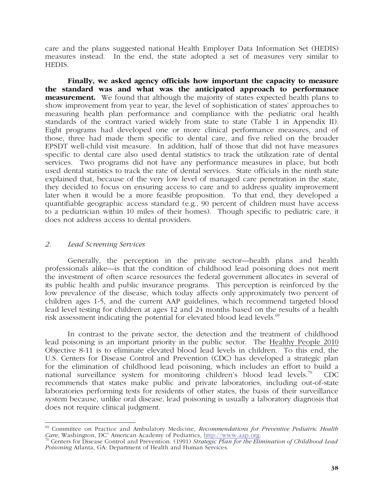care and the plans suggested national Health Employer Data Information Set (HEDIS) measures instead. In the end, the state adopted a set of measures very similar to **HEDIS** 

**Finally, we asked agency officials how important the capacity to measure the standard was and what was the anticipated approach to performance measurement.** We found that although the majority of states expected health plans to show improvement from year to year, the level of sophistication of states' approaches to measuring health plan performance and compliance with the pediatric oral health standards of the contract varied widely from state to state (Table 1 in Appendix II). Eight programs had developed one or more clinical performance measures, and of those, three had made them specific to dental care, and five relied on the broader EPSDT well-child visit measure. In addition, half of those that did not have measures specific to dental care also used dental statistics to track the utilization rate of dental services. Two programs did not have any performance measures in place, but both used dental statistics to track the rate of dental services. State officials in the ninth state explained that, because of the very low level of managed care penetration in the state, they decided to focus on ensuring access to care and to address quality improvement later when it would be a more feasible proposition. To that end, they developed a quantifiable geographic access standard (e.g., 90 percent of children must have access to a pediatrician within 10 miles of their homes). Though specific to pediatric care, it does not address access to dental providers.

#### *2. Lead Screening Services*

Generally, the perception in the private sector—health plans and health professionals alike—is that the condition of childhood lead poisoning does not merit the investment of often scarce resources the federal government allocates in several of its public health and public insurance programs. This perception is reinforced by the low prevalence of the disease, which today affects only approximately two percent of children ages 1-5, and the current AAP guidelines, which recommend targeted blood lead level testing for children at ages 12 and 24 months based on the results of a health risk assessment indicating the potential for elevated blood lead levels. $69$ 

In contrast to the private sector, the detection and the treatment of childhood lead poisoning is an important priority in the public sector. The Healthy People 2010 Objective 8-11 is to eliminate elevated blood lead levels in children. To this end, the U.S. Centers for Disease Control and Prevention (CDC) has developed a strategic plan for the elimination of childhood lead poisoning, which includes an effort to build a national surveillance system for monitoring children's blood lead levels.<sup>70</sup> CDC recommends that states make public and private laboratories, including out-of-state laboratories performing tests for residents of other states, the basis of their surveillance system because, unlike oral disease, lead poisoning is usually a laboratory diagnosis that does not require clinical judgment.

 $\overline{\phantom{a}}$ 69 Committee on Practice and Ambulatory Medicine, *Recommendations for Preventive Pediatric Health Care*, Washington, DC" American Academy of Pediatrics, http://www.aap.org. 70<br>
<sup>70</sup> Centers for Disease Control and Prevention. (1991) *Strategic Plan for the Elimination of Childhood Lead* <sup>70</sup>

*Poisoning* Atlanta, GA: Department of Health and Human Services.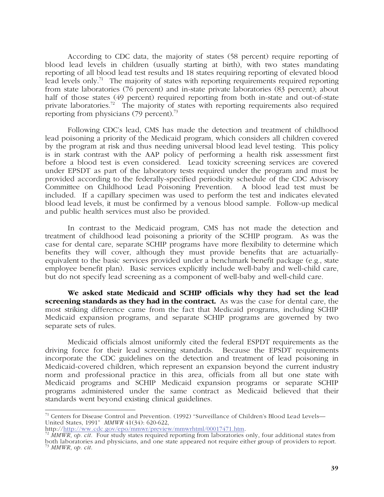According to CDC data, the majority of states (58 percent) require reporting of blood lead levels in children (usually starting at birth), with two states mandating reporting of all blood lead test results and 18 states requiring reporting of elevated blood lead levels only.<sup>71</sup> The majority of states with reporting requirements required reporting from state laboratories (76 percent) and in-state private laboratories (83 percent); about half of those states (49 percent) required reporting from both in-state and out-of-state private laboratories.<sup>72</sup> The majority of states with reporting requirements also required reporting from physicians  $(79 \text{ percent})$ .<sup>73</sup>

Following CDC's lead, CMS has made the detection and treatment of childhood lead poisoning a priority of the Medicaid program, which considers all children covered by the program at risk and thus needing universal blood lead level testing. This policy is in stark contrast with the AAP policy of performing a health risk assessment first before a blood test is even considered. Lead toxicity screening services are covered under EPSDT as part of the laboratory tests required under the program and must be provided according to the federally-specified periodicity schedule of the CDC Advisory Committee on Childhood Lead Poisoning Prevention. A blood lead test must be included. If a capillary specimen was used to perform the test and indicates elevated blood lead levels, it must be confirmed by a venous blood sample. Follow-up medical and public health services must also be provided.

In contrast to the Medicaid program, CMS has not made the detection and treatment of childhood lead poisoning a priority of the SCHIP program. As was the case for dental care, separate SCHIP programs have more flexibility to determine which benefits they will cover, although they must provide benefits that are actuariallyequivalent to the basic services provided under a benchmark benefit package (e.g., state employee benefit plan). Basic services explicitly include well-baby and well-child care, but do not specify lead screening as a component of well-baby and well-child care.

**We asked state Medicaid and SCHIP officials why they had set the lead screening standards as they had in the contract.** As was the case for dental care, the most striking difference came from the fact that Medicaid programs, including SCHIP Medicaid expansion programs, and separate SCHIP programs are governed by two separate sets of rules.

Medicaid officials almost uniformly cited the federal ESPDT requirements as the driving force for their lead screening standards. Because the EPSDT requirements incorporate the CDC guidelines on the detection and treatment of lead poisoning in Medicaid-covered children, which represent an expansion beyond the current industry norm and professional practice in this area, officials from all but one state with Medicaid programs and SCHIP Medicaid expansion programs or separate SCHIP programs administered under the same contract as Medicaid believed that their standards went beyond existing clinical guidelines.

 $\overline{a}$  $71$  Centers for Disease Control and Prevention. (1992) "Surveillance of Children's Blood Lead Levels— United States, 1991" *MMWR* 41(34): 620-622,<br>http://http://ww.cdc.gov/epo/mmwr/preview/mmwrhtml/00017471.htm.

<sup>&</sup>lt;sup>72</sup> *MMWR*, *op. cit*. Four study states required reporting from laboratories only, four additional states from both laboratories and physicians, and one state appeared not require either group of providers to report. <sup>73</sup> *MMWR*, *op. cit*.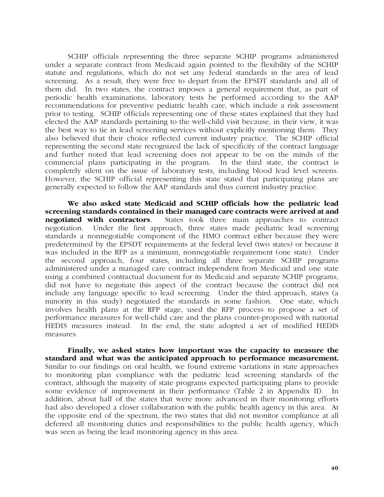SCHIP officials representing the three separate SCHIP programs administered under a separate contract from Medicaid again pointed to the flexibility of the SCHIP statute and regulations, which do not set any federal standards in the area of lead screening. As a result, they were free to depart from the EPSDT standards and all of them did. In two states, the contract imposes a general requirement that, as part of periodic health examinations, laboratory tests be performed according to the AAP recommendations for preventive pediatric health care, which include a risk assessment prior to testing. SCHIP officials representing one of these states explained that they had elected the AAP standards pertaining to the well-child visit because, in their view, it was the best way to tie in lead screening services without explicitly mentioning them. They also believed that their choice reflected current industry practice. The SCHIP official representing the second state recognized the lack of specificity of the contract language and further noted that lead screening does not appear to be on the minds of the commercial plans participating in the program. In the third state, the contract is completely silent on the issue of laboratory tests, including blood lead level screens. However, the SCHIP official representing this state stated that participating plans are generally expected to follow the AAP standards and thus current industry practice.

**We also asked state Medicaid and SCHIP officials how the pediatric lead screening standards contained in their managed care contracts were arrived at and negotiated with contractors**. States took three main approaches to contract negotiation. Under the first approach, three states made pediatric lead screening standards a nonnegotiable component of the HMO contract either because they were predetermined by the EPSDT requirements at the federal level (two states) or because it was included in the RFP as a minimum, nonnegotiable requirement (one state). Under the second approach, four states, including all three separate SCHIP programs administered under a managed care contract independent from Medicaid and one state using a combined contractual document for its Medicaid and separate SCHIP programs, did not have to negotiate this aspect of the contract because the contract did not include any language specific to lead screening. Under the third approach, states (a minority in this study) negotiated the standards in some fashion. One state, which involves health plans at the RFP stage, used the RFP process to propose a set of performance measures for well-child care and the plans counter-proposed with national HEDIS measures instead. In the end, the state adopted a set of modified HEDIS measures.

**Finally, we asked states how important was the capacity to measure the standard and what was the anticipated approach to performance measurement.** Similar to our findings on oral health, we found extreme variations in state approaches to monitoring plan compliance with the pediatric lead screening standards of the contract, although the majority of state programs expected participating plans to provide some evidence of improvement in their performance (Table 2 in Appendix II). In addition, about half of the states that were more advanced in their monitoring efforts had also developed a closer collaboration with the public health agency in this area. At the opposite end of the spectrum, the two states that did not monitor compliance at all deferred all monitoring duties and responsibilities to the public health agency, which was seen as being the lead monitoring agency in this area.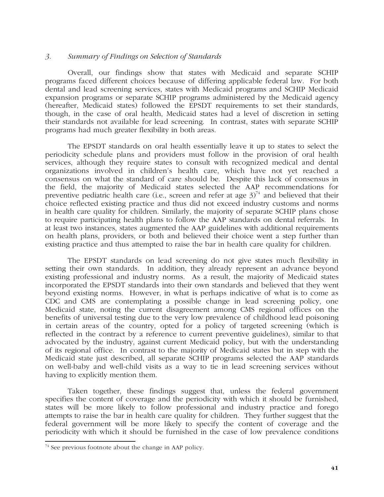#### *3. Summary of Findings on Selection of Standards*

Overall, our findings show that states with Medicaid and separate SCHIP programs faced different choices because of differing applicable federal law. For both dental and lead screening services, states with Medicaid programs and SCHIP Medicaid expansion programs or separate SCHIP programs administered by the Medicaid agency (hereafter, Medicaid states) followed the EPSDT requirements to set their standards, though, in the case of oral health, Medicaid states had a level of discretion in setting their standards not available for lead screening. In contrast, states with separate SCHIP programs had much greater flexibility in both areas.

The EPSDT standards on oral health essentially leave it up to states to select the periodicity schedule plans and providers must follow in the provision of oral health services, although they require states to consult with recognized medical and dental organizations involved in children's health care, which have not yet reached a consensus on what the standard of care should be. Despite this lack of consensus in the field, the majority of Medicaid states selected the AAP recommendations for preventive pediatric health care (i.e., screen and refer at age  $3^{74}$  and believed that their choice reflected existing practice and thus did not exceed industry customs and norms in health care quality for children. Similarly, the majority of separate SCHIP plans chose to require participating health plans to follow the AAP standards on dental referrals. In at least two instances, states augmented the AAP guidelines with additional requirements on health plans, providers, or both and believed their choice went a step further than existing practice and thus attempted to raise the bar in health care quality for children.

The EPSDT standards on lead screening do not give states much flexibility in setting their own standards. In addition, they already represent an advance beyond existing professional and industry norms. As a result, the majority of Medicaid states incorporated the EPSDT standards into their own standards and believed that they went beyond existing norms. However, in what is perhaps indicative of what is to come as CDC and CMS are contemplating a possible change in lead screening policy, one Medicaid state, noting the current disagreement among CMS regional offices on the benefits of universal testing due to the very low prevalence of childhood lead poisoning in certain areas of the country, opted for a policy of targeted screening (which is reflected in the contract by a reference to current preventive guidelines), similar to that advocated by the industry, against current Medicaid policy, but with the understanding of its regional office. In contrast to the majority of Medicaid states but in step with the Medicaid state just described, all separate SCHIP programs selected the AAP standards on well-baby and well-child visits as a way to tie in lead screening services without having to explicitly mention them.

Taken together, these findings suggest that, unless the federal government specifies the content of coverage and the periodicity with which it should be furnished, states will be more likely to follow professional and industry practice and forego attempts to raise the bar in health care quality for children. They further suggest that the federal government will be more likely to specify the content of coverage and the periodicity with which it should be furnished in the case of low prevalence conditions

 $\overline{a}$  $74$  See previous footnote about the change in AAP policy.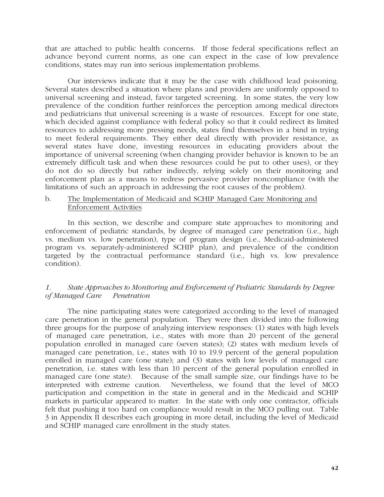that are attached to public health concerns. If those federal specifications reflect an advance beyond current norms, as one can expect in the case of low prevalence conditions, states may run into serious implementation problems.

Our interviews indicate that it may be the case with childhood lead poisoning. Several states described a situation where plans and providers are uniformly opposed to universal screening and instead, favor targeted screening. In some states, the very low prevalence of the condition further reinforces the perception among medical directors and pediatricians that universal screening is a waste of resources. Except for one state, which decided against compliance with federal policy so that it could redirect its limited resources to addressing more pressing needs, states find themselves in a bind in trying to meet federal requirements. They either deal directly with provider resistance, as several states have done, investing resources in educating providers about the importance of universal screening (when changing provider behavior is known to be an extremely difficult task and when these resources could be put to other uses), or they do not do so directly but rather indirectly, relying solely on their monitoring and enforcement plan as a means to redress pervasive provider noncompliance (with the limitations of such an approach in addressing the root causes of the problem).

## b. The Implementation of Medicaid and SCHIP Managed Care Monitoring and Enforcement Activities

In this section, we describe and compare state approaches to monitoring and enforcement of pediatric standards, by degree of managed care penetration (i.e., high vs. medium vs. low penetration), type of program design (i.e., Medicaid-administered program vs. separately-administered SCHIP plan), and prevalence of the condition targeted by the contractual performance standard (i.e., high vs. low prevalence condition).

# *1. State Approaches to Monitoring and Enforcement of Pediatric Standards by Degree of Managed Care Penetration*

The nine participating states were categorized according to the level of managed care penetration in the general population. They were then divided into the following three groups for the purpose of analyzing interview responses: (1) states with high levels of managed care penetration, i.e., states with more than 20 percent of the general population enrolled in managed care (seven states); (2) states with medium levels of managed care penetration, i.e., states with 10 to 19.9 percent of the general population enrolled in managed care (one state); and (3) states with low levels of managed care penetration, i.e. states with less than 10 percent of the general population enrolled in managed care (one state). Because of the small sample size, our findings have to be interpreted with extreme caution. Nevertheless, we found that the level of MCO participation and competition in the state in general and in the Medicaid and SCHIP markets in particular appeared to matter. In the state with only one contractor, officials felt that pushing it too hard on compliance would result in the MCO pulling out. Table 3 in Appendix II describes each grouping in more detail, including the level of Medicaid and SCHIP managed care enrollment in the study states.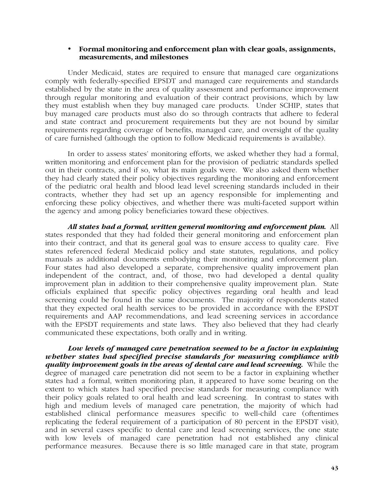#### • **Formal monitoring and enforcement plan with clear goals, assignments, measurements, and milestones**

Under Medicaid, states are required to ensure that managed care organizations comply with federally-specified EPSDT and managed care requirements and standards established by the state in the area of quality assessment and performance improvement through regular monitoring and evaluation of their contract provisions, which by law they must establish when they buy managed care products. Under SCHIP, states that buy managed care products must also do so through contracts that adhere to federal and state contract and procurement requirements but they are not bound by similar requirements regarding coverage of benefits, managed care, and oversight of the quality of care furnished (although the option to follow Medicaid requirements is available).

In order to assess states' monitoring efforts, we asked whether they had a formal, written monitoring and enforcement plan for the provision of pediatric standards spelled out in their contracts, and if so, what its main goals were. We also asked them whether they had clearly stated their policy objectives regarding the monitoring and enforcement of the pediatric oral health and blood lead level screening standards included in their contracts, whether they had set up an agency responsible for implementing and enforcing these policy objectives, and whether there was multi-faceted support within the agency and among policy beneficiaries toward these objectives.

*All states had a formal, written general monitoring and enforcement plan.*All states responded that they had folded their general monitoring and enforcement plan into their contract, and that its general goal was to ensure access to quality care. Five states referenced federal Medicaid policy and state statutes, regulations, and policy manuals as additional documents embodying their monitoring and enforcement plan. Four states had also developed a separate, comprehensive quality improvement plan independent of the contract, and, of those, two had developed a dental quality improvement plan in addition to their comprehensive quality improvement plan. State officials explained that specific policy objectives regarding oral health and lead screening could be found in the same documents. The majority of respondents stated that they expected oral health services to be provided in accordance with the EPSDT requirements and AAP recommendations, and lead screening services in accordance with the EPSDT requirements and state laws. They also believed that they had clearly communicated these expectations, both orally and in writing.

*Low levels of managed care penetration seemed to be a factor in explaining whether states had specified precise standards for measuring compliance with quality improvement goals in the areas of dental care and lead screening.*While the degree of managed care penetration did not seem to be a factor in explaining whether states had a formal, written monitoring plan, it appeared to have some bearing on the extent to which states had specified precise standards for measuring compliance with their policy goals related to oral health and lead screening. In contrast to states with high and medium levels of managed care penetration, the majority of which had established clinical performance measures specific to well-child care (oftentimes replicating the federal requirement of a participation of 80 percent in the EPSDT visit), and in several cases specific to dental care and lead screening services, the one state with low levels of managed care penetration had not established any clinical performance measures. Because there is so little managed care in that state, program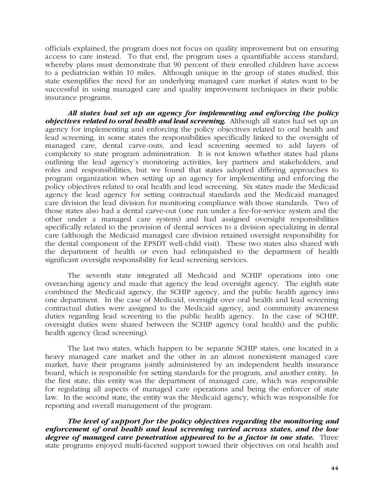officials explained, the program does not focus on quality improvement but on ensuring access to care instead. To that end, the program uses a quantifiable access standard, whereby plans must demonstrate that 90 percent of their enrolled children have access to a pediatrician within 10 miles. Although unique in the group of states studied, this state exemplifies the need for an underlying managed care market if states want to be successful in using managed care and quality improvement techniques in their public insurance programs.

*All states had set up an agency for implementing and enforcing the policy objectives related to oral health and lead screening.* Although all states had set up an agency for implementing and enforcing the policy objectives related to oral health and lead screening, in some states the responsibilities specifically linked to the oversight of managed care, dental carve-outs, and lead screening seemed to add layers of complexity to state program administration. It is not known whether states had plans outlining the lead agency's monitoring activities, key partners and stakeholders, and roles and responsibilities, but we found that states adopted differing approaches to program organization when setting up an agency for implementing and enforcing the policy objectives related to oral health and lead screening. Six states made the Medicaid agency the lead agency for setting contractual standards and the Medicaid managed care division the lead division for monitoring compliance with those standards. Two of those states also had a dental carve-out (one run under a fee-for-service system and the other under a managed care system) and had assigned oversight responsibilities specifically related to the provision of dental services to a division specializing in dental care (although the Medicaid managed care division retained oversight responsibility for the dental component of the EPSDT well-child visit). These two states also shared with the department of health or even had relinquished to the department of health significant oversight responsibility for lead screening services.

The seventh state integrated all Medicaid and SCHIP operations into one overarching agency and made that agency the lead oversight agency. The eighth state combined the Medicaid agency, the SCHIP agency, and the public health agency into one department. In the case of Medicaid, oversight over oral health and lead screening contractual duties were assigned to the Medicaid agency, and community awareness duties regarding lead screening to the public health agency. In the case of SCHIP, oversight duties were shared between the SCHIP agency (oral health) and the public health agency (lead screening).

The last two states, which happen to be separate SCHIP states, one located in a heavy managed care market and the other in an almost nonexistent managed care market, have their programs jointly administered by an independent health insurance board, which is responsible for setting standards for the program, and another entity. In the first state, this entity was the department of managed care, which was responsible for regulating all aspects of managed care operations and being the enforcer of state law. In the second state, the entity was the Medicaid agency, which was responsible for reporting and overall management of the program.

*The level of support for the policy objectives regarding the monitoring and enforcement of oral health and lead screening varied across states, and the low degree of managed care penetration appeared to be a factor in one state.* **Three** state programs enjoyed multi-faceted support toward their objectives on oral health and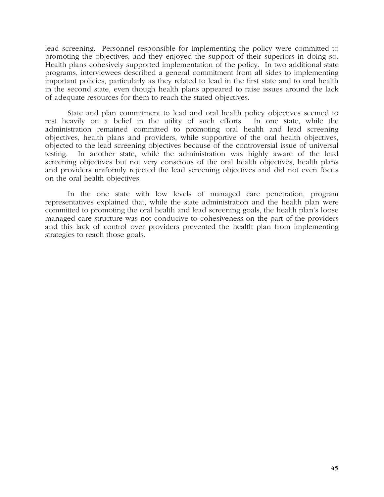lead screening. Personnel responsible for implementing the policy were committed to promoting the objectives, and they enjoyed the support of their superiors in doing so. Health plans cohesively supported implementation of the policy. In two additional state programs, interviewees described a general commitment from all sides to implementing important policies, particularly as they related to lead in the first state and to oral health in the second state, even though health plans appeared to raise issues around the lack of adequate resources for them to reach the stated objectives.

State and plan commitment to lead and oral health policy objectives seemed to rest heavily on a belief in the utility of such efforts. In one state, while the administration remained committed to promoting oral health and lead screening objectives, health plans and providers, while supportive of the oral health objectives, objected to the lead screening objectives because of the controversial issue of universal testing. In another state, while the administration was highly aware of the lead screening objectives but not very conscious of the oral health objectives, health plans and providers uniformly rejected the lead screening objectives and did not even focus on the oral health objectives.

In the one state with low levels of managed care penetration, program representatives explained that, while the state administration and the health plan were committed to promoting the oral health and lead screening goals, the health plan's loose managed care structure was not conducive to cohesiveness on the part of the providers and this lack of control over providers prevented the health plan from implementing strategies to reach those goals.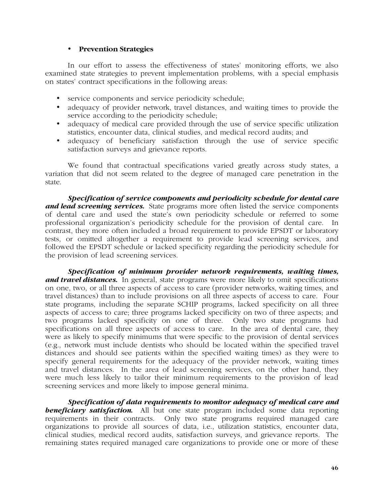#### • **Prevention Strategies**

In our effort to assess the effectiveness of states' monitoring efforts, we also examined state strategies to prevent implementation problems, with a special emphasis on states' contract specifications in the following areas:

- service components and service periodicity schedule;
- adequacy of provider network, travel distances, and waiting times to provide the service according to the periodicity schedule;
- adequacy of medical care provided through the use of service specific utilization statistics, encounter data, clinical studies, and medical record audits; and
- adequacy of beneficiary satisfaction through the use of service specific satisfaction surveys and grievance reports.

We found that contractual specifications varied greatly across study states, a variation that did not seem related to the degree of managed care penetration in the state.

*Specification of service components and periodicity schedule for dental care and lead screening services.* State programs more often listed the service components of dental care and used the state's own periodicity schedule or referred to some professional organization's periodicity schedule for the provision of dental care. In contrast, they more often included a broad requirement to provide EPSDT or laboratory tests, or omitted altogether a requirement to provide lead screening services, and followed the EPSDT schedule or lacked specificity regarding the periodicity schedule for the provision of lead screening services.

*Specification of minimum provider network requirements, waiting times, and travel distances.* In general, state programs were more likely to omit specifications on one, two, or all three aspects of access to care (provider networks, waiting times, and travel distances) than to include provisions on all three aspects of access to care. Four state programs, including the separate SCHIP programs, lacked specificity on all three aspects of access to care; three programs lacked specificity on two of three aspects; and two programs lacked specificity on one of three. Only two state programs had specifications on all three aspects of access to care. In the area of dental care, they were as likely to specify minimums that were specific to the provision of dental services (e.g., network must include dentists who should be located within the specified travel distances and should see patients within the specified waiting times) as they were to specify general requirements for the adequacy of the provider network, waiting times and travel distances. In the area of lead screening services, on the other hand, they were much less likely to tailor their minimum requirements to the provision of lead screening services and more likely to impose general minima.

*Specification of data requirements to monitor adequacy of medical care and*  **beneficiary satisfaction.** All but one state program included some data reporting requirements in their contracts. Only two state programs required managed care organizations to provide all sources of data, i.e., utilization statistics, encounter data, clinical studies, medical record audits, satisfaction surveys, and grievance reports. The remaining states required managed care organizations to provide one or more of these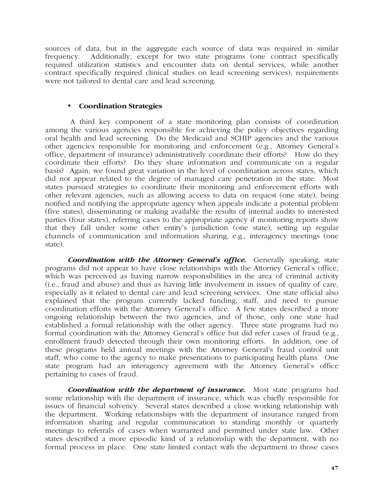sources of data, but in the aggregate each source of data was required in similar frequency. Additionally, except for two state programs (one contract specifically required utilization statistics and encounter data on dental services, while another contract specifically required clinical studies on lead screening services), requirements were not tailored to dental care and lead screening.

# • **Coordination Strategies**

 A third key component of a state monitoring plan consists of coordination among the various agencies responsible for achieving the policy objectives regarding oral health and lead screening. Do the Medicaid and SCHIP agencies and the various other agencies responsible for monitoring and enforcement (e.g., Attorney General's office, department of insurance) administratively coordinate their efforts? How do they coordinate their efforts? Do they share information and communicate on a regular basis? Again, we found great variation in the level of coordination across states, which did not appear related to the degree of managed care penetration in the state. Most states pursued strategies to coordinate their monitoring and enforcement efforts with other relevant agencies, such as allowing access to data on request (one state), being notified and notifying the appropriate agency when appeals indicate a potential problem (five states), disseminating or making available the results of internal audits to interested parties (four states), referring cases to the appropriate agency if monitoring reports show that they fall under some other entity's jurisdiction (one state), setting up regular channels of communication and information sharing, e.g., interagency meetings (one state).

*Coordination with the Attorney General's office.* Generally speaking, state programs did not appear to have close relationships with the Attorney General's office, which was perceived as having narrow responsibilities in the area of criminal activity (i.e., fraud and abuse) and thus as having little involvement in issues of quality of care, especially as it related to dental care and lead screening services. One state official also explained that the program currently lacked funding, staff, and need to pursue coordination efforts with the Attorney General's office. A few states described a more ongoing relationship between the two agencies, and of those, only one state had established a formal relationship with the other agency. Three state programs had no formal coordination with the Attorney General's office but did refer cases of fraud (e.g., enrollment fraud) detected through their own monitoring efforts. In addition, one of these programs held annual meetings with the Attorney General's fraud control unit staff, who come to the agency to make presentations to participating health plans. One state program had an interagency agreement with the Attorney General's office pertaining to cases of fraud.

*Coordination with the department of insurance.* Most state programs had some relationship with the department of insurance, which was chiefly responsible for issues of financial solvency. Several states described a close working relationship with the department. Working relationships with the department of insurance ranged from information sharing and regular communication to standing monthly or quarterly meetings to referrals of cases when warranted and permitted under state law. Other states described a more episodic kind of a relationship with the department, with no formal process in place. One state limited contact with the department to those cases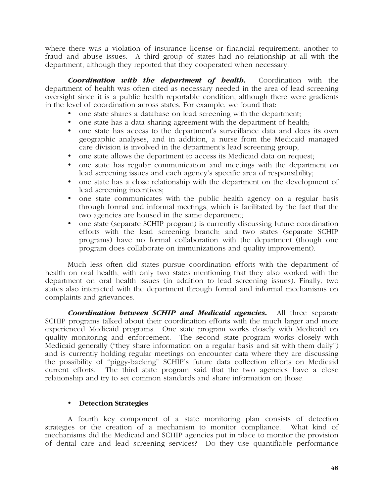where there was a violation of insurance license or financial requirement; another to fraud and abuse issues. A third group of states had no relationship at all with the department, although they reported that they cooperated when necessary.

*Coordination with the department of health***.** Coordination with the department of health was often cited as necessary needed in the area of lead screening oversight since it is a public health reportable condition, although there were gradients in the level of coordination across states. For example, we found that:

- one state shares a database on lead screening with the department;
- one state has a data sharing agreement with the department of health;
- one state has access to the department's surveillance data and does its own geographic analyses, and in addition, a nurse from the Medicaid managed care division is involved in the department's lead screening group;
- one state allows the department to access its Medicaid data on request;
- one state has regular communication and meetings with the department on lead screening issues and each agency's specific area of responsibility;
- one state has a close relationship with the department on the development of lead screening incentives;
- one state communicates with the public health agency on a regular basis through formal and informal meetings, which is facilitated by the fact that the two agencies are housed in the same department;
- one state (separate SCHIP program) is currently discussing future coordination efforts with the lead screening branch; and two states (separate SCHIP programs) have no formal collaboration with the department (though one program does collaborate on immunizations and quality improvement).

Much less often did states pursue coordination efforts with the department of health on oral health, with only two states mentioning that they also worked with the department on oral health issues (in addition to lead screening issues). Finally, two states also interacted with the department through formal and informal mechanisms on complaints and grievances.

*Coordination between SCHIP and Medicaid agencies***.** All three separate SCHIP programs talked about their coordination efforts with the much larger and more experienced Medicaid programs. One state program works closely with Medicaid on quality monitoring and enforcement. The second state program works closely with Medicaid generally ("they share information on a regular basis and sit with them daily") and is currently holding regular meetings on encounter data where they are discussing the possibility of "piggy-backing" SCHIP's future data collection efforts on Medicaid current efforts. The third state program said that the two agencies have a close relationship and try to set common standards and share information on those.

# • **Detection Strategies**

A fourth key component of a state monitoring plan consists of detection strategies or the creation of a mechanism to monitor compliance. What kind of mechanisms did the Medicaid and SCHIP agencies put in place to monitor the provision of dental care and lead screening services? Do they use quantifiable performance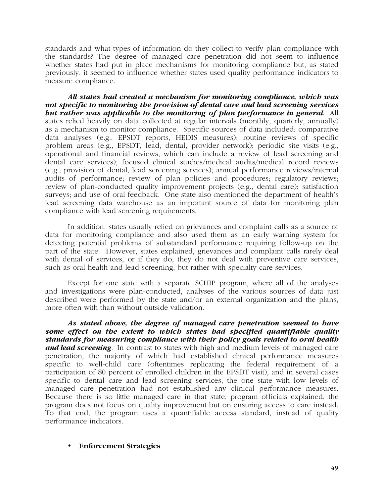standards and what types of information do they collect to verify plan compliance with the standards? The degree of managed care penetration did not seem to influence whether states had put in place mechanisms for monitoring compliance but, as stated previously, it seemed to influence whether states used quality performance indicators to measure compliance.

*All states had created a mechanism for monitoring compliance, which was not specific to monitoring the provision of dental care and lead screening services but rather was applicable to the monitoring of plan performance in general.* All states relied heavily on data collected at regular intervals (monthly, quarterly, annually) as a mechanism to monitor compliance. Specific sources of data included: comparative data analyses (e.g., EPSDT reports, HEDIS measures); routine reviews of specific problem areas (e.g., EPSDT, lead, dental, provider network); periodic site visits (e.g., operational and financial reviews, which can include a review of lead screening and dental care services); focused clinical studies/medical audits/medical record reviews (e.g., provision of dental, lead screening services); annual performance reviews/internal audits of performance; review of plan policies and procedures; regulatory reviews; review of plan-conducted quality improvement projects (e.g., dental care); satisfaction surveys; and use of oral feedback. One state also mentioned the department of health's lead screening data warehouse as an important source of data for monitoring plan compliance with lead screening requirements.

In addition, states usually relied on grievances and complaint calls as a source of data for monitoring compliance and also used them as an early warning system for detecting potential problems of substandard performance requiring follow-up on the part of the state. However, states explained, grievances and complaint calls rarely deal with denial of services, or if they do, they do not deal with preventive care services, such as oral health and lead screening, but rather with specialty care services.

Except for one state with a separate SCHIP program, where all of the analyses and investigations were plan-conducted, analyses of the various sources of data just described were performed by the state and/or an external organization and the plans, more often with than without outside validation.

*As stated above, the degree of managed care penetration seemed to have some effect on the extent to which states had specified quantifiable quality standards for measuring compliance with their policy goals related to oral health and lead screening*. In contrast to states with high and medium levels of managed care penetration, the majority of which had established clinical performance measures specific to well-child care (oftentimes replicating the federal requirement of a participation of 80 percent of enrolled children in the EPSDT visit), and in several cases specific to dental care and lead screening services, the one state with low levels of managed care penetration had not established any clinical performance measures. Because there is so little managed care in that state, program officials explained, the program does not focus on quality improvement but on ensuring access to care instead. To that end, the program uses a quantifiable access standard, instead of quality performance indicators.

# • **Enforcement Strategies**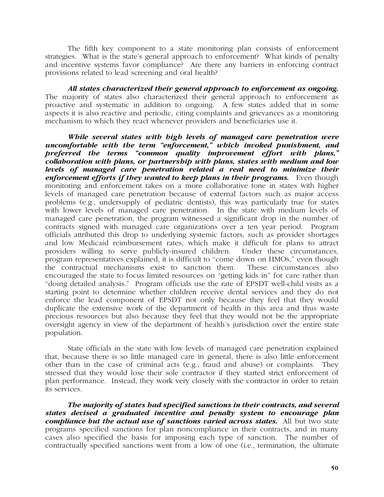The fifth key component to a state monitoring plan consists of enforcement strategies. What is the state's general approach to enforcement? What kinds of penalty and incentive systems favor compliance? Are there any barriers in enforcing contract provisions related to lead screening and oral health?

*All states characterized their general approach to enforcement as ongoing.* The majority of states also characterized their general approach to enforcement as proactive and systematic in addition to ongoing. A few states added that in some aspects it is also reactive and periodic, citing complaints and grievances as a monitoring mechanism to which they react whenever providers and beneficiaries use it.

*While several states with high levels of managed care penetration were uncomfortable with the term "enforcement," which invoked punishment, and preferred the terms "common quality improvement effort with plans," collaboration with plans, or partnership with plans, states with medium and low levels of managed care penetration related a real need to minimize their enforcement efforts if they wanted to keep plans in their programs.* **Even though** monitoring and enforcement takes on a more collaborative tone in states with higher levels of managed care penetration because of external factors such as major access problems (e.g., undersupply of pediatric dentists), this was particularly true for states with lower levels of managed care penetration. In the state with medium levels of managed care penetration, the program witnessed a significant drop in the number of contracts signed with managed care organizations over a ten year period. Program officials attributed this drop to underlying systemic factors, such as provider shortages and low Medicaid reimbursement rates, which make it difficult for plans to attract providers willing to serve publicly-insured children. Under these circumstances, program representatives explained, it is difficult to "come down on HMOs," even though the contractual mechanisms exist to sanction them. These circumstances also encouraged the state to focus limited resources on "getting kids in" for care rather than "doing detailed analysis." Program officials use the rate of EPSDT well-child visits as a starting point to determine whether children receive dental services and they do not enforce the lead component of EPSDT not only because they feel that they would duplicate the extensive work of the department of health in this area and thus waste precious resources but also because they feel that they would not be the appropriate oversight agency in view of the department of health's jurisdiction over the entire state population.

State officials in the state with low levels of managed care penetration explained that, because there is so little managed care in general, there is also little enforcement other than in the case of criminal acts (e.g., fraud and abuse) or complaints. They stressed that they would lose their sole contractor if they started strict enforcement of plan performance. Instead, they work very closely with the contractor in order to retain its services.

*The majority of states had specified sanctions in their contracts, and several states devised a graduated incentive and penalty system to encourage plan compliance but the actual use of sanctions varied across states.*All but two state programs specified sanctions for plan noncompliance in their contracts, and in many cases also specified the basis for imposing each type of sanction. The number of contractually specified sanctions went from a low of one (i.e., termination, the ultimate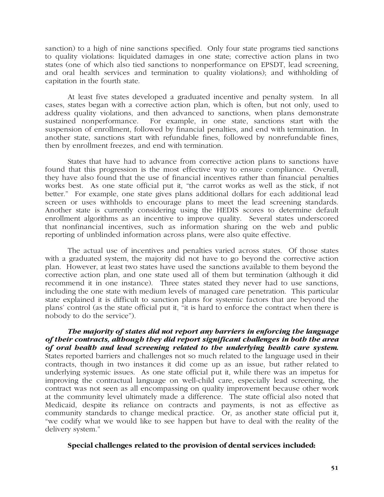sanction) to a high of nine sanctions specified. Only four state programs tied sanctions to quality violations: liquidated damages in one state; corrective action plans in two states (one of which also tied sanctions to nonperformance on EPSDT, lead screening, and oral health services and termination to quality violations); and withholding of capitation in the fourth state.

At least five states developed a graduated incentive and penalty system. In all cases, states began with a corrective action plan, which is often, but not only, used to address quality violations, and then advanced to sanctions, when plans demonstrate sustained nonperformance. For example, in one state, sanctions start with the suspension of enrollment, followed by financial penalties, and end with termination. In another state, sanctions start with refundable fines, followed by nonrefundable fines, then by enrollment freezes, and end with termination.

States that have had to advance from corrective action plans to sanctions have found that this progression is the most effective way to ensure compliance. Overall, they have also found that the use of financial incentives rather than financial penalties works best. As one state official put it, "the carrot works as well as the stick, if not better." For example, one state gives plans additional dollars for each additional lead screen or uses withholds to encourage plans to meet the lead screening standards. Another state is currently considering using the HEDIS scores to determine default enrollment algorithms as an incentive to improve quality. Several states underscored that nonfinancial incentives, such as information sharing on the web and public reporting of unblinded information across plans, were also quite effective.

The actual use of incentives and penalties varied across states. Of those states with a graduated system, the majority did not have to go beyond the corrective action plan. However, at least two states have used the sanctions available to them beyond the corrective action plan, and one state used all of them but termination (although it did recommend it in one instance). Three states stated they never had to use sanctions, including the one state with medium levels of managed care penetration. This particular state explained it is difficult to sanction plans for systemic factors that are beyond the plans' control (as the state official put it, "it is hard to enforce the contract when there is nobody to do the service").

*The majority of states did not report any barriers in enforcing the language of their contracts, although they did report significant challenges in both the area of oral health and lead screening related to the underlying health care system.* States reported barriers and challenges not so much related to the language used in their contracts, though in two instances it did come up as an issue, but rather related to underlying systemic issues. As one state official put it, while there was an impetus for improving the contractual language on well-child care, especially lead screening, the contract was not seen as all encompassing on quality improvement because other work at the community level ultimately made a difference. The state official also noted that Medicaid, despite its reliance on contracts and payments, is not as effective as community standards to change medical practice. Or, as another state official put it, "we codify what we would like to see happen but have to deal with the reality of the delivery system."

# **Special challenges related to the provision of dental services included:**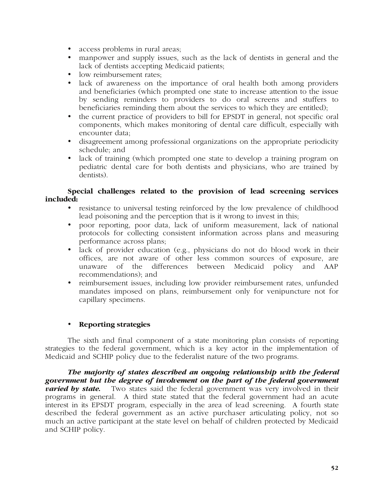- access problems in rural areas;
- manpower and supply issues, such as the lack of dentists in general and the lack of dentists accepting Medicaid patients;
- low reimbursement rates;
- lack of awareness on the importance of oral health both among providers and beneficiaries (which prompted one state to increase attention to the issue by sending reminders to providers to do oral screens and stuffers to beneficiaries reminding them about the services to which they are entitled);
- the current practice of providers to bill for EPSDT in general, not specific oral components, which makes monitoring of dental care difficult, especially with encounter data;
- disagreement among professional organizations on the appropriate periodicity schedule; and
- lack of training (which prompted one state to develop a training program on pediatric dental care for both dentists and physicians, who are trained by dentists).

# **Special challenges related to the provision of lead screening services included:**

- resistance to universal testing reinforced by the low prevalence of childhood lead poisoning and the perception that is it wrong to invest in this;
- poor reporting, poor data, lack of uniform measurement, lack of national protocols for collecting consistent information across plans and measuring performance across plans;
- lack of provider education (e.g., physicians do not do blood work in their offices, are not aware of other less common sources of exposure, are unaware of the differences between Medicaid policy and AAP recommendations); and
- reimbursement issues, including low provider reimbursement rates, unfunded mandates imposed on plans, reimbursement only for venipuncture not for capillary specimens.

# • **Reporting strategies**

The sixth and final component of a state monitoring plan consists of reporting strategies to the federal government, which is a key actor in the implementation of Medicaid and SCHIP policy due to the federalist nature of the two programs.

*The majority of states described an ongoing relationship with the federal government but the degree of involvement on the part of the federal government varied by state.* Two states said the federal government was very involved in their programs in general. A third state stated that the federal government had an acute interest in its EPSDT program, especially in the area of lead screening. A fourth state described the federal government as an active purchaser articulating policy, not so much an active participant at the state level on behalf of children protected by Medicaid and SCHIP policy.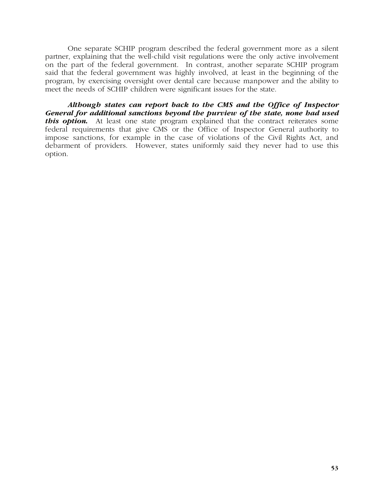One separate SCHIP program described the federal government more as a silent partner, explaining that the well-child visit regulations were the only active involvement on the part of the federal government. In contrast, another separate SCHIP program said that the federal government was highly involved, at least in the beginning of the program, by exercising oversight over dental care because manpower and the ability to meet the needs of SCHIP children were significant issues for the state.

*Although states can report back to the CMS and the Office of Inspector General for additional sanctions beyond the purview of the state, none had used this option.* At least one state program explained that the contract reiterates some federal requirements that give CMS or the Office of Inspector General authority to impose sanctions, for example in the case of violations of the Civil Rights Act, and debarment of providers. However, states uniformly said they never had to use this option.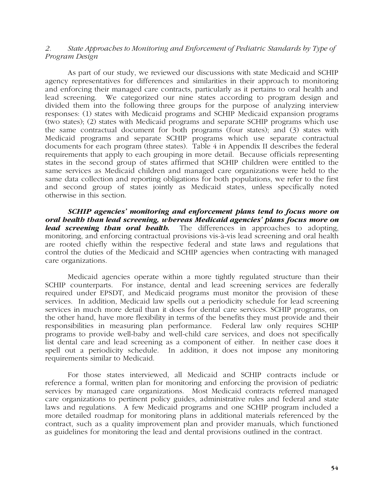### *2. State Approaches to Monitoring and Enforcement of Pediatric Standards by Type of Program Design*

As part of our study, we reviewed our discussions with state Medicaid and SCHIP agency representatives for differences and similarities in their approach to monitoring and enforcing their managed care contracts, particularly as it pertains to oral health and lead screening. We categorized our nine states according to program design and divided them into the following three groups for the purpose of analyzing interview responses: (1) states with Medicaid programs and SCHIP Medicaid expansion programs (two states); (2) states with Medicaid programs and separate SCHIP programs which use the same contractual document for both programs (four states); and (3) states with Medicaid programs and separate SCHIP programs which use separate contractual documents for each program (three states). Table 4 in Appendix II describes the federal requirements that apply to each grouping in more detail. Because officials representing states in the second group of states affirmed that SCHIP children were entitled to the same services as Medicaid children and managed care organizations were held to the same data collection and reporting obligations for both populations, we refer to the first and second group of states jointly as Medicaid states, unless specifically noted otherwise in this section.

*SCHIP agencies' monitoring and enforcement plans tend to focus more on oral health than lead screening, whereas Medicaid agencies' plans focus more on lead screening than oral health.* The differences in approaches to adopting, monitoring, and enforcing contractual provisions vis-à-vis lead screening and oral health are rooted chiefly within the respective federal and state laws and regulations that control the duties of the Medicaid and SCHIP agencies when contracting with managed care organizations.

Medicaid agencies operate within a more tightly regulated structure than their SCHIP counterparts. For instance, dental and lead screening services are federally required under EPSDT, and Medicaid programs must monitor the provision of these services. In addition, Medicaid law spells out a periodicity schedule for lead screening services in much more detail than it does for dental care services. SCHIP programs, on the other hand, have more flexibility in terms of the benefits they must provide and their responsibilities in measuring plan performance. Federal law only requires SCHIP programs to provide well-baby and well-child care services, and does not specifically list dental care and lead screening as a component of either. In neither case does it spell out a periodicity schedule. In addition, it does not impose any monitoring requirements similar to Medicaid.

For those states interviewed, all Medicaid and SCHIP contracts include or reference a formal, written plan for monitoring and enforcing the provision of pediatric services by managed care organizations. Most Medicaid contracts referred managed care organizations to pertinent policy guides, administrative rules and federal and state laws and regulations. A few Medicaid programs and one SCHIP program included a more detailed roadmap for monitoring plans in additional materials referenced by the contract, such as a quality improvement plan and provider manuals, which functioned as guidelines for monitoring the lead and dental provisions outlined in the contract.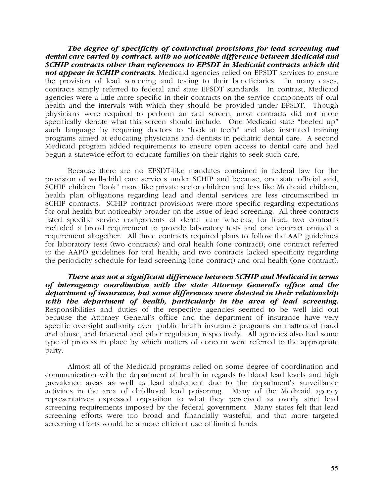*The degree of specificity of contractual provisions for lead screening and dental care varied by contract, with no noticeable difference between Medicaid and SCHIP contracts other than references to EPSDT in Medicaid contracts which did*  **not appear in SCHIP contracts.** Medicaid agencies relied on EPSDT services to ensure the provision of lead screening and testing to their beneficiaries. In many cases, contracts simply referred to federal and state EPSDT standards. In contrast, Medicaid agencies were a little more specific in their contracts on the service components of oral health and the intervals with which they should be provided under EPSDT. Though physicians were required to perform an oral screen, most contracts did not more specifically denote what this screen should include. One Medicaid state "beefed up" such language by requiring doctors to "look at teeth" and also instituted training programs aimed at educating physicians and dentists in pediatric dental care. A second Medicaid program added requirements to ensure open access to dental care and had begun a statewide effort to educate families on their rights to seek such care.

Because there are no EPSDT-like mandates contained in federal law for the provision of well-child care services under SCHIP and because, one state official said, SCHIP children "look" more like private sector children and less like Medicaid children, health plan obligations regarding lead and dental services are less circumscribed in SCHIP contracts. SCHIP contract provisions were more specific regarding expectations for oral health but noticeably broader on the issue of lead screening. All three contracts listed specific service components of dental care whereas, for lead, two contracts included a broad requirement to provide laboratory tests and one contract omitted a requirement altogether. All three contracts required plans to follow the AAP guidelines for laboratory tests (two contracts) and oral health (one contract); one contract referred to the AAPD guidelines for oral health; and two contracts lacked specificity regarding the periodicity schedule for lead screening (one contract) and oral health (one contract).

*There was not a significant difference between SCHIP and Medicaid in terms of interagency coordination with the state Attorney General's office and the department of insurance, but some differences were detected in their relationship with the department of health, particularly in the area of lead screening.* Responsibilities and duties of the respective agencies seemed to be well laid out because the Attorney General's office and the department of insurance have very specific oversight authority over public health insurance programs on matters of fraud and abuse, and financial and other regulation, respectively. All agencies also had some type of process in place by which matters of concern were referred to the appropriate party.

Almost all of the Medicaid programs relied on some degree of coordination and communication with the department of health in regards to blood lead levels and high prevalence areas as well as lead abatement due to the department's surveillance activities in the area of childhood lead poisoning. Many of the Medicaid agency representatives expressed opposition to what they perceived as overly strict lead screening requirements imposed by the federal government. Many states felt that lead screening efforts were too broad and financially wasteful, and that more targeted screening efforts would be a more efficient use of limited funds.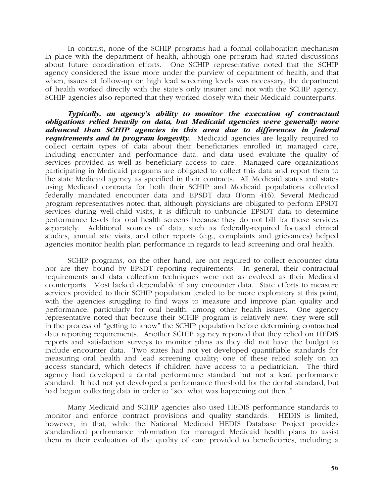In contrast, none of the SCHIP programs had a formal collaboration mechanism in place with the department of health, although one program had started discussions about future coordination efforts. One SCHIP representative noted that the SCHIP agency considered the issue more under the purview of department of health, and that when, issues of follow-up on high lead screening levels was necessary, the department of health worked directly with the state's only insurer and not with the SCHIP agency. SCHIP agencies also reported that they worked closely with their Medicaid counterparts.

*Typically, an agency's ability to monitor the execution of contractual obligations relied heavily on data, but Medicaid agencies were generally more advanced than SCHIP agencies in this area due to differences in federal requirements and in program longevity.* Medicaid agencies are legally required to collect certain types of data about their beneficiaries enrolled in managed care, including encounter and performance data, and data used evaluate the quality of services provided as well as beneficiary access to care. Managed care organizations participating in Medicaid programs are obligated to collect this data and report them to the state Medicaid agency as specified in their contracts. All Medicaid states and states using Medicaid contracts for both their SCHIP and Medicaid populations collected federally mandated encounter data and EPSDT data (Form 416). Several Medicaid program representatives noted that, although physicians are obligated to perform EPSDT services during well-child visits, it is difficult to unbundle EPSDT data to determine performance levels for oral health screens because they do not bill for those services separately.Additional sources of data, such as federally-required focused clinical studies, annual site visits, and other reports (e.g., complaints and grievances) helped agencies monitor health plan performance in regards to lead screening and oral health.

SCHIP programs, on the other hand, are not required to collect encounter data nor are they bound by EPSDT reporting requirements. In general, their contractual requirements and data collection techniques were not as evolved as their Medicaid counterparts. Most lacked dependable if any encounter data. State efforts to measure services provided to their SCHIP population tended to be more exploratory at this point, with the agencies struggling to find ways to measure and improve plan quality and performance, particularly for oral health, among other health issues. One agency representative noted that because their SCHIP program is relatively new, they were still in the process of "getting to know" the SCHIP population before determining contractual data reporting requirements. Another SCHIP agency reported that they relied on HEDIS reports and satisfaction surveys to monitor plans as they did not have the budget to include encounter data. Two states had not yet developed quantifiable standards for measuring oral health and lead screening quality; one of these relied solely on an access standard, which detects if children have access to a pediatrician. The third agency had developed a dental performance standard but not a lead performance standard. It had not yet developed a performance threshold for the dental standard, but had begun collecting data in order to "see what was happening out there."

Many Medicaid and SCHIP agencies also used HEDIS performance standards to monitor and enforce contract provisions and quality standards. HEDIS is limited, however, in that, while the National Medicaid HEDIS Database Project provides standardized performance information for managed Medicaid health plans to assist them in their evaluation of the quality of care provided to beneficiaries, including a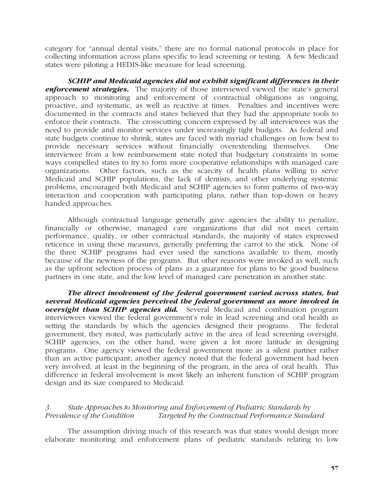category for "annual dental visits," there are no formal national protocols in place for collecting information across plans specific to lead screening or testing. A few Medicaid states were piloting a HEDIS-like measure for lead screening.

*SCHIP and Medicaid agencies did not exhibit significant differences in their*  **enforcement strategies.** The majority of those interviewed viewed the state's general approach to monitoring and enforcement of contractual obligations as ongoing, proactive, and systematic, as well as reactive at times. Penalties and incentives were documented in the contracts and states believed that they had the appropriate tools to enforce their contracts. The crosscutting concern expressed by all interviewees was the need to provide and monitor services under increasingly tight budgets. As federal and state budgets continue to shrink, states are faced with myriad challenges on how best to provide necessary services without financially overextending themselves. One interviewee from a low reimbursement state noted that budgetary constraints in some ways compelled states to try to form more cooperative relationships with managed care organizations. Other factors, such as the scarcity of health plans willing to serve Medicaid and SCHIP populations, the lack of dentists, and other underlying systemic problems, encouraged both Medicaid and SCHIP agencies to form patterns of two-way interaction and cooperation with participating plans, rather than top-down or heavy handed approaches.

Although contractual language generally gave agencies the ability to penalize, financially or otherwise, managed care organizations that did not meet certain performance, quality, or other contractual standards, the majority of states expressed reticence in using these measures, generally preferring the carrot to the stick. None of the three SCHIP programs had ever used the sanctions available to them, mostly because of the newness of the programs. But other reasons were invoked as well, such as the upfront selection process of plans as a guarantee for plans to be good business partners in one state, and the low level of managed care penetration in another state.

*The direct involvement of the federal government varied across states, but several Medicaid agencies perceived the federal government as more involved in oversight than SCHIP agencies did***.** Several Medicaid and combination program interviewees viewed the federal government's role in lead screening and oral health as setting the standards by which the agencies designed their programs. The federal government, they noted, was particularly active in the area of lead screening oversight. SCHIP agencies, on the other hand, were given a lot more latitude in designing programs. One agency viewed the federal government more as a silent partner rather than an active participant; another agency noted that the federal government had been very involved, at least in the beginning of the program, in the area of oral health. This difference in federal involvement is most likely an inherent function of SCHIP program design and its size compared to Medicaid.

# *3. State Approaches to Monitoring and Enforcement of Pediatric Standards by Prevalence of the Condition Targeted by the Contractual Performance Standard*

The assumption driving much of this research was that states would design more elaborate monitoring and enforcement plans of pediatric standards relating to low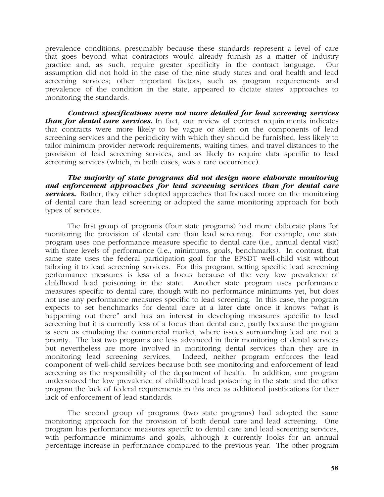prevalence conditions, presumably because these standards represent a level of care that goes beyond what contractors would already furnish as a matter of industry practice and, as such, require greater specificity in the contract language. Our assumption did not hold in the case of the nine study states and oral health and lead screening services; other important factors, such as program requirements and prevalence of the condition in the state, appeared to dictate states' approaches to monitoring the standards.

*Contract specifications were not more detailed for lead screening services than for dental care services.* In fact, our review of contract requirements indicates that contracts were more likely to be vague or silent on the components of lead screening services and the periodicity with which they should be furnished, less likely to tailor minimum provider network requirements, waiting times, and travel distances to the provision of lead screening services, and as likely to require data specific to lead screening services (which, in both cases, was a rare occurrence).

*The majority of state programs did not design more elaborate monitoring and enforcement approaches for lead screening services than for dental care services*. Rather, they either adopted approaches that focused more on the monitoring of dental care than lead screening or adopted the same monitoring approach for both types of services.

The first group of programs (four state programs) had more elaborate plans for monitoring the provision of dental care than lead screening. For example, one state program uses one performance measure specific to dental care (i.e., annual dental visit) with three levels of performance (i.e., minimums, goals, benchmarks). In contrast, that same state uses the federal participation goal for the EPSDT well-child visit without tailoring it to lead screening services. For this program, setting specific lead screening performance measures is less of a focus because of the very low prevalence of childhood lead poisoning in the state. Another state program uses performance measures specific to dental care, though with no performance minimums yet, but does not use any performance measures specific to lead screening. In this case, the program expects to set benchmarks for dental care at a later date once it knows "what is happening out there" and has an interest in developing measures specific to lead screening but it is currently less of a focus than dental care, partly because the program is seen as emulating the commercial market, where issues surrounding lead are not a priority. The last two programs are less advanced in their monitoring of dental services but nevertheless are more involved in monitoring dental services than they are in monitoring lead screening services. Indeed, neither program enforces the lead component of well-child services because both see monitoring and enforcement of lead screening as the responsibility of the department of health. In addition, one program underscored the low prevalence of childhood lead poisoning in the state and the other program the lack of federal requirements in this area as additional justifications for their lack of enforcement of lead standards.

The second group of programs (two state programs) had adopted the same monitoring approach for the provision of both dental care and lead screening. One program has performance measures specific to dental care and lead screening services, with performance minimums and goals, although it currently looks for an annual percentage increase in performance compared to the previous year. The other program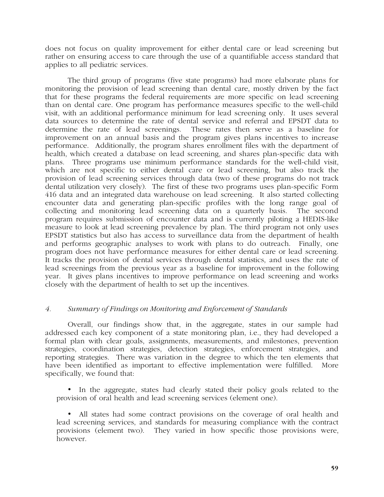does not focus on quality improvement for either dental care or lead screening but rather on ensuring access to care through the use of a quantifiable access standard that applies to all pediatric services.

The third group of programs (five state programs) had more elaborate plans for monitoring the provision of lead screening than dental care, mostly driven by the fact that for these programs the federal requirements are more specific on lead screening than on dental care. One program has performance measures specific to the well-child visit, with an additional performance minimum for lead screening only. It uses several data sources to determine the rate of dental service and referral and EPSDT data to determine the rate of lead screenings. These rates then serve as a baseline for improvement on an annual basis and the program gives plans incentives to increase performance. Additionally, the program shares enrollment files with the department of health, which created a database on lead screening, and shares plan-specific data with plans. Three programs use minimum performance standards for the well-child visit, which are not specific to either dental care or lead screening, but also track the provision of lead screening services through data (two of these programs do not track dental utilization very closely). The first of these two programs uses plan-specific Form 416 data and an integrated data warehouse on lead screening. It also started collecting encounter data and generating plan-specific profiles with the long range goal of collecting and monitoring lead screening data on a quarterly basis. The second program requires submission of encounter data and is currently piloting a HEDIS-like measure to look at lead screening prevalence by plan. The third program not only uses EPSDT statistics but also has access to surveillance data from the department of health and performs geographic analyses to work with plans to do outreach. Finally, one program does not have performance measures for either dental care or lead screening. It tracks the provision of dental services through dental statistics, and uses the rate of lead screenings from the previous year as a baseline for improvement in the following year. It gives plans incentives to improve performance on lead screening and works closely with the department of health to set up the incentives.

# *4. Summary of Findings on Monitoring and Enforcement of Standards*

Overall, our findings show that, in the aggregate, states in our sample had addressed each key component of a state monitoring plan, i.e., they had developed a formal plan with clear goals, assignments, measurements, and milestones, prevention strategies, coordination strategies, detection strategies, enforcement strategies, and reporting strategies. There was variation in the degree to which the ten elements that have been identified as important to effective implementation were fulfilled. More specifically, we found that:

• In the aggregate, states had clearly stated their policy goals related to the provision of oral health and lead screening services (element one).

• All states had some contract provisions on the coverage of oral health and lead screening services, and standards for measuring compliance with the contract provisions (element two). They varied in how specific those provisions were, however.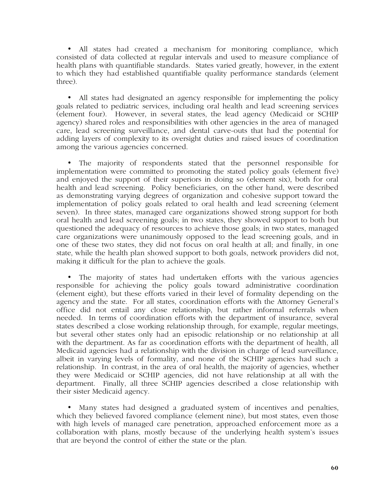• All states had created a mechanism for monitoring compliance, which consisted of data collected at regular intervals and used to measure compliance of health plans with quantifiable standards. States varied greatly, however, in the extent to which they had established quantifiable quality performance standards (element three).

• All states had designated an agency responsible for implementing the policy goals related to pediatric services, including oral health and lead screening services (element four). However, in several states, the lead agency (Medicaid or SCHIP agency) shared roles and responsibilities with other agencies in the area of managed care, lead screening surveillance, and dental carve-outs that had the potential for adding layers of complexity to its oversight duties and raised issues of coordination among the various agencies concerned.

• The majority of respondents stated that the personnel responsible for implementation were committed to promoting the stated policy goals (element five) and enjoyed the support of their superiors in doing so (element six), both for oral health and lead screening. Policy beneficiaries, on the other hand, were described as demonstrating varying degrees of organization and cohesive support toward the implementation of policy goals related to oral health and lead screening (element seven). In three states, managed care organizations showed strong support for both oral health and lead screening goals; in two states, they showed support to both but questioned the adequacy of resources to achieve those goals; in two states, managed care organizations were unanimously opposed to the lead screening goals, and in one of these two states, they did not focus on oral health at all; and finally, in one state, while the health plan showed support to both goals, network providers did not, making it difficult for the plan to achieve the goals.

• The majority of states had undertaken efforts with the various agencies responsible for achieving the policy goals toward administrative coordination (element eight), but these efforts varied in their level of formality depending on the agency and the state. For all states, coordination efforts with the Attorney General's office did not entail any close relationship, but rather informal referrals when needed. In terms of coordination efforts with the department of insurance, several states described a close working relationship through, for example, regular meetings, but several other states only had an episodic relationship or no relationship at all with the department. As far as coordination efforts with the department of health, all Medicaid agencies had a relationship with the division in charge of lead surveillance, albeit in varying levels of formality, and none of the SCHIP agencies had such a relationship. In contrast, in the area of oral health, the majority of agencies, whether they were Medicaid or SCHIP agencies, did not have relationship at all with the department. Finally, all three SCHIP agencies described a close relationship with their sister Medicaid agency.

• Many states had designed a graduated system of incentives and penalties, which they believed favored compliance (element nine), but most states, even those with high levels of managed care penetration, approached enforcement more as a collaboration with plans, mostly because of the underlying health system's issues that are beyond the control of either the state or the plan.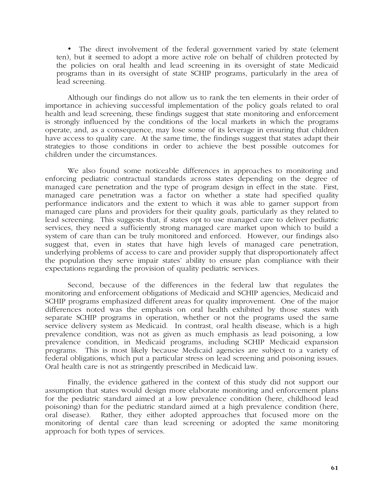• The direct involvement of the federal government varied by state (element ten), but it seemed to adopt a more active role on behalf of children protected by the policies on oral health and lead screening in its oversight of state Medicaid programs than in its oversight of state SCHIP programs, particularly in the area of lead screening.

Although our findings do not allow us to rank the ten elements in their order of importance in achieving successful implementation of the policy goals related to oral health and lead screening, these findings suggest that state monitoring and enforcement is strongly influenced by the conditions of the local markets in which the programs operate, and, as a consequence, may lose some of its leverage in ensuring that children have access to quality care. At the same time, the findings suggest that states adapt their strategies to those conditions in order to achieve the best possible outcomes for children under the circumstances.

We also found some noticeable differences in approaches to monitoring and enforcing pediatric contractual standards across states depending on the degree of managed care penetration and the type of program design in effect in the state. First, managed care penetration was a factor on whether a state had specified quality performance indicators and the extent to which it was able to garner support from managed care plans and providers for their quality goals, particularly as they related to lead screening. This suggests that, if states opt to use managed care to deliver pediatric services, they need a sufficiently strong managed care market upon which to build a system of care than can be truly monitored and enforced. However, our findings also suggest that, even in states that have high levels of managed care penetration, underlying problems of access to care and provider supply that disproportionately affect the population they serve impair states' ability to ensure plan compliance with their expectations regarding the provision of quality pediatric services.

Second, because of the differences in the federal law that regulates the monitoring and enforcement obligations of Medicaid and SCHIP agencies, Medicaid and SCHIP programs emphasized different areas for quality improvement. One of the major differences noted was the emphasis on oral health exhibited by those states with separate SCHIP programs in operation, whether or not the programs used the same service delivery system as Medicaid. In contrast, oral health disease, which is a high prevalence condition, was not as given as much emphasis as lead poisoning, a low prevalence condition, in Medicaid programs, including SCHIP Medicaid expansion programs. This is most likely because Medicaid agencies are subject to a variety of federal obligations, which put a particular stress on lead screening and poisoning issues. Oral health care is not as stringently prescribed in Medicaid law.

Finally, the evidence gathered in the context of this study did not support our assumption that states would design more elaborate monitoring and enforcement plans for the pediatric standard aimed at a low prevalence condition (here, childhood lead poisoning) than for the pediatric standard aimed at a high prevalence condition (here, oral disease). Rather, they either adopted approaches that focused more on the monitoring of dental care than lead screening or adopted the same monitoring approach for both types of services.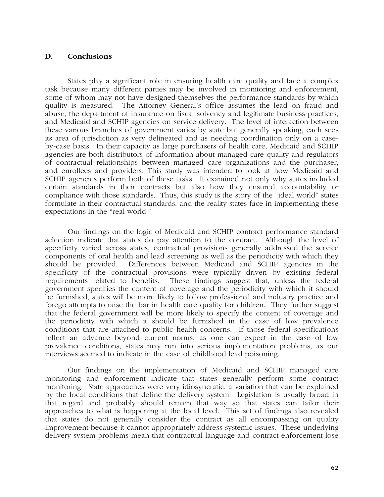#### **D. Conclusions**

States play a significant role in ensuring health care quality and face a complex task because many different parties may be involved in monitoring and enforcement, some of whom may not have designed themselves the performance standards by which quality is measured. The Attorney General's office assumes the lead on fraud and abuse, the department of insurance on fiscal solvency and legitimate business practices, and Medicaid and SCHIP agencies on service delivery. The level of interaction between these various branches of government varies by state but generally speaking, each sees its area of jurisdiction as very delineated and as needing coordination only on a caseby-case basis. In their capacity as large purchasers of health care, Medicaid and SCHIP agencies are both distributors of information about managed care quality and regulators of contractual relationships between managed care organizations and the purchaser, and enrollees and providers. This study was intended to look at how Medicaid and SCHIP agencies perform both of these tasks. It examined not only why states included certain standards in their contracts but also how they ensured accountability or compliance with those standards. Thus, this study is the story of the "ideal world" states formulate in their contractual standards, and the reality states face in implementing these expectations in the "real world."

Our findings on the logic of Medicaid and SCHIP contract performance standard selection indicate that states do pay attention to the contract. Although the level of specificity varied across states, contractual provisions generally addressed the service components of oral health and lead screening as well as the periodicity with which they should be provided. Differences between Medicaid and SCHIP agencies in the specificity of the contractual provisions were typically driven by existing federal requirements related to benefits. These findings suggest that, unless the federal government specifies the content of coverage and the periodicity with which it should be furnished, states will be more likely to follow professional and industry practice and forego attempts to raise the bar in health care quality for children. They further suggest that the federal government will be more likely to specify the content of coverage and the periodicity with which it should be furnished in the case of low prevalence conditions that are attached to public health concerns. If those federal specifications reflect an advance beyond current norms, as one can expect in the case of low prevalence conditions, states may run into serious implementation problems, as our interviews seemed to indicate in the case of childhood lead poisoning.

Our findings on the implementation of Medicaid and SCHIP managed care monitoring and enforcement indicate that states generally perform some contract monitoring. State approaches were very idiosyncratic, a variation that can be explained by the local conditions that define the delivery system. Legislation is usually broad in that regard and probably should remain that way so that states can tailor their approaches to what is happening at the local level. This set of findings also revealed that states do not generally consider the contract as all encompassing on quality improvement because it cannot appropriately address systemic issues. These underlying delivery system problems mean that contractual language and contract enforcement lose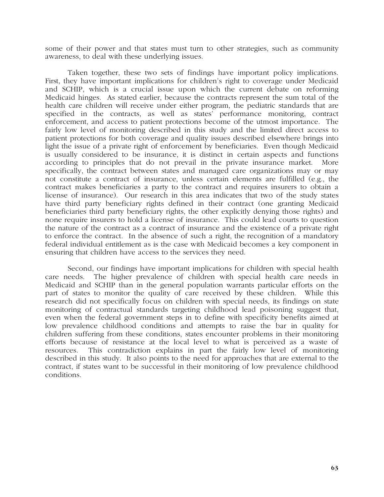some of their power and that states must turn to other strategies, such as community awareness, to deal with these underlying issues.

Taken together, these two sets of findings have important policy implications. First, they have important implications for children's right to coverage under Medicaid and SCHIP, which is a crucial issue upon which the current debate on reforming Medicaid hinges. As stated earlier, because the contracts represent the sum total of the health care children will receive under either program, the pediatric standards that are specified in the contracts, as well as states' performance monitoring, contract enforcement, and access to patient protections become of the utmost importance. The fairly low level of monitoring described in this study and the limited direct access to patient protections for both coverage and quality issues described elsewhere brings into light the issue of a private right of enforcement by beneficiaries. Even though Medicaid is usually considered to be insurance, it is distinct in certain aspects and functions according to principles that do not prevail in the private insurance market. More specifically, the contract between states and managed care organizations may or may not constitute a contract of insurance, unless certain elements are fulfilled (e.g., the contract makes beneficiaries a party to the contract and requires insurers to obtain a license of insurance). Our research in this area indicates that two of the study states have third party beneficiary rights defined in their contract (one granting Medicaid beneficiaries third party beneficiary rights, the other explicitly denying those rights) and none require insurers to hold a license of insurance. This could lead courts to question the nature of the contract as a contract of insurance and the existence of a private right to enforce the contract. In the absence of such a right, the recognition of a mandatory federal individual entitlement as is the case with Medicaid becomes a key component in ensuring that children have access to the services they need.

Second, our findings have important implications for children with special health care needs. The higher prevalence of children with special health care needs in Medicaid and SCHIP than in the general population warrants particular efforts on the part of states to monitor the quality of care received by these children. While this research did not specifically focus on children with special needs, its findings on state monitoring of contractual standards targeting childhood lead poisoning suggest that, even when the federal government steps in to define with specificity benefits aimed at low prevalence childhood conditions and attempts to raise the bar in quality for children suffering from these conditions, states encounter problems in their monitoring efforts because of resistance at the local level to what is perceived as a waste of resources. This contradiction explains in part the fairly low level of monitoring described in this study. It also points to the need for approaches that are external to the contract, if states want to be successful in their monitoring of low prevalence childhood conditions.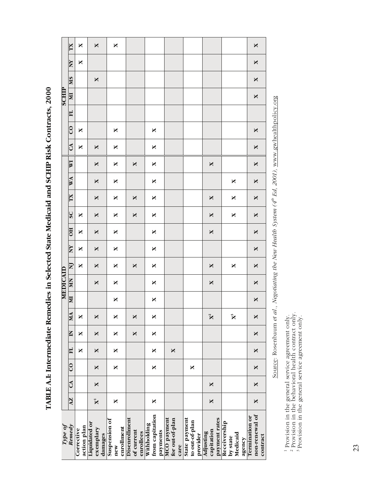|                 | XL                      | X                         | $\mathbf{X}$                          | X                                  |                                          |                                            |                                        |                                             |                                          |                                                | X                                            |
|-----------------|-------------------------|---------------------------|---------------------------------------|------------------------------------|------------------------------------------|--------------------------------------------|----------------------------------------|---------------------------------------------|------------------------------------------|------------------------------------------------|----------------------------------------------|
|                 | <b>AN</b>               | X                         |                                       |                                    |                                          |                                            |                                        |                                             |                                          |                                                | X                                            |
|                 | SM                      |                           | $\mathbf{X}$                          |                                    |                                          |                                            |                                        |                                             |                                          |                                                | X                                            |
| <b>SCHIP</b>    | NЦ                      |                           |                                       |                                    |                                          |                                            |                                        |                                             |                                          |                                                | X                                            |
|                 | <b>HI</b>               |                           |                                       |                                    |                                          |                                            |                                        |                                             |                                          |                                                |                                              |
|                 | $\overline{0}$          | X                         |                                       | X                                  |                                          | X                                          |                                        |                                             |                                          |                                                | X                                            |
|                 | CA                      | X                         | $\mathbf{\mathsf{X}}$                 | X                                  |                                          | X                                          |                                        |                                             |                                          |                                                | X                                            |
|                 | $\overline{\mathbf{M}}$ |                           | X                                     | X                                  | $\mathbf{\mathsf{X}}$                    | X                                          |                                        |                                             | X                                        |                                                | ×                                            |
|                 | <b>WW</b>               |                           | $\mathbf{X}$                          | X                                  |                                          | X                                          |                                        |                                             |                                          | X                                              | X                                            |
|                 | XL                      |                           | X                                     | X                                  | X                                        | X                                          |                                        |                                             | X                                        | X                                              | X                                            |
|                 | <b>SC</b>               | ×                         | $\mathbf{X}$                          | X                                  | X                                        | X                                          |                                        |                                             | X                                        | X                                              | X                                            |
|                 | $H$ <sup>O</sup>        | ×                         | X                                     | X                                  |                                          | X                                          |                                        |                                             | X                                        |                                                | ×                                            |
|                 | <b>AM</b>               | X                         | $\mathbf{X}$                          | X                                  |                                          | X                                          |                                        |                                             |                                          |                                                | ×                                            |
|                 | $\mathbf{\Sigma}$       | X                         | X                                     | X                                  | X                                        | X                                          |                                        |                                             | X                                        | X                                              | X                                            |
| <b>MEDICAID</b> | MN                      |                           | $\mathbf{X}$                          | X                                  |                                          | X                                          |                                        |                                             | X                                        |                                                | X                                            |
|                 | $\mathbf{M}$            |                           |                                       | X                                  |                                          | X                                          |                                        |                                             |                                          |                                                | X                                            |
|                 | MA                      | $\mathsf{X}$              | $\mathbf{\mathsf{X}}$                 | X                                  | X                                        | X                                          |                                        |                                             | $\mathbf{X}^2$                           | $\mathbb{X}^3$                                 | X                                            |
|                 | $\blacksquare$          | ×                         | X                                     | X                                  | X                                        | X                                          |                                        |                                             |                                          |                                                | X                                            |
|                 | H                       | X                         | $\mathbf{\mathsf{X}}$                 | X                                  |                                          | X                                          | X                                      |                                             |                                          |                                                | $\times$                                     |
|                 | $\overline{c}$          |                           | $\times$                              | X                                  |                                          | X                                          |                                        | ×                                           |                                          |                                                | $\times$                                     |
|                 | CA                      |                           | ×                                     |                                    |                                          |                                            |                                        |                                             | X                                        |                                                | $\times$                                     |
|                 | $\overline{X}$          |                           | $\mathbf{\tilde{X}}$                  | X                                  |                                          | X                                          |                                        |                                             | X                                        |                                                | $\times$                                     |
| Type of         | Remedy                  | action plan<br>Corrective | Liquidated or<br>exemplary<br>damages | Suspension of<br>enrollment<br>new | Disenrollment<br>of current<br>enrollees | from capitation<br>Withholding<br>payments | MCO payment<br>for out-of-plan<br>care | State payment<br>to out-of-plan<br>provider | payment rates<br>capitation<br>Adjusting | Receivership<br>Medicaid<br>by state<br>agency | non-renewal of<br>Termination or<br>contract |

**TABLE A.I: Intermediate Remedies in Selected State Medicaid and SCHIP Risk Contracts, 2000**  TABLE A.I: Intermediate Remedies in Selected State Medicaid and SCHIP Risk Contracts, 2000

Source: Rosenbaum et al., Negotiating the New Health System ( $4^h$  Ed, 2001), www.gwhealthpolicy.org Source: Rosenbaum *et al.*, *Negotiating the New Health System (4th Ed, 2001),* www.gwhealthpolicy.org

<sup>1</sup> Provision in the general service agreement only. <sup>2</sup> Provision in the behavioral health contract only.  $\delta$  Provision in the general service agreement only. <sup>1</sup> Provision in the general service agreement only.<br><sup>2</sup> Provision in the behavioral health contract only.<br><sup>3</sup> Provision in the general service agreement only.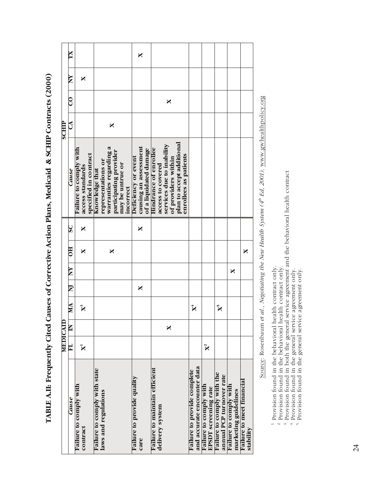|              | XI                     |                                                                     |                                                                                                                           | ×                                                                      |                                                                                                                                                             |                                                            |                                                |                                                        |                                                |                                               |
|--------------|------------------------|---------------------------------------------------------------------|---------------------------------------------------------------------------------------------------------------------------|------------------------------------------------------------------------|-------------------------------------------------------------------------------------------------------------------------------------------------------------|------------------------------------------------------------|------------------------------------------------|--------------------------------------------------------|------------------------------------------------|-----------------------------------------------|
|              | YN                     | X                                                                   |                                                                                                                           |                                                                        |                                                                                                                                                             |                                                            |                                                |                                                        |                                                |                                               |
|              | $\rm{O}$               |                                                                     |                                                                                                                           |                                                                        | X                                                                                                                                                           |                                                            |                                                |                                                        |                                                |                                               |
| <b>SCHIP</b> | ි                      |                                                                     | X                                                                                                                         |                                                                        |                                                                                                                                                             |                                                            |                                                |                                                        |                                                |                                               |
|              | Cause                  | Failure to comply with<br>specified in contract<br>access standards | warranties regarding a<br>participating provider<br>representations or<br>may be untrue or<br>Knowledge that<br>incorrect | causing an assessment<br>of a liquidated damage<br>Deficiency or event | plan to accept additional<br>services due to inability<br><b>Hindrance of enrollee</b><br>enrollees as patients<br>of providers within<br>access to covered |                                                            |                                                |                                                        |                                                |                                               |
|              | $\overline{\text{S}}$  | X                                                                   |                                                                                                                           | ×                                                                      |                                                                                                                                                             |                                                            |                                                |                                                        |                                                |                                               |
|              | $_{\rm HO}$            | X                                                                   | X                                                                                                                         |                                                                        |                                                                                                                                                             |                                                            |                                                |                                                        |                                                | ×                                             |
|              | $\mathbf{X}\mathbf{N}$ |                                                                     |                                                                                                                           |                                                                        |                                                                                                                                                             |                                                            |                                                |                                                        | X                                              |                                               |
|              | <u>IN</u>              |                                                                     |                                                                                                                           | X                                                                      |                                                                                                                                                             |                                                            |                                                |                                                        |                                                |                                               |
|              | MA                     | $\mathbf{X}^3$                                                      |                                                                                                                           |                                                                        |                                                                                                                                                             | $\mathbf{X}^4$                                             |                                                | $\mathbf{\hat{X}}^5$                                   |                                                |                                               |
| MEDICAI      | $\mathsf{K}$           |                                                                     |                                                                                                                           |                                                                        | X                                                                                                                                                           |                                                            |                                                |                                                        |                                                |                                               |
|              | $\mathbf{H}$           | $\mathbf{X}$                                                        |                                                                                                                           |                                                                        |                                                                                                                                                             |                                                            | $X^2$                                          |                                                        |                                                |                                               |
|              | Cause                  | Failure to comply with<br>contract                                  | Failure to comply with state<br>laws and regulations                                                                      | <b>Failure to provide quality</b><br>care                              | Failure to maintain efficient<br>delivery system                                                                                                            | and accurate encounter data<br>Failure to provide complete | Failure to comply with<br>EPSDT screening rate | Failure to comply with the<br>annual PCP turnover rate | Failure to comply with<br>marketing guidelines | <b>Failure to meet financial</b><br>stability |

**TABLE A.II: Frequently Cited Causes of Corrective Action Plans, Medicaid & SCHIP Contracts (2000)**  TABLE A.II: Frequently Cited Causes of Corrective Action Plans, Medicaid & SCHIP Contracts (2000)

Source: Rosenbaum et al., Negotiating the New Health System ( $4^h$  Ed, 2001), www.gwhealthpolicy.org Source: Rosenbaum *et al.*, *Negotiating the New Health System (4th Ed, 2001),* www.gwhealthpolicy.org

<sup>1.</sup> Provision found in the behavioral health contract only.<br><sup>2.</sup> Provision found in the behavioral health contract only.<br><sup>3.</sup> Provision found in both the general service agreement and the behavioral health contract<br><sup>4</sup>. <sup>1</sup> Provision found in the behavioral health contract only.<br><sup>2</sup> Provision found in the behavioral health contract only.<br><sup>3</sup> Provision found in both the general service agreement and the behavioral health contract<br><sup>4</sup> Provi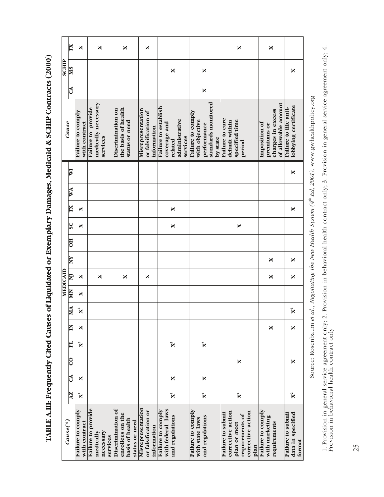**TABLE A.III: Frequently Cited Causes of Liquidated or Exemplary Damages, Medicaid & SCHIP Contracts (2000)**  TABLE A.III: Frequently Cited Causes of Liquidated or Exemplary Damages, Medicaid & SCHIP Contracts (2000)

|                 | TΧ                        | X                                  | ×                                                        | X                                                                          | X                                                       |                                                                               |                                                                                       | ×                                                                                                      | X                                                                        |                                                  |
|-----------------|---------------------------|------------------------------------|----------------------------------------------------------|----------------------------------------------------------------------------|---------------------------------------------------------|-------------------------------------------------------------------------------|---------------------------------------------------------------------------------------|--------------------------------------------------------------------------------------------------------|--------------------------------------------------------------------------|--------------------------------------------------|
| <b>SCHIP</b>    | <b>MS</b>                 |                                    |                                                          |                                                                            |                                                         | X                                                                             | X                                                                                     |                                                                                                        |                                                                          | ×                                                |
|                 | $\mathcal{L}$             |                                    |                                                          |                                                                            |                                                         |                                                                               | X                                                                                     |                                                                                                        |                                                                          |                                                  |
|                 | Cause                     | Failure to comply<br>with contract | medically necessary<br>Failure to provide<br>services    | the basis of health<br>Discrimination on<br>status or need                 | Misrepresentation<br>or falsification of<br>information | Failure to establish<br>administrative<br>coverage and<br>services<br>related | standards monitored<br>Failure to comply<br>with objective<br>performance<br>by state | Failure to cure<br>specified time<br>default within<br>period                                          | of allowable amount<br>charges in excess<br>Imposition of<br>premiums or | lobbying certificate<br>Failure to file anti-    |
|                 | $\overline{\mathbf{w}}$   |                                    |                                                          |                                                                            |                                                         |                                                                               |                                                                                       |                                                                                                        |                                                                          | ×                                                |
|                 | WA                        |                                    |                                                          |                                                                            |                                                         |                                                                               |                                                                                       |                                                                                                        |                                                                          |                                                  |
|                 | ΣX                        | X                                  |                                                          |                                                                            |                                                         | X                                                                             |                                                                                       |                                                                                                        |                                                                          | ×                                                |
|                 | SC                        | X                                  |                                                          |                                                                            |                                                         | X                                                                             |                                                                                       | X                                                                                                      |                                                                          |                                                  |
|                 | $\overline{5}$            |                                    |                                                          |                                                                            |                                                         |                                                                               |                                                                                       |                                                                                                        |                                                                          |                                                  |
|                 | XX                        |                                    |                                                          |                                                                            |                                                         |                                                                               |                                                                                       |                                                                                                        | X                                                                        | ×                                                |
| <b>MEDICAID</b> | $\mathbf{z}$              | X                                  | X                                                        | X                                                                          | ×                                                       |                                                                               |                                                                                       |                                                                                                        | X                                                                        | ×                                                |
|                 | <b>NIN</b>                | X                                  |                                                          |                                                                            |                                                         |                                                                               |                                                                                       |                                                                                                        |                                                                          |                                                  |
|                 | MA                        | $\mathbf{X}^4$                     |                                                          |                                                                            |                                                         |                                                                               |                                                                                       |                                                                                                        |                                                                          | $\mathbf{X}^4$                                   |
|                 | Z                         | X                                  |                                                          |                                                                            |                                                         |                                                                               |                                                                                       |                                                                                                        | X                                                                        | X                                                |
|                 | E                         | $\mathbf{\hat{X}}$                 |                                                          |                                                                            |                                                         | $\mathbf{X}^3$                                                                | $\mathbf{X}^3$                                                                        |                                                                                                        |                                                                          |                                                  |
|                 | $\rm ^{\circ}$            |                                    |                                                          |                                                                            |                                                         |                                                                               |                                                                                       | X                                                                                                      |                                                                          | X                                                |
|                 | G                         | X                                  |                                                          |                                                                            |                                                         | X                                                                             | X                                                                                     |                                                                                                        |                                                                          |                                                  |
|                 | AZ.                       | $\mathbf{\tilde{X}}$               |                                                          |                                                                            |                                                         | $\mathbf{\bar{X}}$                                                            | $\mathbf{X}$                                                                          | $\mathbf{\bar{X}}$                                                                                     |                                                                          | $\mathbf{X}^2$                                   |
|                 | $\text{Cause}$ $\epsilon$ | Failure to comply<br>with contract | Failure to provide<br>necessary<br>medically<br>services | Discrimination of<br>enrollees on the<br>basis of health<br>status or need | Misrepresentation<br>or falsification or<br>information | with federal laws<br>Failure to comply<br>and regulations                     | Failure to comply<br>and regulations<br>with state laws                               | corrective action<br>corrective action<br>Failure to submit<br>requirements of<br>plan or meet<br>plan | Failure to comply<br>with marketing<br>requirements                      | Failure to submit<br>data in specified<br>format |

Source: Rosenbaum et al., Negotiating the New Health System ( $4^h$  Ed, 2001), www.gwhealthpolicy.org Source: Rosenbaum *et al.*, *Negotiating the New Health System (4th Ed, 2001),* www.gwhealthpolicy.org

1. Provision in general service agreement only; 2. Provision in behavioral health contract only; 3. Provision in general service agreement only; 4.<br>Provision in behavioral health contract only 1. Provision in general service agreement only; 2. Provision in behavioral health contract only; 3. Provision in general service agreement only; 4. Provision in behavioral health contract only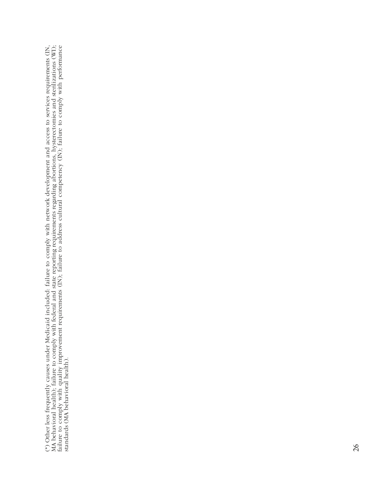(\*) Other less frequently causes under Medicaid included: failure to comply with network development and access to services requirements (IN, MA behavioral health); failure to comply with federal and state reporting requir uirements (IN, MA behavioral health); failure to comply with federal and state reporting requirements regarding abortions, hysterectomies and sterilizations (WI); failure to comply with quality improvement requirements (IN); failure to address cultural competency (IN); failure to comply with performance (\*) Other less frequently causes under Medicaid included: failure to comply with network development and access to services req standards (MA behavioral health).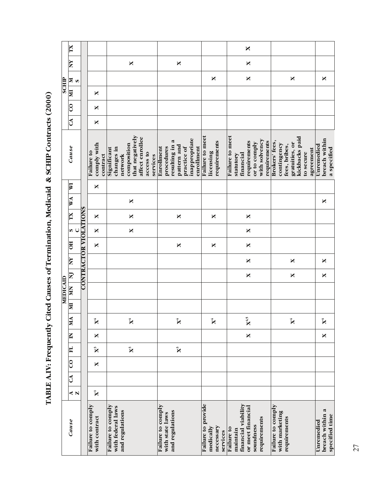|              | XL                         |                              |                                       |                                                                                                                    |                                                                                                         |                                                          | X                                                                                                          |                                                                                                              |                                                 |
|--------------|----------------------------|------------------------------|---------------------------------------|--------------------------------------------------------------------------------------------------------------------|---------------------------------------------------------------------------------------------------------|----------------------------------------------------------|------------------------------------------------------------------------------------------------------------|--------------------------------------------------------------------------------------------------------------|-------------------------------------------------|
|              | ΧX                         |                              |                                       | X                                                                                                                  | $\mathbf{\mathsf{X}}$                                                                                   |                                                          | $\mathbf{\mathsf{X}}$                                                                                      |                                                                                                              |                                                 |
|              | $\mathbf{s}$               |                              |                                       |                                                                                                                    |                                                                                                         | X                                                        | X                                                                                                          | X                                                                                                            | X                                               |
| <b>SCHIP</b> | $\mathbb{R}$               |                              | X                                     |                                                                                                                    |                                                                                                         |                                                          |                                                                                                            |                                                                                                              |                                                 |
|              | $\overline{c}$             |                              | ×                                     |                                                                                                                    |                                                                                                         |                                                          |                                                                                                            |                                                                                                              |                                                 |
|              | $\mathbb{C}$               |                              | X                                     |                                                                                                                    |                                                                                                         |                                                          |                                                                                                            |                                                                                                              |                                                 |
|              | Cause                      |                              | comply with<br>Failure to<br>contract | that negatively<br>affect enrollee<br>composition<br>Significant<br>changes in<br>access to<br>network<br>services | inappropriate<br>resulting in a<br>pattern and<br>enrollment<br>procedures<br>Enrollment<br>practice of | Failure to meet<br>requirements<br>licensing             | Failure to meet<br>with solvency<br>requirements<br>requirements<br>or to comply<br>financial<br>statutory | kickbacks paid<br>Brokers' fees,<br>gratuities, or<br>contingency<br>fees, bribes,<br>agreement<br>to secure | breach within<br>Unremedied<br>a specified      |
|              | $\overline{\mathbf{M}}$    |                              | X                                     |                                                                                                                    |                                                                                                         |                                                          |                                                                                                            |                                                                                                              |                                                 |
|              | WA                         |                              |                                       | X                                                                                                                  |                                                                                                         |                                                          |                                                                                                            |                                                                                                              | X                                               |
|              | TX                         |                              | ×                                     | $\mathbf{\mathsf{X}}$                                                                                              | X                                                                                                       | X                                                        | X                                                                                                          |                                                                                                              |                                                 |
|              | $\circ$                    |                              | ×                                     | $\mathbf{\overline{X}}$                                                                                            |                                                                                                         |                                                          | $\mathbf{\mathsf{X}}$                                                                                      |                                                                                                              |                                                 |
|              | <b>BO</b>                  | <b>CONTRACTOR VIOLATIONS</b> | X                                     |                                                                                                                    | X                                                                                                       | X                                                        | $\mathbf{\mathsf{X}}$                                                                                      |                                                                                                              |                                                 |
|              | XX                         |                              |                                       |                                                                                                                    |                                                                                                         |                                                          | $\mathbf{\overline{X}}$                                                                                    | X                                                                                                            | X                                               |
|              | $\mathbf{\Sigma}$          |                              |                                       |                                                                                                                    |                                                                                                         |                                                          | $\mathbf{\overline{X}}$                                                                                    | $\mathbf{\mathsf{X}}$                                                                                        | X                                               |
| MEDICAID     | <b>MN</b>                  |                              |                                       |                                                                                                                    |                                                                                                         |                                                          |                                                                                                            |                                                                                                              |                                                 |
|              | E                          |                              |                                       |                                                                                                                    |                                                                                                         |                                                          |                                                                                                            |                                                                                                              |                                                 |
|              | MA                         |                              | $\mathbf{X}^4$                        | $\mathbf{X}^4$                                                                                                     | $\mathbf{X}^4$                                                                                          | $\mathbf{X}^4$                                           | $\mathbf{X}^{4,5}$                                                                                         | $\mathbf{X}^4$                                                                                               | $\mathbf{X}^4$                                  |
|              | E                          |                              | X                                     |                                                                                                                    |                                                                                                         |                                                          | $\mathbf{\mathsf{X}}$                                                                                      |                                                                                                              | ×                                               |
|              | H                          |                              | $\mathbf{X}^3$                        | $\mathbf{X}^3$                                                                                                     | $\mathbf{X}^3$                                                                                          |                                                          |                                                                                                            |                                                                                                              |                                                 |
|              | $\rm ^{\circ}$             |                              | X                                     |                                                                                                                    |                                                                                                         |                                                          |                                                                                                            |                                                                                                              |                                                 |
|              | $\mathcal{C}^{\mathbf{A}}$ |                              |                                       |                                                                                                                    |                                                                                                         |                                                          |                                                                                                            |                                                                                                              |                                                 |
|              | $\blacktriangleleft$ N     |                              | $\mathbf{\tilde{X}}$                  |                                                                                                                    |                                                                                                         |                                                          |                                                                                                            |                                                                                                              |                                                 |
|              | Cause                      |                              | Failure to comply<br>with contract    | Failure to comply<br>with federal laws<br>and regulations                                                          | Failure to comply<br>and regulations<br>with state laws                                                 | Failure to provide<br>medically<br>necessary<br>services | financial viability<br>or meet financial<br>requirements<br>soundness<br>Failure to<br>maintain            | Failure to comply<br>with marketing<br>requirements                                                          | breach within a<br>specified time<br>Unremedied |

TABLE A.IV: Frequently Cited Causes of Termination, Medicaid & SCHIP Contracts (2000) **TABLE A.IV: Frequently Cited Causes of Termination, Medicaid & SCHIP Contracts (2000)**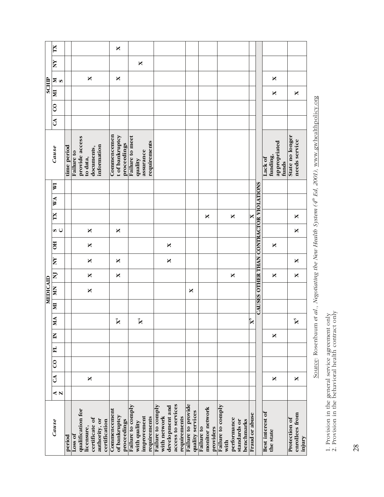|                 | XI                      |             |                                                                                                | X                                             |                                                                  |                                                                                            |                                        |                                            |                                                                        |                                         |                                              |                                           |
|-----------------|-------------------------|-------------|------------------------------------------------------------------------------------------------|-----------------------------------------------|------------------------------------------------------------------|--------------------------------------------------------------------------------------------|----------------------------------------|--------------------------------------------|------------------------------------------------------------------------|-----------------------------------------|----------------------------------------------|-------------------------------------------|
|                 | ΧV                      |             |                                                                                                |                                               | X                                                                |                                                                                            |                                        |                                            |                                                                        |                                         |                                              |                                           |
|                 | ⊠ິ                      |             | X                                                                                              | X                                             |                                                                  |                                                                                            |                                        |                                            |                                                                        |                                         | ×                                            |                                           |
| <b>SCHIP</b>    | <b>II</b>               |             |                                                                                                |                                               |                                                                  |                                                                                            |                                        |                                            |                                                                        |                                         | X                                            | X                                         |
|                 | $\overline{0}$          |             |                                                                                                |                                               |                                                                  |                                                                                            |                                        |                                            |                                                                        |                                         |                                              |                                           |
|                 | $\mathcal{L}$           |             |                                                                                                |                                               |                                                                  |                                                                                            |                                        |                                            |                                                                        |                                         |                                              |                                           |
|                 | Cause                   | time period | provide access<br>information<br>documents,<br>Failure to<br>to data,                          | Commencemen<br>t of bankruptcy<br>proceedings | Failure to meet<br>requirements<br>assurance<br>quality          |                                                                                            |                                        |                                            |                                                                        |                                         | appropriated<br>funding,<br>Lack of<br>funds | State no longer<br>needs service          |
|                 | $\overline{\mathbf{M}}$ |             |                                                                                                |                                               |                                                                  |                                                                                            |                                        |                                            |                                                                        |                                         |                                              |                                           |
|                 | WA                      |             |                                                                                                |                                               |                                                                  |                                                                                            |                                        |                                            |                                                                        |                                         |                                              |                                           |
|                 | XL                      |             |                                                                                                |                                               |                                                                  |                                                                                            |                                        | ×                                          | $\mathbf{\mathsf{X}}$                                                  | ×                                       |                                              | X                                         |
|                 | ဖြဲ                     |             | X                                                                                              | X                                             |                                                                  |                                                                                            |                                        |                                            |                                                                        |                                         |                                              | ×                                         |
|                 | <b>HO</b>               |             | X                                                                                              |                                               |                                                                  | X                                                                                          |                                        |                                            |                                                                        | CAUSES OTHER THAN CONTRACTOR VIOLATIONS | X                                            |                                           |
|                 | <b>AN</b>               |             | X                                                                                              | X                                             |                                                                  | X                                                                                          |                                        |                                            |                                                                        |                                         |                                              | ×                                         |
|                 | $\overline{\mathbf{z}}$ |             | X                                                                                              | X                                             |                                                                  |                                                                                            |                                        |                                            | X                                                                      |                                         | ×                                            | X                                         |
| <b>MEDICAID</b> | MN                      |             | X                                                                                              |                                               |                                                                  |                                                                                            | X                                      |                                            |                                                                        |                                         |                                              |                                           |
|                 | E                       |             |                                                                                                |                                               |                                                                  |                                                                                            |                                        |                                            |                                                                        |                                         |                                              |                                           |
|                 | MA                      |             |                                                                                                | $\mathbf{X}^4$                                | $\mathbf{X}^4$                                                   |                                                                                            |                                        |                                            |                                                                        | $\mathbf{X}^{\mathsf{s}}$               |                                              | $\mathbf{X}^5$                            |
|                 | $\overline{\mathbf{M}}$ |             |                                                                                                |                                               |                                                                  |                                                                                            |                                        |                                            |                                                                        |                                         | X                                            |                                           |
|                 | H                       |             |                                                                                                |                                               |                                                                  |                                                                                            |                                        |                                            |                                                                        |                                         |                                              |                                           |
|                 | $\overline{c}$          |             |                                                                                                |                                               |                                                                  |                                                                                            |                                        |                                            |                                                                        |                                         |                                              |                                           |
|                 | $\mathbb{C}^4$          |             | X                                                                                              |                                               |                                                                  |                                                                                            |                                        |                                            |                                                                        |                                         | X                                            | ×                                         |
|                 | $\triangleleft$ N       |             |                                                                                                |                                               |                                                                  |                                                                                            |                                        |                                            |                                                                        |                                         |                                              |                                           |
|                 | Cause                   | period      | qualification for<br>certificate of<br>authority, or<br>certification<br>licensure,<br>Loss of | Commencement<br>of bankruptcy<br>proceedings  | Failure to comply<br>improvement<br>requirements<br>with quality | access to services<br>Failure to comply<br>development and<br>with network<br>requirements | Failure to provide<br>quality services | monitor network<br>Failure to<br>providers | Failure to comply<br>performance<br>benchmarks<br>standards or<br>with | Fraud or abuse                          | Best interest of<br>the state                | enrollees from<br>Protection of<br>injury |

Source: Rosenbaum et al., Negotiating the New Health System (4th Ed, 2001), www.gwhealthpolicy.org Source: Rosenbaum *et al.*, *Negotiating the New Health System (4th Ed, 2001),* www.gwhealthpolicy.org

1. Provision in the general service agreement only<br>2. Provision in the behavioral health contract only 1. Provision in the general service agreement only

2. Provision in the behavioral health contract only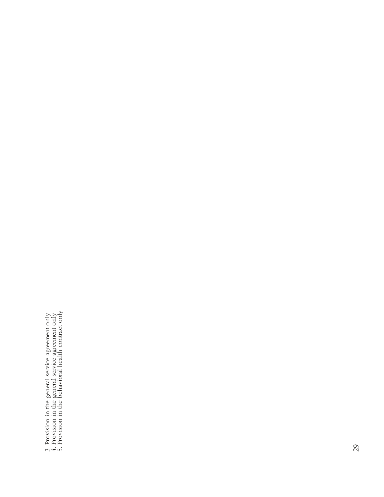3. Provision in the general service agreement only  $4$ . Provision in the general service agreement only 5. Provision in the behavioral health contract only 3. Provision in the general service agreement only 4. Provision in the general service agreement only

5. Provision in the behavioral health contract only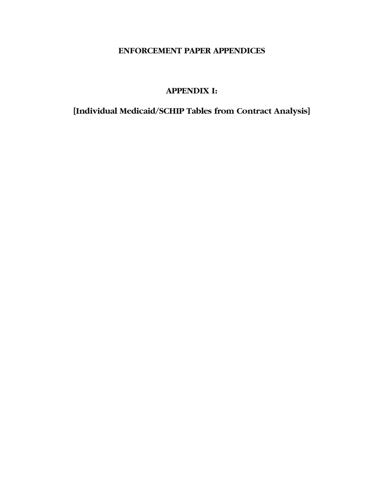# **ENFORCEMENT PAPER APPENDICES**

# **APPENDIX I:**

**[Individual Medicaid/SCHIP Tables from Contract Analysis]**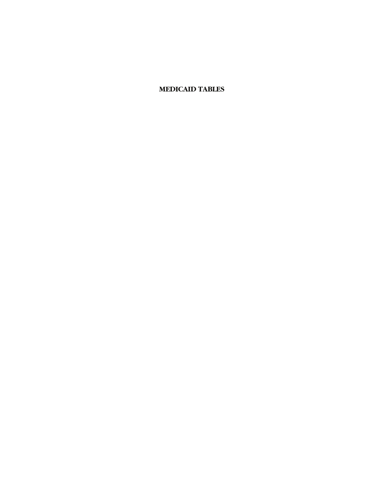# **MEDICAID TABLES**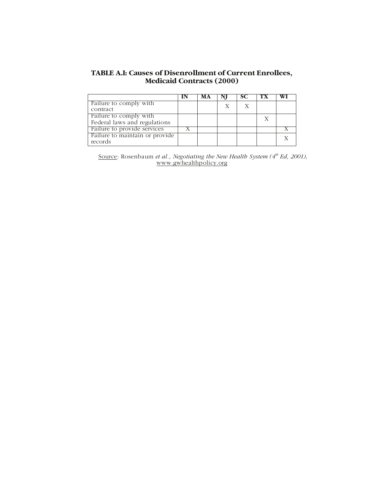## **TABLE A.I: Causes of Disenrollment of Current Enrollees, Medicaid Contracts (2000)**

|                                | МA |   |   |  |
|--------------------------------|----|---|---|--|
| Failure to comply with         |    | X |   |  |
| contract                       |    |   |   |  |
| Failure to comply with         |    |   | Х |  |
| Federal laws and regulations   |    |   |   |  |
| Failure to provide services    |    |   |   |  |
| Failure to maintain or provide |    |   |   |  |
| records                        |    |   |   |  |

Source: Rosenbaum *et al., Negotiating the New Health System (4<sup>th</sup> Ed, 2001),* www.gwhealthpolicy.org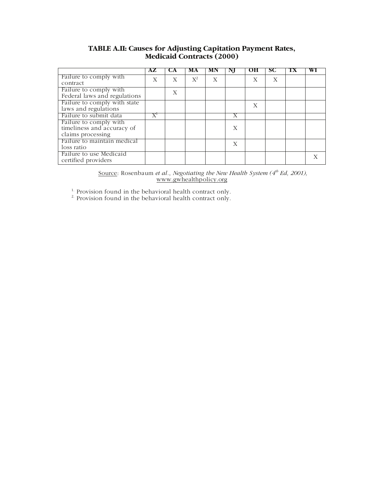## **TABLE A.II: Causes for Adjusting Capitation Payment Rates, Medicaid Contracts (2000)**

|                                                                           | AZ                          | CА | MА                 | MN | NJ | ОН | SС | TХ | WI |
|---------------------------------------------------------------------------|-----------------------------|----|--------------------|----|----|----|----|----|----|
| Failure to comply with<br>contract                                        | Х                           | X  | $\mathrm{X}^{\!2}$ | X  |    | Х  | X  |    |    |
| Failure to comply with<br>Federal laws and regulations                    |                             | Х  |                    |    |    |    |    |    |    |
| Failure to comply with state<br>laws and regulations                      |                             |    |                    |    |    | Х  |    |    |    |
| Failure to submit data                                                    | $\overline{X}$ <sup>1</sup> |    |                    |    |    |    |    |    |    |
| Failure to comply with<br>timeliness and accuracy of<br>claims processing |                             |    |                    |    | X  |    |    |    |    |
| Failure to maintain medical<br>loss ratio                                 |                             |    |                    |    | X  |    |    |    |    |
| Failure to use Medicaid<br>certified providers                            |                             |    |                    |    |    |    |    |    |    |

Source: Rosenbaum *et al., Negotiating the New Health System* (4<sup>th</sup> Ed, 2001), www.gwhealthpolicy.org

<sup>1.</sup> Provision found in the behavioral health contract only.

<sup>2</sup> Provision found in the behavioral health contract only.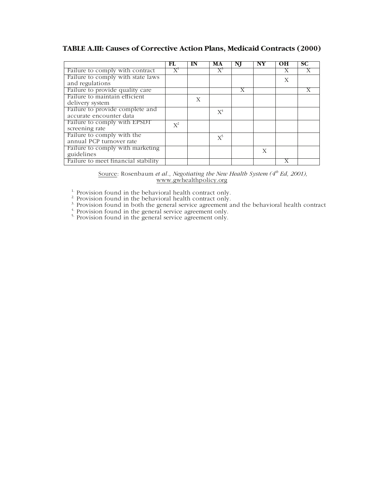# **TABLE A.III: Causes of Corrective Action Plans, Medicaid Contracts (2000)**

|                                                            | FL.   | IN | МA      | NI | NY | он | SС |
|------------------------------------------------------------|-------|----|---------|----|----|----|----|
| Failure to comply with contract                            |       |    | $\rm X$ |    |    |    |    |
| Failure to comply with state laws<br>and regulations       |       |    |         |    |    | X  |    |
| Failure to provide quality care                            |       |    |         | Х  |    |    |    |
| Failure to maintain efficient<br>delivery system           |       | X  |         |    |    |    |    |
| Failure to provide complete and<br>accurate encounter data |       |    | $X^4$   |    |    |    |    |
| Failure to comply with EPSDT<br>screening rate             | $X^2$ |    |         |    |    |    |    |
| Failure to comply with the<br>annual PCP turnover rate     |       |    | $X^5$   |    |    |    |    |
| Failure to comply with marketing<br>guidelines             |       |    |         |    | X  |    |    |
| Failure to meet financial stability                        |       |    |         |    |    |    |    |

| Source: Rosenbaum et al., Negotiating the New Health System $(4^b$ Ed, 2001), |                        |  |  |  |
|-------------------------------------------------------------------------------|------------------------|--|--|--|
|                                                                               | www.gwhealthpolicy.org |  |  |  |

 $1$ . Provision found in the behavioral health contract only.

 $2^2$  Provision found in the behavioral health contract only.

 $3.$  Provision found in both the general service agreement and the behavioral health contract

 $\frac{4}{5}$ . Provision found in the general service agreement only.

<sup>5.</sup> Provision found in the general service agreement only.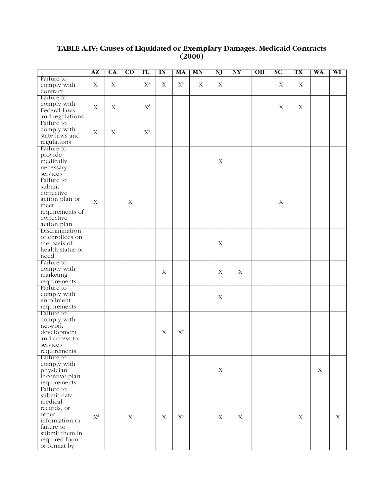# **TABLE A.IV: Causes of Liquidated or Exemplary Damages, Medicaid Contracts (2000)**

|                  | ${\bf AZ}$     | CA          | $\overline{\text{co}}$ | FL                 | $\mathbf{I} \mathbf{N}$ | MA             | MN          | NJ          | NY          | O <sub>H</sub> | $\overline{\mathbf{S}}$ C | TX          | WA          | WI |
|------------------|----------------|-------------|------------------------|--------------------|-------------------------|----------------|-------------|-------------|-------------|----------------|---------------------------|-------------|-------------|----|
| Failure to       |                |             |                        |                    |                         |                |             |             |             |                |                           |             |             |    |
| comply with      | $\mathbf{X}^1$ | $\mathbf X$ |                        | $\mathbf{X}^{\!3}$ | $\mathbf X$             | $\mathbf{X}^4$ | $\mathbf X$ | $\mathbf X$ |             |                | $\mathbf X$               | $\mathbf X$ |             |    |
| contract         |                |             |                        |                    |                         |                |             |             |             |                |                           |             |             |    |
| Failure to       |                |             |                        |                    |                         |                |             |             |             |                |                           |             |             |    |
| comply with      |                |             |                        |                    |                         |                |             |             |             |                |                           |             |             |    |
| Federal laws     | $\mathbf{X}^1$ | $\mathbf X$ |                        | $\mathbf{X}^{\!3}$ |                         |                |             |             |             |                | $\mathbf X$               | $\mathbf X$ |             |    |
|                  |                |             |                        |                    |                         |                |             |             |             |                |                           |             |             |    |
| and regulations  |                |             |                        |                    |                         |                |             |             |             |                |                           |             |             |    |
| Failure to       |                |             |                        |                    |                         |                |             |             |             |                |                           |             |             |    |
| comply with      | $\mathbf{X}^1$ | $\mathbf X$ |                        | $\mathbf{X}^{\!3}$ |                         |                |             |             |             |                |                           |             |             |    |
| state laws and   |                |             |                        |                    |                         |                |             |             |             |                |                           |             |             |    |
| regulations      |                |             |                        |                    |                         |                |             |             |             |                |                           |             |             |    |
| Failure to       |                |             |                        |                    |                         |                |             |             |             |                |                           |             |             |    |
| provide          |                |             |                        |                    |                         |                |             |             |             |                |                           |             |             |    |
| medically        |                |             |                        |                    |                         |                |             | $\mathbf X$ |             |                |                           |             |             |    |
| necessary        |                |             |                        |                    |                         |                |             |             |             |                |                           |             |             |    |
| services         |                |             |                        |                    |                         |                |             |             |             |                |                           |             |             |    |
| Failure to       |                |             |                        |                    |                         |                |             |             |             |                |                           |             |             |    |
| submit           |                |             |                        |                    |                         |                |             |             |             |                |                           |             |             |    |
| corrective       |                |             |                        |                    |                         |                |             |             |             |                |                           |             |             |    |
| action plan or   |                |             |                        |                    |                         |                |             |             |             |                |                           |             |             |    |
|                  | $\mathbf{X}^1$ |             | $\mathbf X$            |                    |                         |                |             |             |             |                | X                         |             |             |    |
| meet             |                |             |                        |                    |                         |                |             |             |             |                |                           |             |             |    |
| requirements of  |                |             |                        |                    |                         |                |             |             |             |                |                           |             |             |    |
| corrective       |                |             |                        |                    |                         |                |             |             |             |                |                           |             |             |    |
| action plan      |                |             |                        |                    |                         |                |             |             |             |                |                           |             |             |    |
| Discrimination   |                |             |                        |                    |                         |                |             |             |             |                |                           |             |             |    |
| of enrollees on  |                |             |                        |                    |                         |                |             |             |             |                |                           |             |             |    |
| the basis of     |                |             |                        |                    |                         |                |             | $\mathbf X$ |             |                |                           |             |             |    |
| health status or |                |             |                        |                    |                         |                |             |             |             |                |                           |             |             |    |
| need             |                |             |                        |                    |                         |                |             |             |             |                |                           |             |             |    |
| Failure to       |                |             |                        |                    |                         |                |             |             |             |                |                           |             |             |    |
| comply with      |                |             |                        |                    |                         |                |             |             |             |                |                           |             |             |    |
| marketing        |                |             |                        |                    | X                       |                |             | $\mathbf X$ | $\mathbf X$ |                |                           |             |             |    |
| requirements     |                |             |                        |                    |                         |                |             |             |             |                |                           |             |             |    |
| Failure to       |                |             |                        |                    |                         |                |             |             |             |                |                           |             |             |    |
| comply with      |                |             |                        |                    |                         |                |             |             |             |                |                           |             |             |    |
| enrollment       |                |             |                        |                    |                         |                |             | $\mathbf X$ |             |                |                           |             |             |    |
|                  |                |             |                        |                    |                         |                |             |             |             |                |                           |             |             |    |
| requirements     |                |             |                        |                    |                         |                |             |             |             |                |                           |             |             |    |
| Failure to       |                |             |                        |                    |                         |                |             |             |             |                |                           |             |             |    |
| comply with      |                |             |                        |                    |                         |                |             |             |             |                |                           |             |             |    |
| network          |                |             |                        |                    |                         |                |             |             |             |                |                           |             |             |    |
| development      |                |             |                        |                    | X                       | $\mathbf{X}^4$ |             |             |             |                |                           |             |             |    |
| and access to    |                |             |                        |                    |                         |                |             |             |             |                |                           |             |             |    |
| services         |                |             |                        |                    |                         |                |             |             |             |                |                           |             |             |    |
| requirements     |                |             |                        |                    |                         |                |             |             |             |                |                           |             |             |    |
| Failure to       |                |             |                        |                    |                         |                |             |             |             |                |                           |             |             |    |
| comply with      |                |             |                        |                    |                         |                |             |             |             |                |                           |             |             |    |
| physician        |                |             |                        |                    |                         |                |             | $\mathbf X$ |             |                |                           |             | $\mathbf X$ |    |
| incentive plan   |                |             |                        |                    |                         |                |             |             |             |                |                           |             |             |    |
| requirements     |                |             |                        |                    |                         |                |             |             |             |                |                           |             |             |    |
| Failure to       |                |             |                        |                    |                         |                |             |             |             |                |                           |             |             |    |
| submit data,     |                |             |                        |                    |                         |                |             |             |             |                |                           |             |             |    |
| medical          |                |             |                        |                    |                         |                |             |             |             |                |                           |             |             |    |
|                  |                |             |                        |                    |                         |                |             |             |             |                |                           |             |             |    |
| records, or      |                |             |                        |                    |                         |                |             |             |             |                |                           |             |             |    |
| other            | $\mathbf{X}^2$ |             | $\mathbf X$            |                    | $\mathbf X$             | $\mathbf{X}^4$ |             | $\mathbf X$ | X           |                |                           | $\mathbf X$ |             | X  |
| information or   |                |             |                        |                    |                         |                |             |             |             |                |                           |             |             |    |
| failure to       |                |             |                        |                    |                         |                |             |             |             |                |                           |             |             |    |
| submit them in   |                |             |                        |                    |                         |                |             |             |             |                |                           |             |             |    |
| required form    |                |             |                        |                    |                         |                |             |             |             |                |                           |             |             |    |
| or format by     |                |             |                        |                    |                         |                |             |             |             |                |                           |             |             |    |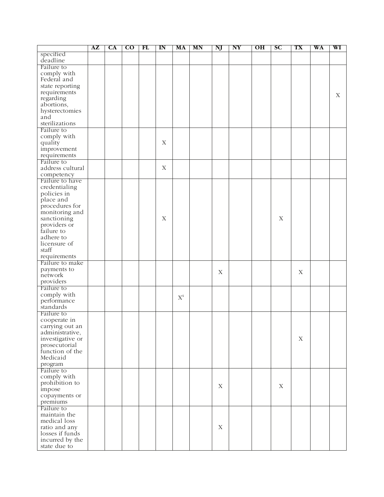|                            | ${\bf AZ}$ | <b>CA</b> | $\overline{c}$ | FL | IN          | MA             | MN | NJ          | NY | O <sub>H</sub> | <b>SC</b>   | TX          | WA | WI |
|----------------------------|------------|-----------|----------------|----|-------------|----------------|----|-------------|----|----------------|-------------|-------------|----|----|
| specified                  |            |           |                |    |             |                |    |             |    |                |             |             |    |    |
| deadline                   |            |           |                |    |             |                |    |             |    |                |             |             |    |    |
| Failure to                 |            |           |                |    |             |                |    |             |    |                |             |             |    |    |
| comply with                |            |           |                |    |             |                |    |             |    |                |             |             |    |    |
| Federal and                |            |           |                |    |             |                |    |             |    |                |             |             |    |    |
| state reporting            |            |           |                |    |             |                |    |             |    |                |             |             |    |    |
| requirements               |            |           |                |    |             |                |    |             |    |                |             |             |    | Х  |
| regarding<br>abortions,    |            |           |                |    |             |                |    |             |    |                |             |             |    |    |
| hysterectomies             |            |           |                |    |             |                |    |             |    |                |             |             |    |    |
| and                        |            |           |                |    |             |                |    |             |    |                |             |             |    |    |
| sterilizations             |            |           |                |    |             |                |    |             |    |                |             |             |    |    |
| Failure to                 |            |           |                |    |             |                |    |             |    |                |             |             |    |    |
| comply with                |            |           |                |    |             |                |    |             |    |                |             |             |    |    |
| quality                    |            |           |                |    | $\mathbf X$ |                |    |             |    |                |             |             |    |    |
| improvement                |            |           |                |    |             |                |    |             |    |                |             |             |    |    |
| requirements               |            |           |                |    |             |                |    |             |    |                |             |             |    |    |
| Failure to                 |            |           |                |    |             |                |    |             |    |                |             |             |    |    |
| address cultural           |            |           |                |    | $\mathbf X$ |                |    |             |    |                |             |             |    |    |
| competency                 |            |           |                |    |             |                |    |             |    |                |             |             |    |    |
| Failure to have            |            |           |                |    |             |                |    |             |    |                |             |             |    |    |
| credentialing              |            |           |                |    |             |                |    |             |    |                |             |             |    |    |
| policies in                |            |           |                |    |             |                |    |             |    |                |             |             |    |    |
| place and                  |            |           |                |    |             |                |    |             |    |                |             |             |    |    |
| procedures for             |            |           |                |    |             |                |    |             |    |                |             |             |    |    |
| monitoring and             |            |           |                |    |             |                |    |             |    |                |             |             |    |    |
| sanctioning                |            |           |                |    | $\mathbf X$ |                |    |             |    |                | $\mathbf X$ |             |    |    |
| providers or               |            |           |                |    |             |                |    |             |    |                |             |             |    |    |
| failure to                 |            |           |                |    |             |                |    |             |    |                |             |             |    |    |
| adhere to                  |            |           |                |    |             |                |    |             |    |                |             |             |    |    |
| licensure of               |            |           |                |    |             |                |    |             |    |                |             |             |    |    |
| staff                      |            |           |                |    |             |                |    |             |    |                |             |             |    |    |
| requirements               |            |           |                |    |             |                |    |             |    |                |             |             |    |    |
| Failure to make            |            |           |                |    |             |                |    |             |    |                |             |             |    |    |
| payments to                |            |           |                |    |             |                |    | $\mathbf X$ |    |                |             | X           |    |    |
| network                    |            |           |                |    |             |                |    |             |    |                |             |             |    |    |
| providers                  |            |           |                |    |             |                |    |             |    |                |             |             |    |    |
| Failure to                 |            |           |                |    |             |                |    |             |    |                |             |             |    |    |
| comply with                |            |           |                |    |             | $\mathbf{X}^4$ |    |             |    |                |             |             |    |    |
| performance                |            |           |                |    |             |                |    |             |    |                |             |             |    |    |
| standards                  |            |           |                |    |             |                |    |             |    |                |             |             |    |    |
| Failure to                 |            |           |                |    |             |                |    |             |    |                |             |             |    |    |
| cooperate in               |            |           |                |    |             |                |    |             |    |                |             |             |    |    |
| carrying out an            |            |           |                |    |             |                |    |             |    |                |             |             |    |    |
| administrative,            |            |           |                |    |             |                |    |             |    |                |             |             |    |    |
| investigative or           |            |           |                |    |             |                |    |             |    |                |             | $\mathbf X$ |    |    |
| prosecutorial              |            |           |                |    |             |                |    |             |    |                |             |             |    |    |
| function of the            |            |           |                |    |             |                |    |             |    |                |             |             |    |    |
| Medicaid                   |            |           |                |    |             |                |    |             |    |                |             |             |    |    |
| program                    |            |           |                |    |             |                |    |             |    |                |             |             |    |    |
| Failure to                 |            |           |                |    |             |                |    |             |    |                |             |             |    |    |
| comply with                |            |           |                |    |             |                |    |             |    |                |             |             |    |    |
| prohibition to             |            |           |                |    |             |                |    | $\mathbf X$ |    |                | $\mathbf X$ |             |    |    |
| impose                     |            |           |                |    |             |                |    |             |    |                |             |             |    |    |
| copayments or              |            |           |                |    |             |                |    |             |    |                |             |             |    |    |
| premiums                   |            |           |                |    |             |                |    |             |    |                |             |             |    |    |
| Failure to<br>maintain the |            |           |                |    |             |                |    |             |    |                |             |             |    |    |
| medical loss               |            |           |                |    |             |                |    |             |    |                |             |             |    |    |
| ratio and any              |            |           |                |    |             |                |    | $\mathbf X$ |    |                |             |             |    |    |
| losses if funds            |            |           |                |    |             |                |    |             |    |                |             |             |    |    |
| incurred by the            |            |           |                |    |             |                |    |             |    |                |             |             |    |    |
| state due to               |            |           |                |    |             |                |    |             |    |                |             |             |    |    |
|                            |            |           |                |    |             |                |    |             |    |                |             |             |    |    |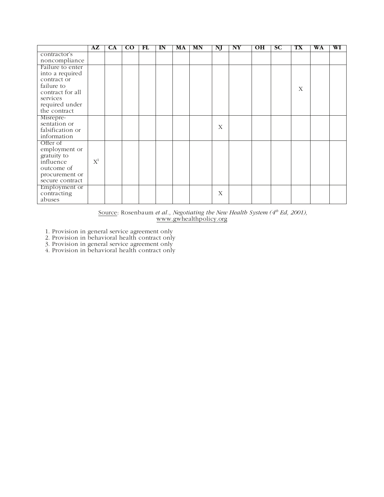|                  | ${\bf AZ}$ | CA | $\overline{\mathbf{C}\mathbf{O}}$ | FL | IN | MA | <b>MN</b> | NJ | NY | O <sub>H</sub> | SC | <b>TX</b> | WA | WI |
|------------------|------------|----|-----------------------------------|----|----|----|-----------|----|----|----------------|----|-----------|----|----|
| contractor's     |            |    |                                   |    |    |    |           |    |    |                |    |           |    |    |
| noncompliance    |            |    |                                   |    |    |    |           |    |    |                |    |           |    |    |
| Failure to enter |            |    |                                   |    |    |    |           |    |    |                |    |           |    |    |
| into a required  |            |    |                                   |    |    |    |           |    |    |                |    |           |    |    |
| contract or      |            |    |                                   |    |    |    |           |    |    |                |    |           |    |    |
| failure to       |            |    |                                   |    |    |    |           |    |    |                |    | X         |    |    |
| contract for all |            |    |                                   |    |    |    |           |    |    |                |    |           |    |    |
| services         |            |    |                                   |    |    |    |           |    |    |                |    |           |    |    |
| required under   |            |    |                                   |    |    |    |           |    |    |                |    |           |    |    |
| the contract     |            |    |                                   |    |    |    |           |    |    |                |    |           |    |    |
| Misrepre-        |            |    |                                   |    |    |    |           |    |    |                |    |           |    |    |
| sentation or     |            |    |                                   |    |    |    |           | X  |    |                |    |           |    |    |
| falsification or |            |    |                                   |    |    |    |           |    |    |                |    |           |    |    |
| information      |            |    |                                   |    |    |    |           |    |    |                |    |           |    |    |
| Offer of         |            |    |                                   |    |    |    |           |    |    |                |    |           |    |    |
| employment or    |            |    |                                   |    |    |    |           |    |    |                |    |           |    |    |
| gratuity to      |            |    |                                   |    |    |    |           |    |    |                |    |           |    |    |
| influence        | $X^1$      |    |                                   |    |    |    |           |    |    |                |    |           |    |    |
| outcome of       |            |    |                                   |    |    |    |           |    |    |                |    |           |    |    |
| procurement or   |            |    |                                   |    |    |    |           |    |    |                |    |           |    |    |
| secure contract  |            |    |                                   |    |    |    |           |    |    |                |    |           |    |    |
| Employment or    |            |    |                                   |    |    |    |           |    |    |                |    |           |    |    |
| contracting      |            |    |                                   |    |    |    |           | X  |    |                |    |           |    |    |
| abuses           |            |    |                                   |    |    |    |           |    |    |                |    |           |    |    |

Source: Rosenbaum *et al., Negotiating the New Health System (4<sup>th</sup> Ed, 2001),* www.gwhealthpolicy.org

1. Provision in general service agreement only

2. Provision in behavioral health contract only

3. Provision in general service agreement only

4. Provision in behavioral health contract only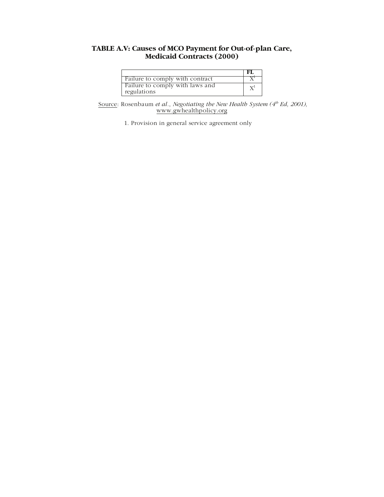#### **TABLE A.V: Causes of MCO Payment for Out-of-plan Care, Medicaid Contracts (2000)**

|                                                | -FL            |
|------------------------------------------------|----------------|
| Failure to comply with contract                |                |
| Failure to comply with laws and<br>regulations | $\mathrm{X}^1$ |

Source: Rosenbaum *et al., Negotiating the New Health System* (4<sup>th</sup> Ed, 2001), www.gwhealthpolicy.org

1. Provision in general service agreement only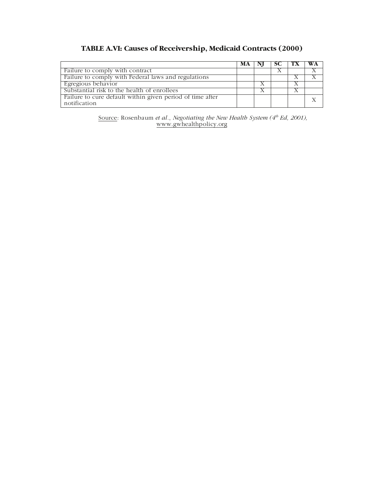### **TABLE A.VI: Causes of Receivership, Medicaid Contracts (2000)**

|                                                                           | MA | $\mathcal{L}$ | $\mathbf{I}$ | WA |
|---------------------------------------------------------------------------|----|---------------|--------------|----|
| Failure to comply with contract                                           |    |               |              |    |
| Failure to comply with Federal laws and regulations                       |    |               |              |    |
| Egregious behavior                                                        |    |               |              |    |
| Substantial risk to the health of enrollees                               |    |               |              |    |
| Failure to cure default within given period of time after<br>notification |    |               |              |    |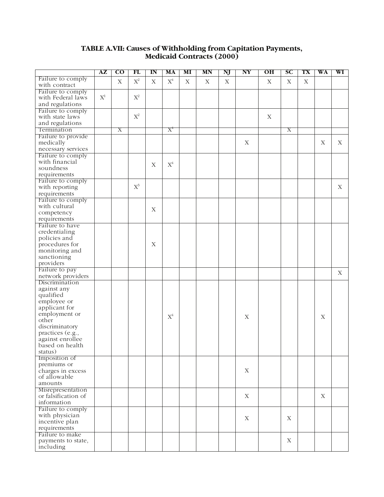#### **TABLE A.VII: Causes of Withholding from Capitation Payments, Medicaid Contracts (2000)**

|                     | AZ             | $\overline{\rm co}$ | FL             | ${\bf I} {\bf N}$ | MA             | MI | MN | Ŋ           | NY                        | OН | SС | TX | WA          | WI          |
|---------------------|----------------|---------------------|----------------|-------------------|----------------|----|----|-------------|---------------------------|----|----|----|-------------|-------------|
| Failure to comply   |                | $\mathbf X$         | $\mathbf{X}^2$ | $\mathbf X$       | $X^4$          |    |    |             |                           |    |    |    |             |             |
| with contract       |                |                     |                |                   |                | X  | X  | $\mathbf X$ |                           | X  | X  | X  |             |             |
| Failure to comply   |                |                     |                |                   |                |    |    |             |                           |    |    |    |             |             |
| with Federal laws   | $\mathbf{X}^1$ |                     | $\mathbf{X}^2$ |                   |                |    |    |             |                           |    |    |    |             |             |
| and regulations     |                |                     |                |                   |                |    |    |             |                           |    |    |    |             |             |
| Failure to comply   |                |                     |                |                   |                |    |    |             |                           |    |    |    |             |             |
| with state laws     |                |                     | $\mathbf{X}^2$ |                   |                |    |    |             |                           | X  |    |    |             |             |
| and regulations     |                |                     |                |                   |                |    |    |             |                           |    |    |    |             |             |
| Termination         |                | Χ                   |                |                   | $X^4$          |    |    |             |                           |    | Χ  |    |             |             |
| Failure to provide  |                |                     |                |                   |                |    |    |             |                           |    |    |    |             |             |
| medically           |                |                     |                |                   |                |    |    |             | X                         |    |    |    | X           | X           |
|                     |                |                     |                |                   |                |    |    |             |                           |    |    |    |             |             |
| necessary services  |                |                     |                |                   |                |    |    |             |                           |    |    |    |             |             |
| Failure to comply   |                |                     |                |                   |                |    |    |             |                           |    |    |    |             |             |
| with financial      |                |                     |                | $\mathbf X$       | $\mathbf{X}^4$ |    |    |             |                           |    |    |    |             |             |
| soundness           |                |                     |                |                   |                |    |    |             |                           |    |    |    |             |             |
| requirements        |                |                     |                |                   |                |    |    |             |                           |    |    |    |             |             |
| Failure to comply   |                |                     |                |                   |                |    |    |             |                           |    |    |    |             |             |
| with reporting      |                |                     | $X^3$          |                   |                |    |    |             |                           |    |    |    |             | X           |
| requirements        |                |                     |                |                   |                |    |    |             |                           |    |    |    |             |             |
| Failure to comply   |                |                     |                |                   |                |    |    |             |                           |    |    |    |             |             |
| with cultural       |                |                     |                | $\mathbf X$       |                |    |    |             |                           |    |    |    |             |             |
| competency          |                |                     |                |                   |                |    |    |             |                           |    |    |    |             |             |
| requirements        |                |                     |                |                   |                |    |    |             |                           |    |    |    |             |             |
| Failure to have     |                |                     |                |                   |                |    |    |             |                           |    |    |    |             |             |
| credentialing       |                |                     |                |                   |                |    |    |             |                           |    |    |    |             |             |
| policies and        |                |                     |                |                   |                |    |    |             |                           |    |    |    |             |             |
| procedures for      |                |                     |                | X                 |                |    |    |             |                           |    |    |    |             |             |
| monitoring and      |                |                     |                |                   |                |    |    |             |                           |    |    |    |             |             |
| sanctioning         |                |                     |                |                   |                |    |    |             |                           |    |    |    |             |             |
| providers           |                |                     |                |                   |                |    |    |             |                           |    |    |    |             |             |
| Failure to pay      |                |                     |                |                   |                |    |    |             |                           |    |    |    |             |             |
| network providers   |                |                     |                |                   |                |    |    |             |                           |    |    |    |             | $\mathbf X$ |
| Discrimination      |                |                     |                |                   |                |    |    |             |                           |    |    |    |             |             |
|                     |                |                     |                |                   |                |    |    |             |                           |    |    |    |             |             |
| against any         |                |                     |                |                   |                |    |    |             |                           |    |    |    |             |             |
| qualified           |                |                     |                |                   |                |    |    |             |                           |    |    |    |             |             |
| employee or         |                |                     |                |                   |                |    |    |             |                           |    |    |    |             |             |
| applicant for       |                |                     |                |                   |                |    |    |             |                           |    |    |    |             |             |
| employment or       |                |                     |                |                   | $\mathrm{X}^4$ |    |    |             | $\boldsymbol{\mathrm{X}}$ |    |    |    | $\mathbf X$ |             |
| other               |                |                     |                |                   |                |    |    |             |                           |    |    |    |             |             |
| discriminatory      |                |                     |                |                   |                |    |    |             |                           |    |    |    |             |             |
| practices (e.g.,    |                |                     |                |                   |                |    |    |             |                           |    |    |    |             |             |
| against enrollee    |                |                     |                |                   |                |    |    |             |                           |    |    |    |             |             |
| based on health     |                |                     |                |                   |                |    |    |             |                           |    |    |    |             |             |
| status)             |                |                     |                |                   |                |    |    |             |                           |    |    |    |             |             |
| Imposition of       |                |                     |                |                   |                |    |    |             |                           |    |    |    |             |             |
| premiums or         |                |                     |                |                   |                |    |    |             |                           |    |    |    |             |             |
| charges in excess   |                |                     |                |                   |                |    |    |             | $\mathbf X$               |    |    |    |             |             |
| of allowable        |                |                     |                |                   |                |    |    |             |                           |    |    |    |             |             |
| amounts             |                |                     |                |                   |                |    |    |             |                           |    |    |    |             |             |
| Misrepresentation   |                |                     |                |                   |                |    |    |             |                           |    |    |    |             |             |
| or falsification of |                |                     |                |                   |                |    |    |             | X                         |    |    |    | $\mathbf X$ |             |
| information         |                |                     |                |                   |                |    |    |             |                           |    |    |    |             |             |
| Failure to comply   |                |                     |                |                   |                |    |    |             |                           |    |    |    |             |             |
| with physician      |                |                     |                |                   |                |    |    |             |                           |    |    |    |             |             |
| incentive plan      |                |                     |                |                   |                |    |    |             | X                         |    | X  |    |             |             |
| requirements        |                |                     |                |                   |                |    |    |             |                           |    |    |    |             |             |
| Failure to make     |                |                     |                |                   |                |    |    |             |                           |    |    |    |             |             |
| payments to state,  |                |                     |                |                   |                |    |    |             |                           |    | X  |    |             |             |
| including           |                |                     |                |                   |                |    |    |             |                           |    |    |    |             |             |
|                     |                |                     |                |                   |                |    |    |             |                           |    |    |    |             |             |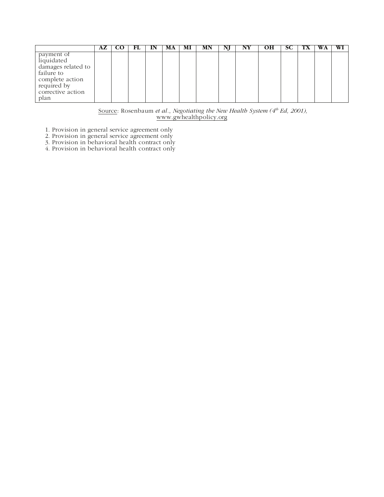|                                                                                                                             | AZ. | CO | FL | IN | МA | MI | MN | IŊ | NY | OН | <b>SC</b> | 1 X | WA | WI |
|-----------------------------------------------------------------------------------------------------------------------------|-----|----|----|----|----|----|----|----|----|----|-----------|-----|----|----|
| payment of<br>liquidated<br>damages related to<br>failure to<br>complete action<br>required by<br>corrective action<br>plan |     |    |    |    |    |    |    |    |    |    |           |     |    |    |

Source: Rosenbaum *et al., Negotiating the New Health System (4<sup>th</sup> Ed, 2001),* www.gwhealthpolicy.org

1. Provision in general service agreement only

2. Provision in general service agreement only

3. Provision in behavioral health contract only

4. Provision in behavioral health contract only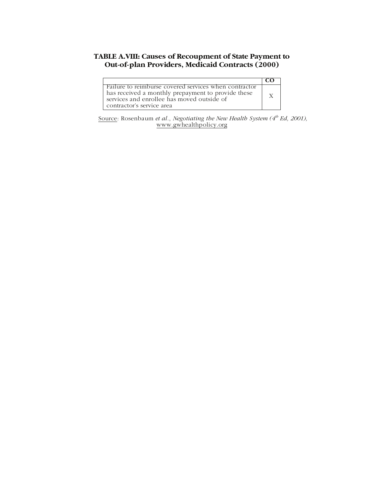#### **TABLE A.VIII: Causes of Recoupment of State Payment to Out-of-plan Providers, Medicaid Contracts (2000)**

| Failure to reimburse covered services when contractor<br>has received a monthly prepayment to provide these |  |
|-------------------------------------------------------------------------------------------------------------|--|
| services and enrollee has moved outside of<br>contractor's service area                                     |  |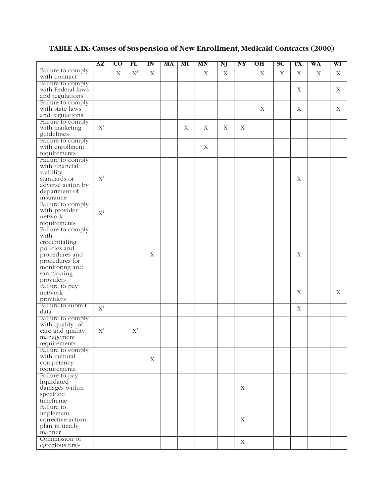# **TABLE A.IX: Causes of Suspension of New Enrollment, Medicaid Contracts (2000)**

|                                      | $A\mathbf{Z}$      | $\overline{\rm co}$ | FL             | $\mathbf{I} \mathbf{N}$ | MA | MI | MN          | NJ          | NY                        | OН          | SC | TX          | WA          | WI          |
|--------------------------------------|--------------------|---------------------|----------------|-------------------------|----|----|-------------|-------------|---------------------------|-------------|----|-------------|-------------|-------------|
| Failure to comply                    |                    | $\mathbf X$         | $\mathbf{X}^2$ | $\mathbf X$             |    |    | X           | $\mathbf X$ |                           | $\mathbf X$ | X  | $\mathbf X$ | $\mathbf X$ | $\mathbf X$ |
| with contract                        |                    |                     |                |                         |    |    |             |             |                           |             |    |             |             |             |
| Failure to comply                    |                    |                     |                |                         |    |    |             |             |                           |             |    |             |             |             |
| with Federal laws                    |                    |                     |                |                         |    |    |             |             |                           |             |    | X           |             | X           |
| and regulations<br>Failure to comply |                    |                     |                |                         |    |    |             |             |                           |             |    |             |             |             |
| with state laws                      |                    |                     |                |                         |    |    |             |             |                           | $\mathbf X$ |    | $\mathbf X$ |             | X           |
| and regulations                      |                    |                     |                |                         |    |    |             |             |                           |             |    |             |             |             |
| Failure to comply                    |                    |                     |                |                         |    |    |             |             |                           |             |    |             |             |             |
| with marketing                       | $\mathbf{X}^1$     |                     |                |                         |    | X  | X           | $\mathbf X$ | $\boldsymbol{\mathrm{X}}$ |             |    |             |             |             |
| guidelines                           |                    |                     |                |                         |    |    |             |             |                           |             |    |             |             |             |
| Failure to comply                    |                    |                     |                |                         |    |    |             |             |                           |             |    |             |             |             |
| with enrollment                      |                    |                     |                |                         |    |    | $\mathbf X$ |             |                           |             |    |             |             |             |
| requirements                         |                    |                     |                |                         |    |    |             |             |                           |             |    |             |             |             |
| Failure to comply                    |                    |                     |                |                         |    |    |             |             |                           |             |    |             |             |             |
| with financial                       |                    |                     |                |                         |    |    |             |             |                           |             |    |             |             |             |
| viability<br>standards or            | $\mathbf{X}^1$     |                     |                |                         |    |    |             |             |                           |             |    | $\mathbf X$ |             |             |
| adverse action by                    |                    |                     |                |                         |    |    |             |             |                           |             |    |             |             |             |
| department of                        |                    |                     |                |                         |    |    |             |             |                           |             |    |             |             |             |
| insurance                            |                    |                     |                |                         |    |    |             |             |                           |             |    |             |             |             |
| Failure to comply                    |                    |                     |                |                         |    |    |             |             |                           |             |    |             |             |             |
| with provider                        |                    |                     |                |                         |    |    |             |             |                           |             |    |             |             |             |
| network                              | $\mathbf{X}^1$     |                     |                |                         |    |    |             |             |                           |             |    |             |             |             |
| requirements                         |                    |                     |                |                         |    |    |             |             |                           |             |    |             |             |             |
| Failure to comply                    |                    |                     |                |                         |    |    |             |             |                           |             |    |             |             |             |
| with                                 |                    |                     |                |                         |    |    |             |             |                           |             |    |             |             |             |
| credentialing                        |                    |                     |                |                         |    |    |             |             |                           |             |    |             |             |             |
| policies and                         |                    |                     |                |                         |    |    |             |             |                           |             |    | $\mathbf X$ |             |             |
| procedures and<br>procedures for     |                    |                     |                | $\mathbf X$             |    |    |             |             |                           |             |    |             |             |             |
| monitoring and                       |                    |                     |                |                         |    |    |             |             |                           |             |    |             |             |             |
| sanctioning                          |                    |                     |                |                         |    |    |             |             |                           |             |    |             |             |             |
| providers                            |                    |                     |                |                         |    |    |             |             |                           |             |    |             |             |             |
| Failure to pay                       |                    |                     |                |                         |    |    |             |             |                           |             |    |             |             |             |
| network                              |                    |                     |                |                         |    |    |             |             |                           |             |    | $\mathbf X$ |             | X           |
| providers                            |                    |                     |                |                         |    |    |             |             |                           |             |    |             |             |             |
| Failure to submit                    | $\mathbf{X}^1$     |                     |                |                         |    |    |             |             |                           |             |    | $\mathbf X$ |             |             |
| data                                 |                    |                     |                |                         |    |    |             |             |                           |             |    |             |             |             |
| Failure to comply                    |                    |                     |                |                         |    |    |             |             |                           |             |    |             |             |             |
| with quality of                      | $\mathrm{X}^{\!1}$ |                     | $\mathbf{X}^2$ |                         |    |    |             |             |                           |             |    |             |             |             |
| care and quality                     |                    |                     |                |                         |    |    |             |             |                           |             |    |             |             |             |
| management<br>requirements           |                    |                     |                |                         |    |    |             |             |                           |             |    |             |             |             |
| Failure to comply                    |                    |                     |                |                         |    |    |             |             |                           |             |    |             |             |             |
| with cultural                        |                    |                     |                |                         |    |    |             |             |                           |             |    |             |             |             |
| competency                           |                    |                     |                | X                       |    |    |             |             |                           |             |    |             |             |             |
| requirements                         |                    |                     |                |                         |    |    |             |             |                           |             |    |             |             |             |
| Failure to pay                       |                    |                     |                |                         |    |    |             |             |                           |             |    |             |             |             |
| liquidated                           |                    |                     |                |                         |    |    |             |             |                           |             |    |             |             |             |
| damages within                       |                    |                     |                |                         |    |    |             |             | $\mathbf X$               |             |    |             |             |             |
| specified                            |                    |                     |                |                         |    |    |             |             |                           |             |    |             |             |             |
| timeframe                            |                    |                     |                |                         |    |    |             |             |                           |             |    |             |             |             |
| Failure to<br>implement              |                    |                     |                |                         |    |    |             |             |                           |             |    |             |             |             |
| corrective action                    |                    |                     |                |                         |    |    |             |             | X                         |             |    |             |             |             |
| plan in timely                       |                    |                     |                |                         |    |    |             |             |                           |             |    |             |             |             |
| manner                               |                    |                     |                |                         |    |    |             |             |                           |             |    |             |             |             |
| Commission of                        |                    |                     |                |                         |    |    |             |             |                           |             |    |             |             |             |
| egregious first-                     |                    |                     |                |                         |    |    |             |             | $\mathbf X$               |             |    |             |             |             |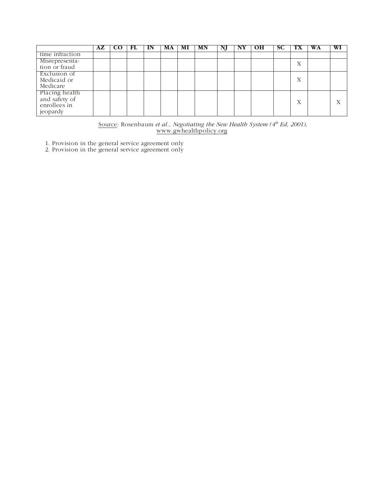|                                                             | $\mathbf{A} \mathbf{Z} + \mathbf{C} \mathbf{O}$ | . FL | IN. | MA 1 | MI | MN | NJ | NY. | - OH | SC. | $\mathbf{I} \mathbf{X}$ | WA | WI                |
|-------------------------------------------------------------|-------------------------------------------------|------|-----|------|----|----|----|-----|------|-----|-------------------------|----|-------------------|
| time infraction                                             |                                                 |      |     |      |    |    |    |     |      |     |                         |    |                   |
| Misrepresenta-<br>tion or fraud                             |                                                 |      |     |      |    |    |    |     |      |     | л                       |    |                   |
| Exclusion of<br>Medicaid or<br>Medicare                     |                                                 |      |     |      |    |    |    |     |      |     | X                       |    |                   |
| Placing health<br>and safety of<br>enrollees in<br>jeopardy |                                                 |      |     |      |    |    |    |     |      |     | Х                       |    | $\mathbf{x}$<br>А |

Source: Rosenbaum *et al., Negotiating the New Health System* (4<sup>th</sup> Ed, 2001), www.gwhealthpolicy.org

1. Provision in the general service agreement only 2. Provision in the general service agreement only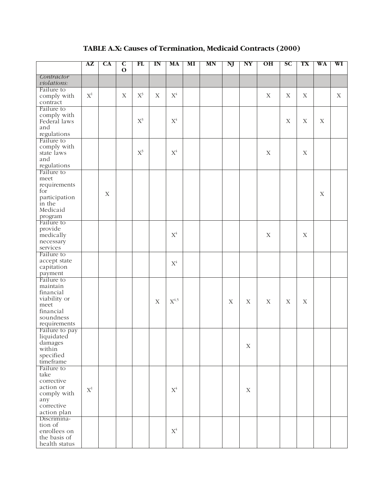# **TABLE A.X: Causes of Termination, Medicaid Contracts (2000)**

|                                | AZ             | CA          | $\mathbf C$<br>$\mathbf 0$ | FL                 | $\mathbf{I}$ N | MA                        | MI | MN | NJ          | NY          | O <sub>H</sub> | SC          | TX          | WA          | WI          |
|--------------------------------|----------------|-------------|----------------------------|--------------------|----------------|---------------------------|----|----|-------------|-------------|----------------|-------------|-------------|-------------|-------------|
| Contractor<br>violations:      |                |             |                            |                    |                |                           |    |    |             |             |                |             |             |             |             |
| Failure to                     |                |             |                            |                    |                |                           |    |    |             |             |                |             |             |             |             |
| comply with                    | $\mathbf{X}^1$ |             | X                          | $\mathbf{X}^{\!3}$ | X              | $\mathbf{X}^4$            |    |    |             |             | X              | $\mathbf X$ | X           |             | $\mathbf X$ |
| contract                       |                |             |                            |                    |                |                           |    |    |             |             |                |             |             |             |             |
| Failure to                     |                |             |                            |                    |                |                           |    |    |             |             |                |             |             |             |             |
| comply with                    |                |             |                            |                    |                |                           |    |    |             |             |                |             |             |             |             |
| Federal laws<br>and            |                |             |                            | $\mathbf{X}^3$     |                | $\mathbf{X}^4$            |    |    |             |             |                | $\mathbf X$ | $\mathbf X$ | $\mathbf X$ |             |
| regulations                    |                |             |                            |                    |                |                           |    |    |             |             |                |             |             |             |             |
| Failure to                     |                |             |                            |                    |                |                           |    |    |             |             |                |             |             |             |             |
| comply with                    |                |             |                            |                    |                |                           |    |    |             |             |                |             |             |             |             |
| state laws                     |                |             |                            | $\mathbf{X}^3$     |                | $\mathbf{X}^4$            |    |    |             |             | $\mathbf X$    |             | $\mathbf X$ |             |             |
| and                            |                |             |                            |                    |                |                           |    |    |             |             |                |             |             |             |             |
| regulations                    |                |             |                            |                    |                |                           |    |    |             |             |                |             |             |             |             |
| Failure to                     |                |             |                            |                    |                |                           |    |    |             |             |                |             |             |             |             |
| meet                           |                |             |                            |                    |                |                           |    |    |             |             |                |             |             |             |             |
| requirements                   |                |             |                            |                    |                |                           |    |    |             |             |                |             |             |             |             |
| for                            |                | $\mathbf X$ |                            |                    |                |                           |    |    |             |             |                |             |             | $\mathbf X$ |             |
| participation<br>in the        |                |             |                            |                    |                |                           |    |    |             |             |                |             |             |             |             |
| Medicaid                       |                |             |                            |                    |                |                           |    |    |             |             |                |             |             |             |             |
| program                        |                |             |                            |                    |                |                           |    |    |             |             |                |             |             |             |             |
| Failure to                     |                |             |                            |                    |                |                           |    |    |             |             |                |             |             |             |             |
| provide                        |                |             |                            |                    |                |                           |    |    |             |             |                |             |             |             |             |
| medically                      |                |             |                            |                    |                | $\mathbf{X}^4$            |    |    |             |             | X              |             | $\mathbf X$ |             |             |
| necessary                      |                |             |                            |                    |                |                           |    |    |             |             |                |             |             |             |             |
| services                       |                |             |                            |                    |                |                           |    |    |             |             |                |             |             |             |             |
| Failure to                     |                |             |                            |                    |                |                           |    |    |             |             |                |             |             |             |             |
| accept state<br>capitation     |                |             |                            |                    |                | $\mathbf{X}^4$            |    |    |             |             |                |             |             |             |             |
| payment                        |                |             |                            |                    |                |                           |    |    |             |             |                |             |             |             |             |
| Failure to                     |                |             |                            |                    |                |                           |    |    |             |             |                |             |             |             |             |
| maintain                       |                |             |                            |                    |                |                           |    |    |             |             |                |             |             |             |             |
| financial                      |                |             |                            |                    |                |                           |    |    |             |             |                |             |             |             |             |
| viability or                   |                |             |                            |                    | X              | $\mathbf{X}^{\text{4,5}}$ |    |    | $\mathbf X$ | $\mathbf X$ | $\mathbf X$    | $\mathbf X$ | $\mathbf X$ |             |             |
| meet                           |                |             |                            |                    |                |                           |    |    |             |             |                |             |             |             |             |
| financial                      |                |             |                            |                    |                |                           |    |    |             |             |                |             |             |             |             |
| soundness                      |                |             |                            |                    |                |                           |    |    |             |             |                |             |             |             |             |
| requirements<br>Failure to pay |                |             |                            |                    |                |                           |    |    |             |             |                |             |             |             |             |
| liquidated                     |                |             |                            |                    |                |                           |    |    |             |             |                |             |             |             |             |
| damages                        |                |             |                            |                    |                |                           |    |    |             |             |                |             |             |             |             |
| within                         |                |             |                            |                    |                |                           |    |    |             | $\mathbf X$ |                |             |             |             |             |
| specified                      |                |             |                            |                    |                |                           |    |    |             |             |                |             |             |             |             |
| timeframe                      |                |             |                            |                    |                |                           |    |    |             |             |                |             |             |             |             |
| Failure to                     |                |             |                            |                    |                |                           |    |    |             |             |                |             |             |             |             |
| take<br>corrective             |                |             |                            |                    |                |                           |    |    |             |             |                |             |             |             |             |
| action or                      |                |             |                            |                    |                |                           |    |    |             |             |                |             |             |             |             |
| comply with                    | $\mathbf{X}^1$ |             |                            |                    |                | $\mathbf{X}^4$            |    |    |             | $\mathbf X$ |                |             |             |             |             |
| any                            |                |             |                            |                    |                |                           |    |    |             |             |                |             |             |             |             |
| corrective                     |                |             |                            |                    |                |                           |    |    |             |             |                |             |             |             |             |
| action plan                    |                |             |                            |                    |                |                           |    |    |             |             |                |             |             |             |             |
| Discrimina-                    |                |             |                            |                    |                |                           |    |    |             |             |                |             |             |             |             |
| tion of                        |                |             |                            |                    |                |                           |    |    |             |             |                |             |             |             |             |
| enrollees on                   |                |             |                            |                    |                | $\mathbf{X}^4$            |    |    |             |             |                |             |             |             |             |
| the basis of<br>health status  |                |             |                            |                    |                |                           |    |    |             |             |                |             |             |             |             |
|                                |                |             |                            |                    |                |                           |    |    |             |             |                |             |             |             |             |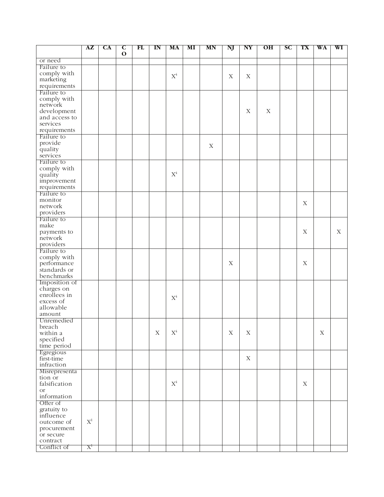|                           | ${\bf AZ}$ | <b>CA</b> | $\mathbf{C}$ | FL | $\mathbf{I}$ N | MA             | MI | MN          | NJ          | N Y         | O <sub>H</sub> | SC | TX          | WA          | WI          |
|---------------------------|------------|-----------|--------------|----|----------------|----------------|----|-------------|-------------|-------------|----------------|----|-------------|-------------|-------------|
|                           |            |           | $\mathbf{o}$ |    |                |                |    |             |             |             |                |    |             |             |             |
| or need                   |            |           |              |    |                |                |    |             |             |             |                |    |             |             |             |
| Failure to<br>comply with |            |           |              |    |                |                |    |             |             |             |                |    |             |             |             |
| marketing                 |            |           |              |    |                | $X^4$          |    |             | X           | $\mathbf X$ |                |    |             |             |             |
| requirements              |            |           |              |    |                |                |    |             |             |             |                |    |             |             |             |
| Failure to                |            |           |              |    |                |                |    |             |             |             |                |    |             |             |             |
| comply with               |            |           |              |    |                |                |    |             |             |             |                |    |             |             |             |
| network                   |            |           |              |    |                |                |    |             |             |             |                |    |             |             |             |
| development               |            |           |              |    |                |                |    |             |             | $\mathbf X$ | $\mathbf X$    |    |             |             |             |
| and access to             |            |           |              |    |                |                |    |             |             |             |                |    |             |             |             |
| services                  |            |           |              |    |                |                |    |             |             |             |                |    |             |             |             |
| requirements              |            |           |              |    |                |                |    |             |             |             |                |    |             |             |             |
| Failure to                |            |           |              |    |                |                |    |             |             |             |                |    |             |             |             |
| provide                   |            |           |              |    |                |                |    | $\mathbf X$ |             |             |                |    |             |             |             |
| quality                   |            |           |              |    |                |                |    |             |             |             |                |    |             |             |             |
| services                  |            |           |              |    |                |                |    |             |             |             |                |    |             |             |             |
| Failure to                |            |           |              |    |                |                |    |             |             |             |                |    |             |             |             |
| comply with               |            |           |              |    |                |                |    |             |             |             |                |    |             |             |             |
| quality                   |            |           |              |    |                | $X^4$          |    |             |             |             |                |    |             |             |             |
| improvement               |            |           |              |    |                |                |    |             |             |             |                |    |             |             |             |
| requirements              |            |           |              |    |                |                |    |             |             |             |                |    |             |             |             |
| Failure to                |            |           |              |    |                |                |    |             |             |             |                |    |             |             |             |
| monitor                   |            |           |              |    |                |                |    |             |             |             |                |    | $\mathbf X$ |             |             |
| network                   |            |           |              |    |                |                |    |             |             |             |                |    |             |             |             |
| providers                 |            |           |              |    |                |                |    |             |             |             |                |    |             |             |             |
| Failure to                |            |           |              |    |                |                |    |             |             |             |                |    |             |             |             |
| make                      |            |           |              |    |                |                |    |             |             |             |                |    |             |             |             |
| payments to               |            |           |              |    |                |                |    |             |             |             |                |    | $\mathbf X$ |             | $\mathbf X$ |
| network<br>providers      |            |           |              |    |                |                |    |             |             |             |                |    |             |             |             |
| Failure to                |            |           |              |    |                |                |    |             |             |             |                |    |             |             |             |
| comply with               |            |           |              |    |                |                |    |             |             |             |                |    |             |             |             |
| performance               |            |           |              |    |                |                |    |             | $\mathbf X$ |             |                |    | $\mathbf X$ |             |             |
| standards or              |            |           |              |    |                |                |    |             |             |             |                |    |             |             |             |
| benchmarks                |            |           |              |    |                |                |    |             |             |             |                |    |             |             |             |
| Imposition of             |            |           |              |    |                |                |    |             |             |             |                |    |             |             |             |
| charges on                |            |           |              |    |                |                |    |             |             |             |                |    |             |             |             |
| enrollees in              |            |           |              |    |                |                |    |             |             |             |                |    |             |             |             |
| excess of                 |            |           |              |    |                | $X^4$          |    |             |             |             |                |    |             |             |             |
| allowable                 |            |           |              |    |                |                |    |             |             |             |                |    |             |             |             |
| amount                    |            |           |              |    |                |                |    |             |             |             |                |    |             |             |             |
| Unremedied                |            |           |              |    |                |                |    |             |             |             |                |    |             |             |             |
| breach                    |            |           |              |    |                |                |    |             |             |             |                |    |             |             |             |
| within a                  |            |           |              |    | $\mathbf X$    | $\mathbf{X}^4$ |    |             | X           | $\mathbf X$ |                |    |             | $\mathbf X$ |             |
| specified                 |            |           |              |    |                |                |    |             |             |             |                |    |             |             |             |
| time period               |            |           |              |    |                |                |    |             |             |             |                |    |             |             |             |
| Egregious                 |            |           |              |    |                |                |    |             |             |             |                |    |             |             |             |
| first-time                |            |           |              |    |                |                |    |             |             | $\mathbf X$ |                |    |             |             |             |
| infraction                |            |           |              |    |                |                |    |             |             |             |                |    |             |             |             |
| Misrepresenta             |            |           |              |    |                |                |    |             |             |             |                |    |             |             |             |
| tion or                   |            |           |              |    |                |                |    |             |             |             |                |    |             |             |             |
| falsification             |            |           |              |    |                | $\mathbf{X}^4$ |    |             |             |             |                |    | $\mathbf X$ |             |             |
| <b>or</b><br>information  |            |           |              |    |                |                |    |             |             |             |                |    |             |             |             |
| Offer of                  |            |           |              |    |                |                |    |             |             |             |                |    |             |             |             |
|                           |            |           |              |    |                |                |    |             |             |             |                |    |             |             |             |
| gratuity to<br>influence  |            |           |              |    |                |                |    |             |             |             |                |    |             |             |             |
| outcome of                | $X^1$      |           |              |    |                |                |    |             |             |             |                |    |             |             |             |
| procurement               |            |           |              |    |                |                |    |             |             |             |                |    |             |             |             |
| or secure                 |            |           |              |    |                |                |    |             |             |             |                |    |             |             |             |
| contract                  |            |           |              |    |                |                |    |             |             |             |                |    |             |             |             |
| Conflict of               | $X^1$      |           |              |    |                |                |    |             |             |             |                |    |             |             |             |
|                           |            |           |              |    |                |                |    |             |             |             |                |    |             |             |             |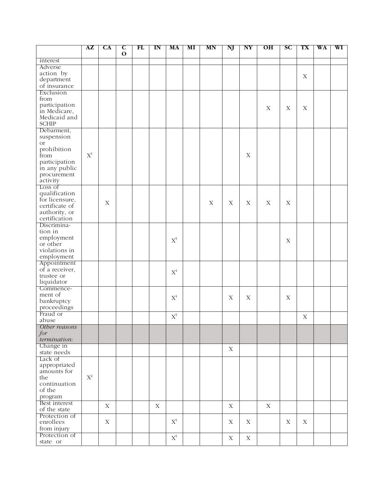|                          | ${\bf AZ}$     | CA          | $\mathbf c$ | FL | $\mathbf{I}$ N | MA             | MI | MN | NJ          | N <sub>Y</sub> | O <sub>H</sub> | <b>SC</b>   | TX          | WA | WI |
|--------------------------|----------------|-------------|-------------|----|----------------|----------------|----|----|-------------|----------------|----------------|-------------|-------------|----|----|
| interest                 |                |             | $\mathbf 0$ |    |                |                |    |    |             |                |                |             |             |    |    |
| Adverse                  |                |             |             |    |                |                |    |    |             |                |                |             |             |    |    |
| action by                |                |             |             |    |                |                |    |    |             |                |                |             |             |    |    |
| department               |                |             |             |    |                |                |    |    |             |                |                |             | $\mathbf X$ |    |    |
| of insurance             |                |             |             |    |                |                |    |    |             |                |                |             |             |    |    |
| Exclusion                |                |             |             |    |                |                |    |    |             |                |                |             |             |    |    |
| from                     |                |             |             |    |                |                |    |    |             |                |                |             |             |    |    |
| participation            |                |             |             |    |                |                |    |    |             |                | $\mathbf X$    | $\mathbf X$ | $\mathbf X$ |    |    |
| in Medicare,             |                |             |             |    |                |                |    |    |             |                |                |             |             |    |    |
| Medicaid and             |                |             |             |    |                |                |    |    |             |                |                |             |             |    |    |
| <b>SCHIP</b>             |                |             |             |    |                |                |    |    |             |                |                |             |             |    |    |
| Debarment,               |                |             |             |    |                |                |    |    |             |                |                |             |             |    |    |
| suspension               |                |             |             |    |                |                |    |    |             |                |                |             |             |    |    |
| <b>or</b>                |                |             |             |    |                |                |    |    |             |                |                |             |             |    |    |
| prohibition              |                |             |             |    |                |                |    |    |             |                |                |             |             |    |    |
| from                     | $X^1$          |             |             |    |                |                |    |    |             | X              |                |             |             |    |    |
| participation            |                |             |             |    |                |                |    |    |             |                |                |             |             |    |    |
| in any public            |                |             |             |    |                |                |    |    |             |                |                |             |             |    |    |
| procurement<br>activity  |                |             |             |    |                |                |    |    |             |                |                |             |             |    |    |
| Loss of                  |                |             |             |    |                |                |    |    |             |                |                |             |             |    |    |
| qualification            |                |             |             |    |                |                |    |    |             |                |                |             |             |    |    |
| for licensure,           |                |             |             |    |                |                |    |    |             |                |                |             |             |    |    |
| certificate of           |                | X           |             |    |                |                |    | X  | X           | X              | X              | $\mathbf X$ |             |    |    |
| authority, or            |                |             |             |    |                |                |    |    |             |                |                |             |             |    |    |
| certification            |                |             |             |    |                |                |    |    |             |                |                |             |             |    |    |
| Discrimina-              |                |             |             |    |                |                |    |    |             |                |                |             |             |    |    |
| tion in                  |                |             |             |    |                |                |    |    |             |                |                |             |             |    |    |
| employment               |                |             |             |    |                | $\mathbf{X}^5$ |    |    |             |                |                |             |             |    |    |
| or other                 |                |             |             |    |                |                |    |    |             |                |                | $\mathbf X$ |             |    |    |
| violations in            |                |             |             |    |                |                |    |    |             |                |                |             |             |    |    |
| employment               |                |             |             |    |                |                |    |    |             |                |                |             |             |    |    |
| Appointment              |                |             |             |    |                |                |    |    |             |                |                |             |             |    |    |
| of a receiver,           |                |             |             |    |                | $\mathbf{X}^4$ |    |    |             |                |                |             |             |    |    |
| trustee or               |                |             |             |    |                |                |    |    |             |                |                |             |             |    |    |
| liquidator               |                |             |             |    |                |                |    |    |             |                |                |             |             |    |    |
| Commence-                |                |             |             |    |                |                |    |    |             |                |                |             |             |    |    |
| ment of                  |                |             |             |    |                | $\mathbf{X}^4$ |    |    | X           | $\mathbf X$    |                | $\mathbf X$ |             |    |    |
| bankruptcy               |                |             |             |    |                |                |    |    |             |                |                |             |             |    |    |
| proceedings<br>Fraud or  |                |             |             |    |                |                |    |    |             |                |                |             |             |    |    |
| abuse                    |                |             |             |    |                | $\mathbf{X}^5$ |    |    |             |                |                |             | X           |    |    |
| Other reasons            |                |             |             |    |                |                |    |    |             |                |                |             |             |    |    |
| for                      |                |             |             |    |                |                |    |    |             |                |                |             |             |    |    |
| termination:             |                |             |             |    |                |                |    |    |             |                |                |             |             |    |    |
| Change in                |                |             |             |    |                |                |    |    | $\mathbf X$ |                |                |             |             |    |    |
| state needs              |                |             |             |    |                |                |    |    |             |                |                |             |             |    |    |
| Lack of                  |                |             |             |    |                |                |    |    |             |                |                |             |             |    |    |
| appropriated             |                |             |             |    |                |                |    |    |             |                |                |             |             |    |    |
| amounts for              |                |             |             |    |                |                |    |    |             |                |                |             |             |    |    |
| the                      | $\mathbf{X}^2$ |             |             |    |                |                |    |    |             |                |                |             |             |    |    |
| continuation             |                |             |             |    |                |                |    |    |             |                |                |             |             |    |    |
| of the                   |                |             |             |    |                |                |    |    |             |                |                |             |             |    |    |
| program<br>Best interest |                |             |             |    |                |                |    |    |             |                |                |             |             |    |    |
| of the state             |                | $\mathbf X$ |             |    | $\mathbf X$    |                |    |    | $\mathbf X$ |                | $\mathbf X$    |             |             |    |    |
| Protection of            |                |             |             |    |                |                |    |    |             |                |                |             |             |    |    |
| enrollees                |                | $\mathbf X$ |             |    |                | $X^5$          |    |    | $\mathbf X$ | $\mathbf X$    |                | $\mathbf X$ | $\mathbf X$ |    |    |
| from injury              |                |             |             |    |                |                |    |    |             |                |                |             |             |    |    |
| Protection of            |                |             |             |    |                | $\mathbf{X}^5$ |    |    |             |                |                |             |             |    |    |
| state or                 |                |             |             |    |                |                |    |    | $\mathbf X$ | $\mathbf X$    |                |             |             |    |    |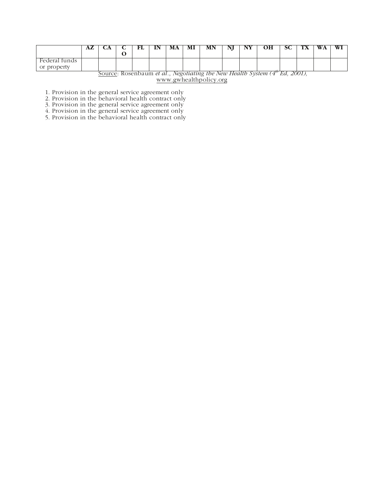|                                                                               | AL | CA |  |  |  | МA | MI | MN |  | UН | ഄഄ | WA |  |
|-------------------------------------------------------------------------------|----|----|--|--|--|----|----|----|--|----|----|----|--|
| Federal funds<br>or property                                                  |    |    |  |  |  |    |    |    |  |    |    |    |  |
| Source: Rosenbaum et al., Negotiating the New Health System $(4w Ed, 2001)$ , |    |    |  |  |  |    |    |    |  |    |    |    |  |

www.gwhealthpolicy.org

1. Provision in the general service agreement only

2. Provision in the behavioral health contract only

3. Provision in the general service agreement only

4. Provision in the general service agreement only

5. Provision in the behavioral health contract only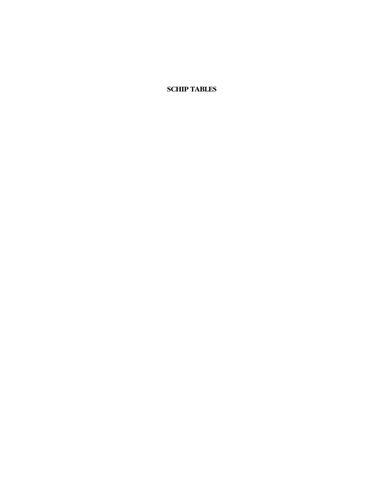**SCHIP TABLES**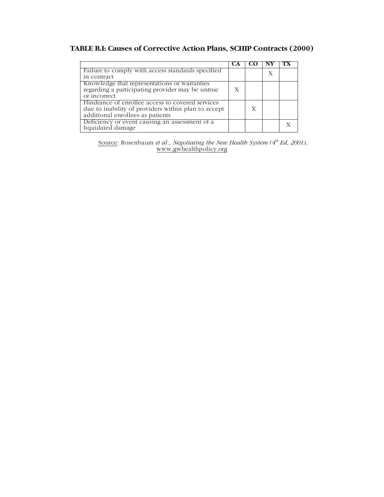### **TABLE B.I: Causes of Corrective Action Plans, SCHIP Contracts (2000)**

| Failure to comply with access standards specified   |   |  |  |
|-----------------------------------------------------|---|--|--|
| in contract                                         |   |  |  |
| Knowledge that representations or warranties        |   |  |  |
| regarding a participating provider may be untrue    | Х |  |  |
| or incorrect                                        |   |  |  |
| Hindrance of enrollee access to covered services    |   |  |  |
| due to inability of providers within plan to accept |   |  |  |
| additional enrollees as patients                    |   |  |  |
| Deficiency or event causing an assessment of a      |   |  |  |
| liquidated damage                                   |   |  |  |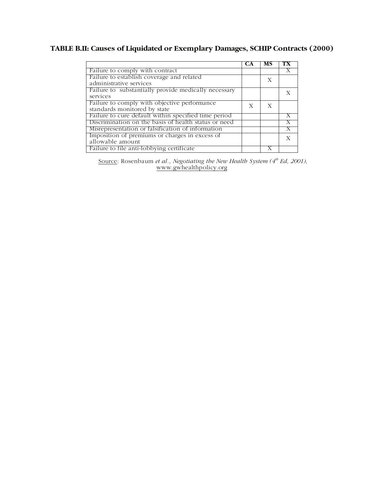# **TABLE B.II: Causes of Liquidated or Exemplary Damages, SCHIP Contracts (2000)**

|                                                      | C.A | мs |   |
|------------------------------------------------------|-----|----|---|
| Failure to comply with contract                      |     |    |   |
| Failure to establish coverage and related            |     | X  |   |
| administrative services                              |     |    |   |
| Failure to substantially provide medically necessary |     |    |   |
| services                                             |     |    |   |
| Failure to comply with objective performance         | X   | X  |   |
| standards monitored by state                         |     |    |   |
| Failure to cure default within specified time period |     |    |   |
| Discrimination on the basis of health status or need |     |    |   |
| Misrepresentation or falsification of information    |     |    |   |
| Imposition of premiums or charges in excess of       |     |    | X |
| allowable amount                                     |     |    |   |
| Failure to file anti-lobbying certificate            |     |    |   |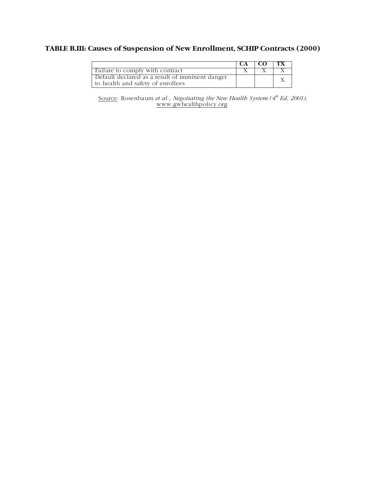### **TABLE B.III: Causes of Suspension of New Enrollment, SCHIP Contracts (2000)**

|                                                                                      | -CO | TX. |
|--------------------------------------------------------------------------------------|-----|-----|
| Failure to comply with contract                                                      |     |     |
| Default declared as a result of imminent danger<br>to health and safety of enrollees |     |     |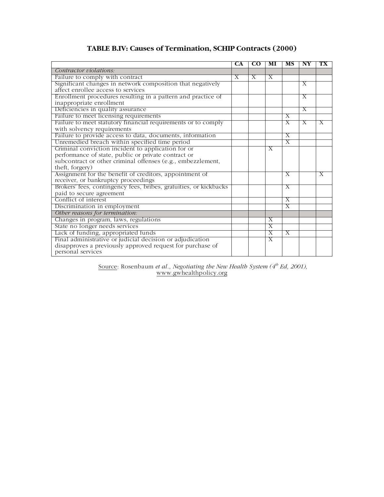### **TABLE B.IV: Causes of Termination, SCHIP Contracts (2000)**

|                                                                   | CA           | CO.          | MI                        | MS                        | $\overline{\mathbf{N}}\mathbf{Y}$ | TХ |
|-------------------------------------------------------------------|--------------|--------------|---------------------------|---------------------------|-----------------------------------|----|
| Contractor violations:                                            |              |              |                           |                           |                                   |    |
| Failure to comply with contract                                   | $\mathbf{X}$ | $\mathbf{X}$ | $\mathbf{X}$              |                           |                                   |    |
| Significant changes in network composition that negatively        |              |              |                           |                           | $\mathbf{X}$                      |    |
| affect enrollee access to services                                |              |              |                           |                           |                                   |    |
| Enrollment procedures resulting in a pattern and practice of      |              |              |                           |                           | $\mathbf x$                       |    |
| inappropriate enrollment                                          |              |              |                           |                           |                                   |    |
| Deficiencies in quality assurance                                 |              |              |                           |                           | X                                 |    |
| Failure to meet licensing requirements                            |              |              |                           | X                         |                                   |    |
| Failure to meet statutory financial requirements or to comply     |              |              |                           | $\boldsymbol{\mathrm{X}}$ | X                                 | X  |
| with solvency requirements                                        |              |              |                           |                           |                                   |    |
| Failure to provide access to data, documents, information         |              |              |                           | X                         |                                   |    |
| Unremedied breach within specified time period                    |              |              |                           | $\overline{X}$            |                                   |    |
| Criminal conviction incident to application for or                |              |              | $\boldsymbol{\mathrm{X}}$ |                           |                                   |    |
| performance of state, public or private contract or               |              |              |                           |                           |                                   |    |
| subcontract or other criminal offenses (e.g., embezzlement,       |              |              |                           |                           |                                   |    |
| theft, forgery)                                                   |              |              |                           |                           |                                   |    |
| Assignment for the benefit of creditors, appointment of           |              |              |                           | X                         |                                   | X  |
| receiver, or bankruptcy proceedings                               |              |              |                           |                           |                                   |    |
| Brokers' fees, contingency fees, bribes, gratuities, or kickbacks |              |              |                           | Х                         |                                   |    |
| paid to secure agreement                                          |              |              |                           |                           |                                   |    |
| Conflict of interest                                              |              |              |                           | $\mathbf{x}$              |                                   |    |
| Discrimination in employment                                      |              |              |                           | X                         |                                   |    |
| Other reasons for termination:                                    |              |              |                           |                           |                                   |    |
| Changes in program, laws, regulations                             |              |              | X                         |                           |                                   |    |
| State no longer needs services                                    |              |              | $\overline{X}$            |                           |                                   |    |
| Lack of funding, appropriated funds                               |              |              | X                         | $\overline{X}$            |                                   |    |
| Final administrative or judicial decision or adjudication         |              |              | $\mathbf x$               |                           |                                   |    |
| disapproves a previously approved request for purchase of         |              |              |                           |                           |                                   |    |
| personal services                                                 |              |              |                           |                           |                                   |    |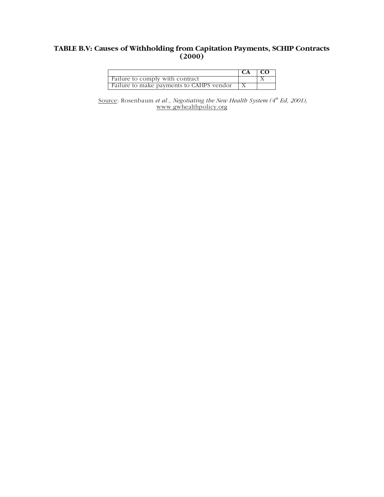#### **TABLE B.V: Causes of Withholding from Capitation Payments, SCHIP Contracts (2000)**

|                                          | $\overline{C}$ $\overline{C}$ |  |
|------------------------------------------|-------------------------------|--|
| Failure to comply with contract          |                               |  |
| Failure to make payments to CAHPS vendor |                               |  |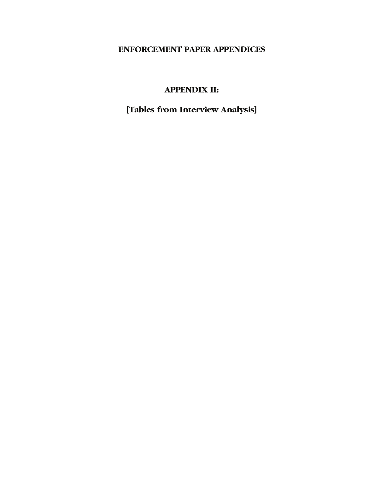# **ENFORCEMENT PAPER APPENDICES**

# **APPENDIX II:**

# **[Tables from Interview Analysis]**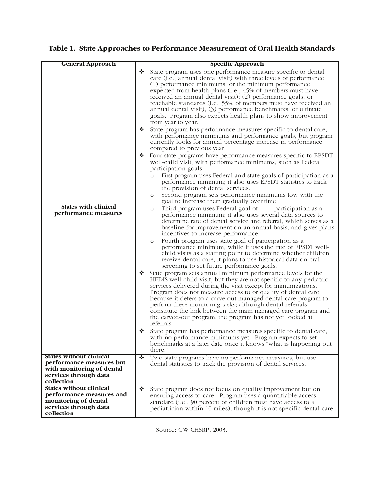| <b>General Approach</b>                                                                                                        |   | <b>Specific Approach</b>                                                                                                                                                                                                                                                                                                                                                                                                                                                                                                                                                                                                     |
|--------------------------------------------------------------------------------------------------------------------------------|---|------------------------------------------------------------------------------------------------------------------------------------------------------------------------------------------------------------------------------------------------------------------------------------------------------------------------------------------------------------------------------------------------------------------------------------------------------------------------------------------------------------------------------------------------------------------------------------------------------------------------------|
|                                                                                                                                | ❖ | State program uses one performance measure specific to dental<br>care (i.e., annual dental visit) with three levels of performance:<br>(1) performance minimums, or the minimum performance<br>expected from health plans (i.e., 45% of members must have<br>received an annual dental visit); (2) performance goals, or<br>reachable standards (i.e., 55% of members must have received an<br>annual dental visit); (3) performance benchmarks, or ultimate<br>goals. Program also expects health plans to show improvement<br>from year to year.                                                                           |
|                                                                                                                                | ❖ | State program has performance measures specific to dental care,<br>with performance minimums and performance goals, but program<br>currently looks for annual percentage increase in performance<br>compared to previous year.                                                                                                                                                                                                                                                                                                                                                                                               |
|                                                                                                                                | ❖ | Four state programs have performance measures specific to EPSDT<br>well-child visit, with performance minimums, such as Federal<br>participation goals.                                                                                                                                                                                                                                                                                                                                                                                                                                                                      |
|                                                                                                                                |   | First program uses Federal and state goals of participation as a<br>$\circ$<br>performance minimum; it also uses EPSDT statistics to track<br>the provision of dental services.                                                                                                                                                                                                                                                                                                                                                                                                                                              |
|                                                                                                                                |   | Second program sets performance minimums low with the<br>$\circ$<br>goal to increase them gradually over time.                                                                                                                                                                                                                                                                                                                                                                                                                                                                                                               |
| <b>States with clinical</b><br>performance measures                                                                            |   | Third program uses Federal goal of<br>participation as a<br>$\circ$<br>performance minimum; it also uses several data sources to<br>determine rate of dental service and referral, which serves as a<br>baseline for improvement on an annual basis, and gives plans<br>incentives to increase performance.<br>Fourth program uses state goal of participation as a<br>$\circ$<br>performance minimum; while it uses the rate of EPSDT well-<br>child visits as a starting point to determine whether children<br>receive dental care, it plans to use historical data on oral<br>screening to set future performance goals. |
|                                                                                                                                | ❖ | State program sets annual minimum performance levels for the<br>HEDIS well-child visit, but they are not specific to any pediatric<br>services delivered during the visit except for immunizations.<br>Program does not measure access to or quality of dental care<br>because it defers to a carve-out managed dental care program to<br>perform these monitoring tasks; although dental referrals<br>constitute the link between the main managed care program and<br>the carved-out program, the program has not yet looked at<br>referrals.                                                                              |
|                                                                                                                                | ❖ | State program has performance measures specific to dental care,<br>with no performance minimums yet. Program expects to set<br>benchmarks at a later date once it knows "what is happening out<br>there."                                                                                                                                                                                                                                                                                                                                                                                                                    |
| <b>States without clinical</b><br>performance measures but<br>with monitoring of dental<br>services through data<br>collection | ❖ | Two state programs have no performance measures, but use<br>dental statistics to track the provision of dental services.                                                                                                                                                                                                                                                                                                                                                                                                                                                                                                     |
| <b>States without clinical</b><br>performance measures and<br>monitoring of dental<br>services through data<br>collection      | ❖ | State program does not focus on quality improvement but on<br>ensuring access to care. Program uses a quantifiable access<br>standard (i.e., 90 percent of children must have access to a<br>pediatrician within 10 miles), though it is not specific dental care.                                                                                                                                                                                                                                                                                                                                                           |

# **Table 1. State Approaches to Performance Measurement of Oral Health Standards**

Source: GW CHSRP, 2003.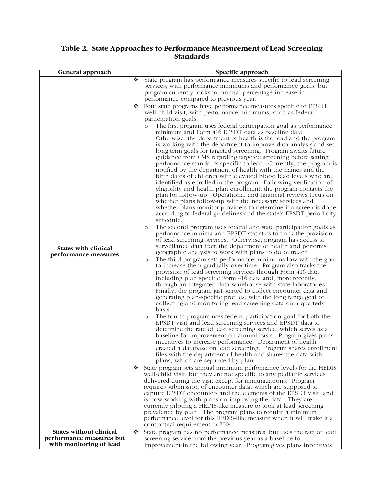#### **Table 2. State Approaches to Performance Measurement of Lead Screening Standards**

| <b>General approach</b>                                                               |        | Specific approach                                                                                                                                                                                                                                                                                                                                                                                                                                                                                                                                                                                                                                                                                                                                                                                                                                                                                                                                                                                                                                                                                                                                                                                                                                                                                                                                                                              |
|---------------------------------------------------------------------------------------|--------|------------------------------------------------------------------------------------------------------------------------------------------------------------------------------------------------------------------------------------------------------------------------------------------------------------------------------------------------------------------------------------------------------------------------------------------------------------------------------------------------------------------------------------------------------------------------------------------------------------------------------------------------------------------------------------------------------------------------------------------------------------------------------------------------------------------------------------------------------------------------------------------------------------------------------------------------------------------------------------------------------------------------------------------------------------------------------------------------------------------------------------------------------------------------------------------------------------------------------------------------------------------------------------------------------------------------------------------------------------------------------------------------|
|                                                                                       | ❖<br>❖ | State program has performance measures specific to lead screening<br>services, with performance minimums and performance goals, but<br>program currently looks for annual percentage increase in<br>performance compared to previous year.<br>Four state programs have performance measures specific to EPSDT<br>well-child visit, with performance minimums, such as federal<br>participation goals.<br>The first program uses federal participation goal as performance<br>$\circ$<br>minimum and Form 416 EPSDT data as baseline data.<br>Otherwise, the department of health is the lead and the program<br>is working with the department to improve data analysis and set<br>long term goals for targeted screening. Program awaits future<br>guidance from CMS regarding targeted screening before setting<br>performance standards specific to lead. Currently, the program is<br>notified by the department of health with the names and the                                                                                                                                                                                                                                                                                                                                                                                                                                          |
| <b>States with clinical</b><br>performance measures                                   |        | birth dates of children with elevated blood lead levels who are<br>identified as enrolled in the program. Following verification of<br>eligibility and health plan enrollment, the program contacts the<br>plan for follow-up. Operational and financial reviews focus on<br>whether plans follow-up with the necessary services and<br>whether plans monitor providers to determine if a screen is done<br>according to federal guidelines and the state's EPSDT periodicity<br>schedule.<br>The second program uses federal and state participation goals as<br>$\circ$<br>performance minima and EPSDT statistics to track the provision<br>of lead screening services. Otherwise, program has access to<br>surveillance data from the department of health and performs<br>geographic analysis to work with plans to do outreach.<br>The third program sets performance minimums low with the goal<br>$\circ$<br>to increase them gradually over time. Program also tracks the<br>provision of lead screening services through Form 416 data,<br>including plan specific Form 416 data and, more recently,<br>through an integrated data warehouse with state laboratories.<br>Finally, the program just started to collect encounter data and<br>generating plan-specific profiles, with the long range goal of<br>collecting and monitoring lead screening data on a quarterly<br>basis. |
|                                                                                       |        | The fourth program uses federal participation goal for both the<br>$\circ$<br>EPSDT visit and lead screening services and EPSDT data to<br>determine the rate of lead screening service, which serves as a<br>baseline for improvement on annual basis. Program gives plans<br>incentives to increase performance. Department of health<br>created a database on lead screening. Program shares enrollment<br>files with the department of health and shares the data with<br>plans, which are separated by plan.                                                                                                                                                                                                                                                                                                                                                                                                                                                                                                                                                                                                                                                                                                                                                                                                                                                                              |
|                                                                                       | ❖      | State program sets annual minimum performance levels for the HEDIS<br>well-child visit, but they are not specific to any pediatric services<br>delivered during the visit except for immunizations. Program<br>requires submission of encounter data, which are supposed to<br>capture EPSDT encounters and the elements of the EPSDT visit, and<br>is now working with plans on improving the data. They are<br>currently piloting a HEDIS-like measure to look at lead screening<br>prevalence by plan. The program plans to require a minimum<br>performance level for this HEDIS-like measure when it will make it a<br>contractual requirement in 2004.                                                                                                                                                                                                                                                                                                                                                                                                                                                                                                                                                                                                                                                                                                                                   |
| <b>States without clinical</b><br>performance measures but<br>with monitoring of lead | ❖      | State program has no performance measures, but uses the rate of lead<br>screening service from the previous year as a baseline for<br>improvement in the following year. Program gives plans incentives                                                                                                                                                                                                                                                                                                                                                                                                                                                                                                                                                                                                                                                                                                                                                                                                                                                                                                                                                                                                                                                                                                                                                                                        |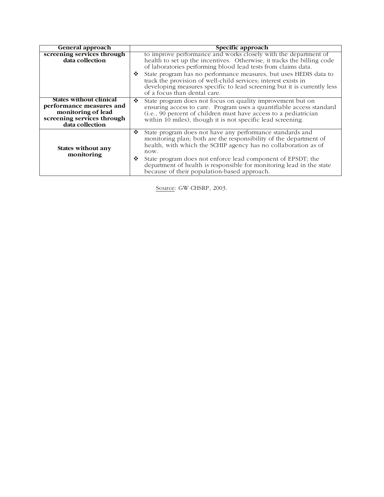| <b>General approach</b>                                                                                                           | Specific approach                                                                                                                                                                                                                                                          |
|-----------------------------------------------------------------------------------------------------------------------------------|----------------------------------------------------------------------------------------------------------------------------------------------------------------------------------------------------------------------------------------------------------------------------|
| screening services through<br>data collection                                                                                     | to improve performance and works closely with the department of<br>health to set up the incentives. Otherwise, it tracks the billing code<br>of laboratories performing blood lead tests from claims data.                                                                 |
|                                                                                                                                   | State program has no performance measures, but uses HEDIS data to<br>❖<br>track the provision of well-child services; interest exists in<br>developing measures specific to lead screening but it is currently less<br>of a focus than dental care.                        |
| <b>States without clinical</b><br>performance measures and<br>monitoring of lead<br>screening services through<br>data collection | ❖<br>State program does not focus on quality improvement but on<br>ensuring access to care. Program uses a quantifiable access standard<br>(i.e., 90 percent of children must have access to a pediatrician<br>within 10 miles), though it is not specific lead screening. |
| States without any<br>monitoring                                                                                                  | ❖<br>State program does not have any performance standards and<br>monitoring plan; both are the responsibility of the department of<br>health, with which the SCHIP agency has no collaboration as of<br>now.                                                              |
|                                                                                                                                   | State program does not enforce lead component of EPSDT; the<br>❖<br>department of health is responsible for monitoring lead in the state<br>because of their population-based approach.                                                                                    |

Source: GW CHSRP, 2003.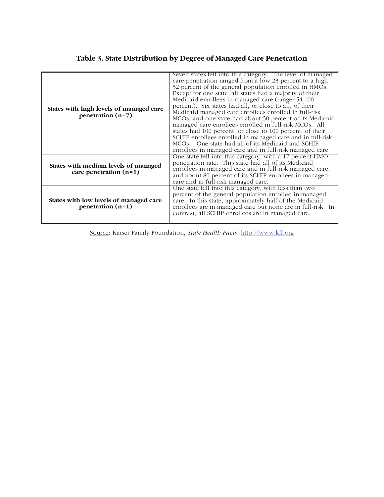### **Table 3. State Distribution by Degree of Managed Care Penetration**

| States with high levels of managed care<br>penetration $(n=7)$   | Seven states fell into this category. The level of managed<br>care penetration ranged from a low 23 percent to a high<br>52 percent of the general population enrolled in HMOs.<br>Except for one state, all states had a majority of their<br>Medicaid enrollees in managed care (range: 54-100<br>percent). Six states had all, or close to all, of their<br>Medicaid managed care enrollees enrolled in full-risk<br>MCOs, and one state had about 50 percent of its Medicaid<br>managed care enrollees enrolled in full-risk MCOs. All<br>states had 100 percent, or close to 100 percent, of their<br>SCHIP enrollees enrolled in managed care and in full-risk<br>MCOs. One state had all of its Medicaid and SCHIP<br>enrollees in managed care and in full-risk managed care. |
|------------------------------------------------------------------|---------------------------------------------------------------------------------------------------------------------------------------------------------------------------------------------------------------------------------------------------------------------------------------------------------------------------------------------------------------------------------------------------------------------------------------------------------------------------------------------------------------------------------------------------------------------------------------------------------------------------------------------------------------------------------------------------------------------------------------------------------------------------------------|
| States with medium levels of managed<br>care penetration $(n=1)$ | One state fell into this category, with a 17 percent HMO<br>penetration rate. This state had all of its Medicaid<br>enrollees in managed care and in full-risk managed care,<br>and about 80 percent of its SCHIP enrollees in managed<br>care and in full-risk managed care.                                                                                                                                                                                                                                                                                                                                                                                                                                                                                                         |
| States with low levels of managed care<br>penetration $(n=1)$    | One state fell into this category, with less than two<br>percent of the general population enrolled in managed<br>care. In this state, approximately half of the Medicaid<br>enrollees are in managed care but none are in full-risk. In<br>contrast, all SCHIP enrollees are in managed care.                                                                                                                                                                                                                                                                                                                                                                                                                                                                                        |

Source: Kaiser Family Foundation, *State Health Facts*, http://www.kff.org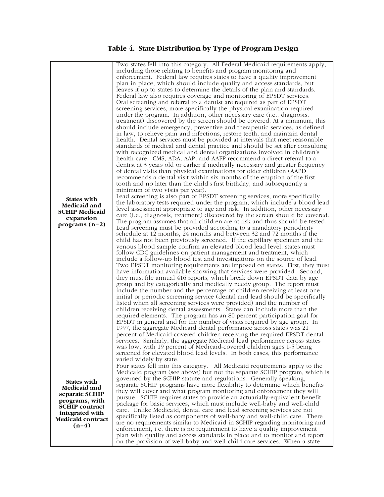# **Table 4. State Distribution by Type of Program Design**

| <b>States with</b><br>Medicaid and<br><b>SCHIP Medicaid</b><br>expansion<br>programs $(n=2)$                                                       | Two states fell into this category. All Federal Medicaid requirements apply,<br>including those relating to benefits and program monitoring and<br>enforcement. Federal law requires states to have a quality improvement<br>plan in place, which should include quality and access standards, but<br>leaves it up to states to determine the details of the plan and standards.<br>Federal law also requires coverage and monitoring of EPSDT services.<br>Oral screening and referral to a dentist are required as part of EPSDT<br>screening services, more specifically the physical examination required<br>under the program. In addition, other necessary care (i.e., diagnosis,<br>treatment) discovered by the screen should be covered. At a minimum, this<br>should include emergency, preventive and therapeutic services, as defined<br>in law, to relieve pain and infections, restore teeth, and maintain dental<br>health. Dental services must be provided at intervals that meet reasonable<br>standards of medical and dental practice and should be set after consulting<br>with recognized medical and dental organizations involved in children's<br>health care. CMS, ADA, AAP, and AAFP recommend a direct referral to a<br>dentist at 3 years old or earlier if medically necessary and greater frequency<br>of dental visits than physical examinations for older children (AAPD<br>recommends a dental visit within six months of the eruption of the first<br>tooth and no later than the child's first birthday, and subsequently a<br>minimum of two visits per year).<br>Lead screening is also part of EPSDT screening services, more specifically<br>the laboratory tests required under the program, which include a blood lead<br>level assessment appropriate to age and risk. In addition, other necessary<br>care (i.e., diagnosis, treatment) discovered by the screen should be covered.<br>The program assumes that all children are at risk and thus should be tested.<br>Lead screening must be provided according to a mandatory periodicity<br>schedule at 12 months, 24 months and between 32 and 72 months if the<br>child has not been previously screened. If the capillary specimen and the<br>venous blood sample confirm an elevated blood lead level, states must<br>follow CDC guidelines on patient management and treatment, which<br>include a follow-up blood test and investigations on the source of lead.<br>Two EPSDT monitoring requirements are imposed on states. First, they must<br>have information available showing that services were provided. Second,<br>they must file annual 416 reports, which break down EPSDT data by age<br>group and by categorically and medically needy group. The report must<br>include the number and the percentage of children receiving at least one<br>initial or periodic screening service (dental and lead should be specifically<br>listed when all screening services were provided) and the number of<br>children receiving dental assessments. States can include more than the<br>required elements. The program has an 80 percent participation goal for<br>EPSDT in general and for the number of visits required by age group. In<br>1997, the aggregate Medicaid dental performance across states was 21<br>percent of Medicaid-covered children receiving the required EPSDT dental<br>services. Similarly, the aggregate Medicaid lead performance across states<br>was low, with 19 percent of Medicaid-covered children ages 1-5 being<br>screened for elevated blood lead levels. In both cases, this performance<br>varied widely by state. |
|----------------------------------------------------------------------------------------------------------------------------------------------------|------------------------------------------------------------------------------------------------------------------------------------------------------------------------------------------------------------------------------------------------------------------------------------------------------------------------------------------------------------------------------------------------------------------------------------------------------------------------------------------------------------------------------------------------------------------------------------------------------------------------------------------------------------------------------------------------------------------------------------------------------------------------------------------------------------------------------------------------------------------------------------------------------------------------------------------------------------------------------------------------------------------------------------------------------------------------------------------------------------------------------------------------------------------------------------------------------------------------------------------------------------------------------------------------------------------------------------------------------------------------------------------------------------------------------------------------------------------------------------------------------------------------------------------------------------------------------------------------------------------------------------------------------------------------------------------------------------------------------------------------------------------------------------------------------------------------------------------------------------------------------------------------------------------------------------------------------------------------------------------------------------------------------------------------------------------------------------------------------------------------------------------------------------------------------------------------------------------------------------------------------------------------------------------------------------------------------------------------------------------------------------------------------------------------------------------------------------------------------------------------------------------------------------------------------------------------------------------------------------------------------------------------------------------------------------------------------------------------------------------------------------------------------------------------------------------------------------------------------------------------------------------------------------------------------------------------------------------------------------------------------------------------------------------------------------------------------------------------------------------------------------------------------------------------------------------------------------------------------------------------------------------------------------------------------------------------------------------------------------------------------------------------------------------------------------------------------------------------------------------------------------------------------------------------------------------------------------------------------------------------------------------------------------------------|
| <b>States with</b><br>Medicaid and<br>separate SCHIP<br>programs, with<br><b>SCHIP</b> contract<br>integrated with<br>Medicaid contract<br>$(n=4)$ | Four states fell into this category. All Medicaid requirements apply to the<br>Medicaid program (see above) but not the separate SCHIP program, which is<br>governed by the SCHIP statute and regulations. Generally speaking,<br>separate SCHIP programs have more flexibility to determine which benefits<br>they will cover and what program monitoring and enforcement they will<br>pursue. SCHIP requires states to provide an actuarially-equivalent benefit<br>package for basic services, which must include well-baby and well-child<br>care. Unlike Medicaid, dental care and lead screening services are not<br>specifically listed as components of well-baby and well-child care. There<br>are no requirements similar to Medicaid in SCHIP regarding monitoring and<br>enforcement, i.e. there is no requirement to have a quality improvement<br>plan with quality and access standards in place and to monitor and report<br>on the provision of well-baby and well-child care services. When a state                                                                                                                                                                                                                                                                                                                                                                                                                                                                                                                                                                                                                                                                                                                                                                                                                                                                                                                                                                                                                                                                                                                                                                                                                                                                                                                                                                                                                                                                                                                                                                                                                                                                                                                                                                                                                                                                                                                                                                                                                                                                                                                                                                                                                                                                                                                                                                                                                                                                                                                                                                                                                                                  |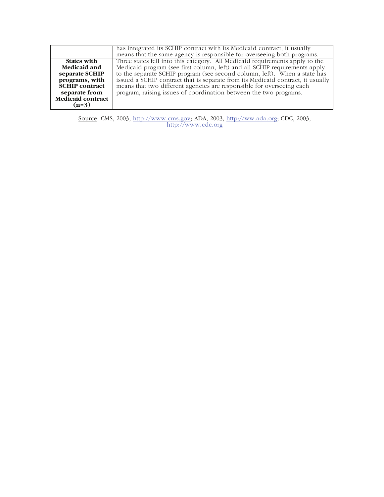|                          | has integrated its SCHIP contract with its Medicaid contract, it usually<br>means that the same agency is responsible for overseeing both programs. |
|--------------------------|-----------------------------------------------------------------------------------------------------------------------------------------------------|
|                          |                                                                                                                                                     |
| States with              | Three states fell into this category. All Medicaid requirements apply to the                                                                        |
| Medicaid and             | Medicaid program (see first column, left) and all SCHIP requirements apply                                                                          |
| separate SCHIP           | to the separate SCHIP program (see second column, left). When a state has                                                                           |
| programs, with           | issued a SCHIP contract that is separate from its Medicaid contract, it usually                                                                     |
| <b>SCHIP</b> contract    | means that two different agencies are responsible for overseeing each                                                                               |
| separate from            | program, raising issues of coordination between the two programs.                                                                                   |
| <b>Medicaid contract</b> |                                                                                                                                                     |
| $(n=3)$                  |                                                                                                                                                     |

Source: CMS, 2003, http://www.cms.gov; ADA, 2003, http://ww.ada.org; CDC, 2003, http://www.cdc.org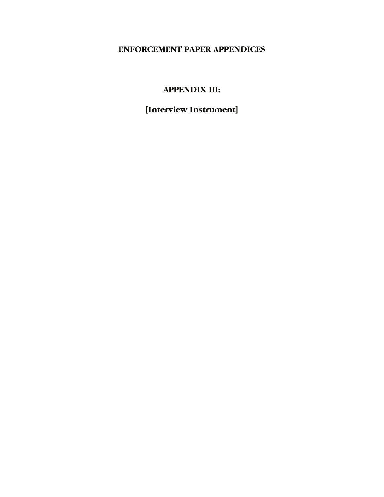# **ENFORCEMENT PAPER APPENDICES**

# **APPENDIX III:**

# **[Interview Instrument]**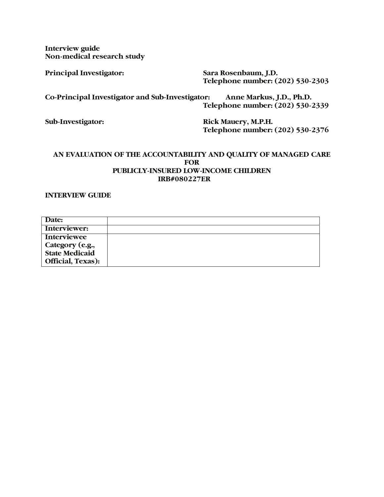**Interview guide Non-medical research study** 

**Principal Investigator: Sara Rosenbaum, J.D. Telephone number: (202) 530-2303** 

**Co-Principal Investigator and Sub-Investigator: Anne Markus, J.D., Ph.D. Telephone number: (202) 530-2339** 

**Sub-Investigator: Rick Mauery, M.P.H. Telephone number: (202) 530-2376** 

#### **AN EVALUATION OF THE ACCOUNTABILITY AND QUALITY OF MANAGED CARE FOR PUBLICLY-INSURED LOW-INCOME CHILDREN IRB#080227ER**

**INTERVIEW GUIDE** 

| Date:                    |  |
|--------------------------|--|
| Interviewer:             |  |
| <b>Interviewee</b>       |  |
| Category (e.g.,          |  |
| <b>State Medicaid</b>    |  |
| <b>Official, Texas):</b> |  |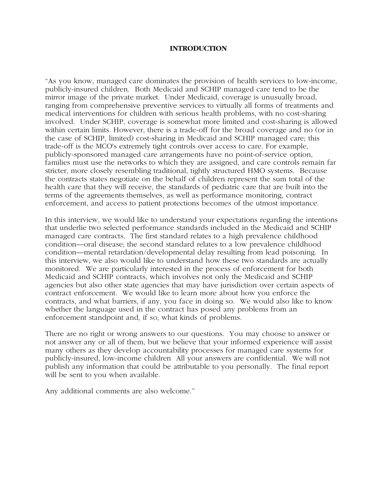#### **INTRODUCTION**

"As you know, managed care dominates the provision of health services to low-income, publicly-insured children. Both Medicaid and SCHIP managed care tend to be the mirror image of the private market. Under Medicaid, coverage is unusually broad, ranging from comprehensive preventive services to virtually all forms of treatments and medical interventions for children with serious health problems, with no cost-sharing involved. Under SCHIP, coverage is somewhat more limited and cost-sharing is allowed within certain limits. However, there is a trade-off for the broad coverage and no (or in the case of SCHIP, limited) cost-sharing in Medicaid and SCHIP managed care; this trade-off is the MCO's extremely tight controls over access to care. For example, publicly-sponsored managed care arrangements have no point-of-service option, families must use the networks to which they are assigned, and care controls remain far stricter, more closely resembling traditional, tightly structured HMO systems. Because the contracts states negotiate on the behalf of children represent the sum total of the health care that they will receive, the standards of pediatric care that are built into the terms of the agreements themselves, as well as performance monitoring, contract enforcement, and access to patient protections becomes of the utmost importance.

In this interview, we would like to understand your expectations regarding the intentions that underlie two selected performance standards included in the Medicaid and SCHIP managed care contracts. The first standard relates to a high prevalence childhood condition—oral disease; the second standard relates to a low prevalence childhood condition—mental retardation/developmental delay resulting from lead poisoning. In this interview, we also would like to understand how these two standards are actually monitored. We are particularly interested in the process of enforcement for both Medicaid and SCHIP contracts, which involves not only the Medicaid and SCHIP agencies but also other state agencies that may have jurisdiction over certain aspects of contract enforcement. We would like to learn more about how you enforce the contracts, and what barriers, if any, you face in doing so. We would also like to know whether the language used in the contract has posed any problems from an enforcement standpoint and, if so, what kinds of problems.

There are no right or wrong answers to our questions. You may choose to answer or not answer any or all of them, but we believe that your informed experience will assist many others as they develop accountability processes for managed care systems for publicly-insured, low-income children All your answers are confidential. We will not publish any information that could be attributable to you personally. The final report will be sent to you when available.

Any additional comments are also welcome."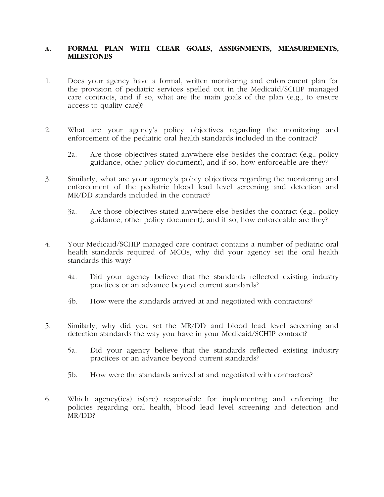#### **A. FORMAL PLAN WITH CLEAR GOALS, ASSIGNMENTS, MEASUREMENTS, MILESTONES**

- 1. Does your agency have a formal, written monitoring and enforcement plan for the provision of pediatric services spelled out in the Medicaid/SCHIP managed care contracts, and if so, what are the main goals of the plan (e.g., to ensure access to quality care)?
- 2. What are your agency's policy objectives regarding the monitoring and enforcement of the pediatric oral health standards included in the contract?
	- 2a. Are those objectives stated anywhere else besides the contract (e.g., policy guidance, other policy document), and if so, how enforceable are they?
- 3. Similarly, what are your agency's policy objectives regarding the monitoring and enforcement of the pediatric blood lead level screening and detection and MR/DD standards included in the contract?
	- 3a. Are those objectives stated anywhere else besides the contract (e.g., policy guidance, other policy document), and if so, how enforceable are they?
- 4. Your Medicaid/SCHIP managed care contract contains a number of pediatric oral health standards required of MCOs, why did your agency set the oral health standards this way?
	- 4a. Did your agency believe that the standards reflected existing industry practices or an advance beyond current standards?
	- 4b. How were the standards arrived at and negotiated with contractors?
- 5. Similarly, why did you set the MR/DD and blood lead level screening and detection standards the way you have in your Medicaid/SCHIP contract?
	- 5a. Did your agency believe that the standards reflected existing industry practices or an advance beyond current standards?
	- 5b. How were the standards arrived at and negotiated with contractors?
- 6. Which agency(ies) is(are) responsible for implementing and enforcing the policies regarding oral health, blood lead level screening and detection and MR/DD?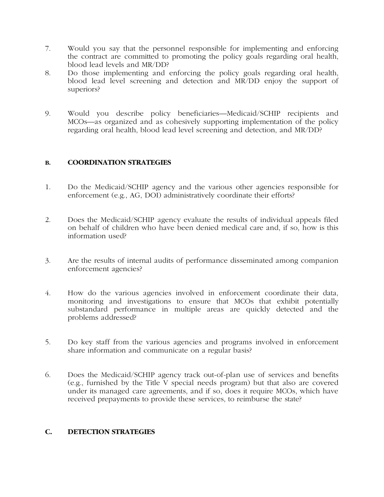- 7. Would you say that the personnel responsible for implementing and enforcing the contract are committed to promoting the policy goals regarding oral health, blood lead levels and MR/DD?
- 8. Do those implementing and enforcing the policy goals regarding oral health, blood lead level screening and detection and MR/DD enjoy the support of superiors?
- 9. Would you describe policy beneficiaries—Medicaid/SCHIP recipients and MCOs—as organized and as cohesively supporting implementation of the policy regarding oral health, blood lead level screening and detection, and MR/DD?

#### **B. COORDINATION STRATEGIES**

- 1. Do the Medicaid/SCHIP agency and the various other agencies responsible for enforcement (e.g., AG, DOI) administratively coordinate their efforts?
- 2. Does the Medicaid/SCHIP agency evaluate the results of individual appeals filed on behalf of children who have been denied medical care and, if so, how is this information used?
- 3. Are the results of internal audits of performance disseminated among companion enforcement agencies?
- 4. How do the various agencies involved in enforcement coordinate their data, monitoring and investigations to ensure that MCOs that exhibit potentially substandard performance in multiple areas are quickly detected and the problems addressed?
- 5. Do key staff from the various agencies and programs involved in enforcement share information and communicate on a regular basis?
- 6. Does the Medicaid/SCHIP agency track out-of-plan use of services and benefits (e.g., furnished by the Title V special needs program) but that also are covered under its managed care agreements, and if so, does it require MCOs, which have received prepayments to provide these services, to reimburse the state?

#### **C. DETECTION STRATEGIES**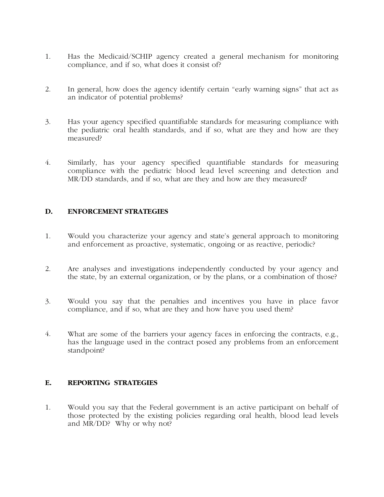- 1. Has the Medicaid/SCHIP agency created a general mechanism for monitoring compliance, and if so, what does it consist of?
- 2. In general, how does the agency identify certain "early warning signs" that act as an indicator of potential problems?
- 3. Has your agency specified quantifiable standards for measuring compliance with the pediatric oral health standards, and if so, what are they and how are they measured?
- 4. Similarly, has your agency specified quantifiable standards for measuring compliance with the pediatric blood lead level screening and detection and MR/DD standards, and if so, what are they and how are they measured?

#### **D. ENFORCEMENT STRATEGIES**

- 1. Would you characterize your agency and state's general approach to monitoring and enforcement as proactive, systematic, ongoing or as reactive, periodic?
- 2. Are analyses and investigations independently conducted by your agency and the state, by an external organization, or by the plans, or a combination of those?
- 3. Would you say that the penalties and incentives you have in place favor compliance, and if so, what are they and how have you used them?
- 4. What are some of the barriers your agency faces in enforcing the contracts, e.g., has the language used in the contract posed any problems from an enforcement standpoint?

#### **E. REPORTING STRATEGIES**

1. Would you say that the Federal government is an active participant on behalf of those protected by the existing policies regarding oral health, blood lead levels and MR/DD? Why or why not?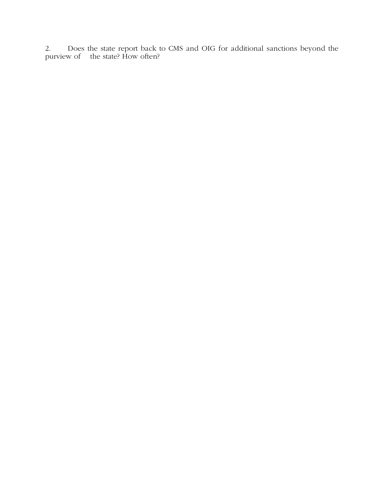2. Does the state report back to CMS and OIG for additional sanctions beyond the purview of the state? How often?